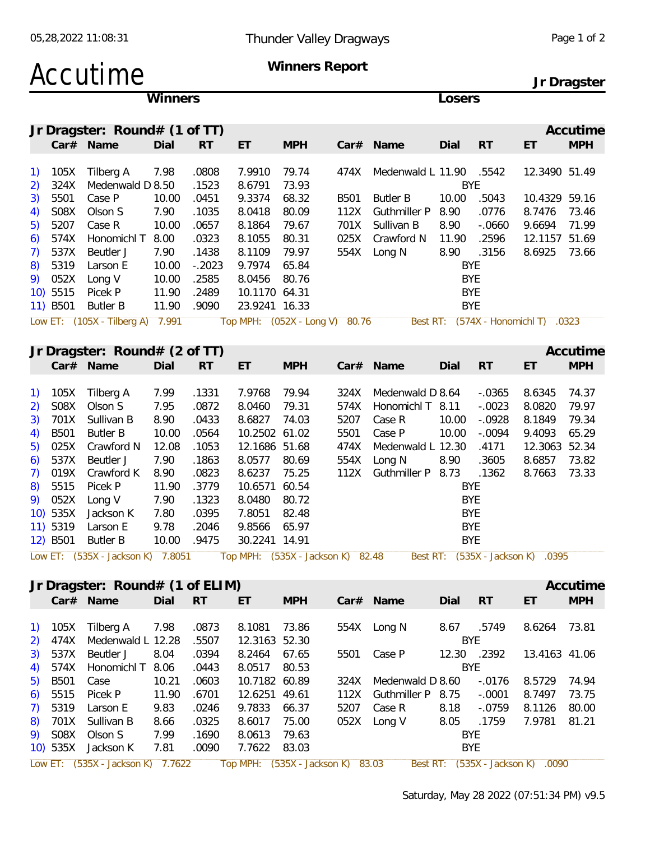### Accutime **Winners Report**

**Jr Dragster**

|                                                |             |                                   | Winners |           |               |                                   |      |                         | Losers      |           |                                     |            |
|------------------------------------------------|-------------|-----------------------------------|---------|-----------|---------------|-----------------------------------|------|-------------------------|-------------|-----------|-------------------------------------|------------|
|                                                |             | Jr Dragster: Round# (1 of TT)     |         |           |               |                                   |      |                         |             |           |                                     | Accutime   |
|                                                |             | Car# Name                         | Dial    | <b>RT</b> | ET            | <b>MPH</b>                        |      | Car# Name               | Dial        | <b>RT</b> | ET                                  | <b>MPH</b> |
|                                                |             |                                   |         |           |               |                                   |      |                         |             |           |                                     |            |
| $\left( \begin{matrix} 1 \end{matrix} \right)$ | 105X        | Tilberg A                         | 7.98    | .0808     | 7.9910        | 79.74                             | 474X | Medenwald L 11.90 .5542 |             |           | 12.3490 51.49                       |            |
| 2)                                             | 324X        | Medenwald D 8.50                  |         | .1523     | 8.6791        | 73.93                             |      |                         | <b>BYE</b>  |           |                                     |            |
| 3)                                             | 5501        | Case P                            | 10.00   | .0451     | 9.3374        | 68.32                             | B501 | <b>Butler B</b>         | 10.00       | .5043     | 10.4329 59.16                       |            |
| 4)                                             | S08X        | Olson S                           | 7.90    | .1035     | 8.0418        | 80.09                             | 112X | <b>Guthmiller P</b>     | 8.90        | .0776     | 8.7476                              | 73.46      |
| 5)                                             | 5207        | Case R                            | 10.00   | .0657     | 8.1864        | 79.67                             | 701X | Sullivan B              | 8.90        | $-0.0660$ | 9.6694                              | 71.99      |
| 6)                                             | 574X        | Honomichl T                       | 8.00    | .0323     | 8.1055        | 80.31                             | 025X | Crawford N              | 11.90       | .2596     | 12.1157 51.69                       |            |
| 7)                                             | 537X        | Beutler J                         | 7.90    | .1438     | 8.1109        | 79.97                             | 554X | Long N                  | 8.90        | .3156     | 8.6925                              | 73.66      |
| 8)                                             | 5319        | Larson E                          | 10.00   | $-.2023$  | 9.7974        | 65.84                             |      |                         | <b>BYE</b>  |           |                                     |            |
| 9)                                             | 052X        | Long V                            | 10.00   | .2585     | 8.0456        | 80.76                             |      |                         | <b>BYE</b>  |           |                                     |            |
|                                                | 10) 5515    | Picek P                           | 11.90   | .2489     | 10.1170 64.31 |                                   |      |                         | <b>BYE</b>  |           |                                     |            |
|                                                | 11) B501    | <b>Butler B</b>                   | 11.90   | .9090     | 23.9241 16.33 |                                   |      |                         | <b>BYE</b>  |           |                                     |            |
|                                                |             | Low ET: (105X - Tilberg A) 7.991  |         |           |               | Top MPH: (052X - Long V) 80.76    |      |                         |             |           | Best RT: (574X - Honomichl T) .0323 |            |
|                                                |             |                                   |         |           |               |                                   |      |                         |             |           |                                     |            |
|                                                |             | Jr Dragster: Round# (2 of TT)     |         |           |               |                                   |      |                         |             |           |                                     | Accutime   |
|                                                |             | Car# Name                         | Dial    | <b>RT</b> | ET            | <b>MPH</b>                        |      | Car# Name               | Dial        | <b>RT</b> | ET                                  | <b>MPH</b> |
|                                                |             |                                   |         |           |               |                                   |      |                         |             |           |                                     |            |
| $\left( \begin{matrix} 1 \end{matrix} \right)$ | 105X        | Tilberg A                         | 7.99    | .1331     | 7.9768        | 79.94                             | 324X | Medenwald D 8.64        |             | $-0.0365$ | 8.6345                              | 74.37      |
| 2)                                             | S08X        | Olson S                           | 7.95    | .0872     | 8.0460        | 79.31                             | 574X | Honomichl T 8.11        |             | $-.0023$  | 8.0820                              | 79.97      |
| 3)                                             | 701X        | Sullivan B                        | 8.90    | .0433     | 8.6827        | 74.03                             | 5207 | Case R                  | 10.00       | $-.0928$  | 8.1849                              | 79.34      |
| 4)                                             | <b>B501</b> | <b>Butler B</b>                   | 10.00   | .0564     | 10.2502 61.02 |                                   | 5501 | Case P                  | 10.00       | $-.0094$  | 9.4093                              | 65.29      |
| 5)                                             | 025X        | Crawford N                        | 12.08   | .1053     | 12.1686 51.68 |                                   | 474X | Medenwald L 12.30       |             | .4171     | 12.3063 52.34                       |            |
| 6)                                             | 537X        | Beutler J                         | 7.90    | .1863     | 8.0577        | 80.69                             | 554X | Long N                  | 8.90        | .3605     | 8.6857                              | 73.82      |
| 7)                                             | 019X        | Crawford K                        | 8.90    | .0823     | 8.6237        | 75.25                             | 112X | Guthmiller P            | 8.73        | .1362     | 8.7663                              | 73.33      |
| 8)                                             | 5515        | Picek P                           | 11.90   | .3779     | 10.6571 60.54 |                                   |      |                         | <b>BYE</b>  |           |                                     |            |
| 9)                                             | 052X        | Long V                            | 7.90    | .1323     | 8.0480        | 80.72                             |      |                         | <b>BYE</b>  |           |                                     |            |
|                                                | 10) 535X    | Jackson K                         | 7.80    | .0395     | 7.8051        | 82.48                             |      |                         | <b>BYE</b>  |           |                                     |            |
|                                                | 11) 5319    | Larson E                          | 9.78    | .2046     | 9.8566        | 65.97                             |      |                         | <b>BYE</b>  |           |                                     |            |
|                                                | 12) B501    | <b>Butler B</b>                   | 10.00   | .9475     | 30.2241 14.91 |                                   |      |                         | <b>BYE</b>  |           |                                     |            |
|                                                |             |                                   |         |           |               |                                   |      |                         |             |           |                                     |            |
|                                                |             | Low ET: (535X - Jackson K) 7.8051 |         |           |               | Top MPH: (535X - Jackson K) 82.48 |      |                         |             |           | Best RT: (535X - Jackson K) .0395   |            |
|                                                |             | Jr Dragster: Round# (1 of ELIM)   |         |           |               |                                   |      |                         |             |           |                                     | Accutime   |
|                                                |             | Car# Name                         | Dial    | <b>RT</b> | ET            | <b>MPH</b>                        |      | Car# Name               | Dial        | <b>RT</b> | ET                                  | <b>MPH</b> |
|                                                |             |                                   |         |           |               |                                   |      |                         |             |           |                                     |            |
|                                                | 1) 105X     | Tilberg A                         | 7.98    | .0873     | 8.1081        | 73.86                             |      | 554X Long N             | 8.67 .5749  |           | 8.6264                              | 73.81      |
| 2)                                             | 474X        | Medenwald L 12.28                 |         | .5507     | 12.3163 52.30 |                                   |      |                         | <b>BYE</b>  |           |                                     |            |
| 3)                                             | 537X        | Beutler J                         | 8.04    | .0394     | 8.2464        | 67.65                             | 5501 | Case P                  | 12.30 .2392 |           | 13.4163 41.06                       |            |
| 4)                                             | 574X        | Honomichl T                       | 8.06    | .0443     | 8.0517        | 80.53                             |      |                         | <b>BYE</b>  |           |                                     |            |
| 5)                                             | <b>B501</b> | Case                              | 10.21   | .0603     | 10.7182 60.89 |                                   | 324X | Medenwald D 8.60        |             | $-0.0176$ | 8.5729                              | 74.94      |
| 6)                                             | 5515        | Picek P                           | 11.90   | .6701     | 12.6251 49.61 |                                   | 112X | Guthmiller P 8.75       |             | $-.0001$  | 8.7497                              | 73.75      |
| 7)                                             | 5319        | Larson E                          | 9.83    | .0246     | 9.7833        | 66.37                             | 5207 | Case R                  | 8.18        | $-.0759$  | 8.1126                              | 80.00      |
|                                                |             |                                   |         |           |               |                                   |      |                         |             |           |                                     |            |

9) S08X Olson S 7.99 .1690 8.0613 79.63 BYE 10) 535X Jackson K 7.81 .0090 7.7622 83.03 BYE

Low ET: (535X - Jackson K) 7.7622 Top MPH: (535X - Jackson K) 83.03 Best RT: (535X - Jackson K) .0090

8) 701X Sullivan B 8.66 .0325 8.6017 75.00 052X Long V 8.05 .1759 7.9781 81.21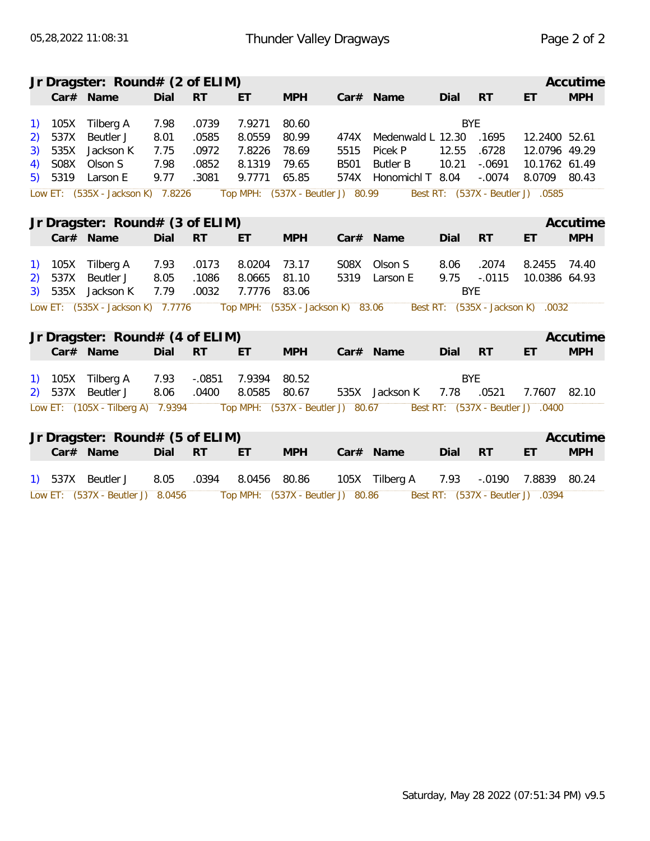|              |         | Jr Dragster: Round# (2 of ELIM)   |      |           |        |                                   |             |                   |            |           |                                   | Accutime   |
|--------------|---------|-----------------------------------|------|-----------|--------|-----------------------------------|-------------|-------------------|------------|-----------|-----------------------------------|------------|
|              |         | Car# Name                         | Dial | <b>RT</b> | ET     | <b>MPH</b>                        |             | Car# Name         | Dial       | <b>RT</b> | ET                                | <b>MPH</b> |
|              | 105X    | Tilberg A                         | 7.98 | .0739     | 7.9271 | 80.60                             |             |                   | <b>BYE</b> |           |                                   |            |
| 2)           | 537X    | Beutler J                         | 8.01 | .0585     | 8.0559 | 80.99                             | 474X        | Medenwald L 12.30 |            | .1695     | 12.2400 52.61                     |            |
| 3)           | 535X    | Jackson K                         | 7.75 | .0972     | 7.8226 | 78.69                             | 5515        | Picek P           | 12.55      | .6728     | 12.0796 49.29                     |            |
| 4)           | S08X    | Olson S                           | 7.98 | .0852     | 8.1319 | 79.65                             | <b>B501</b> | <b>Butler B</b>   | 10.21      | $-.0691$  | 10.1762 61.49                     |            |
| 5)           | 5319    | Larson E                          | 9.77 | .3081     | 9.7771 | 65.85                             | 574X        | Honomichl T 8.04  |            | $-.0074$  | 8.0709 80.43                      |            |
|              |         | Low ET: (535X - Jackson K) 7.8226 |      |           |        | Top MPH: (537X - Beutler J) 80.99 |             |                   |            |           | Best RT: (537X - Beutler J) .0585 |            |
|              |         |                                   |      |           |        |                                   |             |                   |            |           |                                   |            |
|              |         | Jr Dragster: Round# (3 of ELIM)   |      |           |        |                                   |             |                   |            |           |                                   | Accutime   |
|              |         | Car# Name                         | Dial | <b>RT</b> | ET     | <b>MPH</b>                        |             | Car# Name         | Dial       | RT        | ET                                | <b>MPH</b> |
| <sup>1</sup> |         | 105X Tilberg A                    | 7.93 | .0173     | 8.0204 | 73.17                             | S08X        | Olson S           | 8.06       | .2074     | 8.2455                            | 74.40      |
| 2)           | 537X    | Beutler J                         | 8.05 | .1086     | 8.0665 | 81.10                             |             | 5319 Larson E     | 9.75       | $-.0115$  | 10.0386 64.93                     |            |
| 3)           | 535X    | Jackson K                         | 7.79 | .0032     | 7.7776 | 83.06                             |             |                   | <b>BYE</b> |           |                                   |            |
|              |         | Low ET: (535X - Jackson K) 7.7776 |      |           |        | Top MPH: (535X - Jackson K) 83.06 |             |                   |            |           | Best RT: (535X - Jackson K) .0032 |            |
|              |         |                                   |      |           |        |                                   |             |                   |            |           |                                   |            |
|              |         | Jr Dragster: Round# (4 of ELIM)   |      |           |        |                                   |             |                   |            |           |                                   | Accutime   |
|              |         | Car# Name                         | Dial | <b>RT</b> | ET.    | <b>MPH</b>                        |             | Car# Name         | Dial       | <b>RT</b> | ET                                | <b>MPH</b> |
|              |         | 105X Tilberg A                    | 7.93 | $-.0851$  | 7.9394 | 80.52                             |             |                   | <b>BYE</b> |           |                                   |            |
| 2)           | 537X    | Beutler J                         | 8.06 | .0400     | 8.0585 | 80.67                             |             | 535X Jackson K    | 7.78       | .0521     | 7.7607                            | 82.10      |
|              |         | Low ET: (105X - Tilberg A) 7.9394 |      |           |        | Top MPH: (537X - Beutler J) 80.67 |             |                   |            |           | Best RT: (537X - Beutler J) .0400 |            |
|              |         |                                   |      |           |        |                                   |             |                   |            |           |                                   |            |
|              |         | Jr Dragster: Round# (5 of ELIM)   |      |           |        |                                   |             |                   |            |           |                                   | Accutime   |
|              |         | Car# Name                         | Dial | <b>RT</b> | ET     | <b>MPH</b>                        |             | Car# Name         | Dial       | RT        | ET                                | <b>MPH</b> |
|              |         |                                   |      |           |        |                                   |             |                   |            |           |                                   |            |
|              | 1) 537X | Beutler J                         | 8.05 | .0394     | 8.0456 | 80.86                             |             | 105X Tilberg A    | 7.93       | $-.0190$  | 7.8839                            | 80.24      |
|              |         | Low ET: (537X - Beutler J) 8.0456 |      |           |        | Top MPH: (537X - Beutler J) 80.86 |             |                   |            |           | Best RT: (537X - Beutler J) .0394 |            |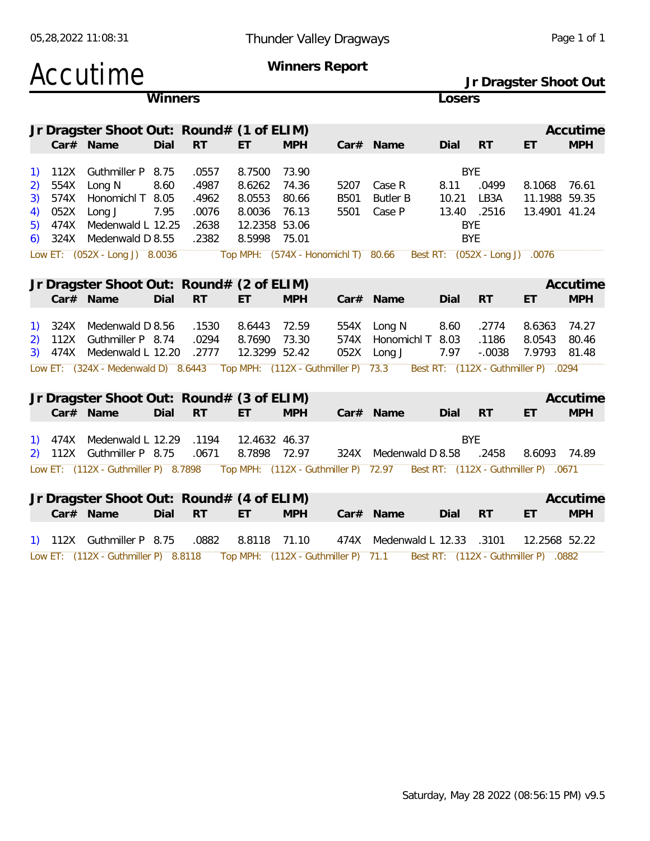| 05,28,2022 11:08:31                       |         |       |        |            | Thunder Valley Dragways |             |        |            |    | Page 1 of 1           |
|-------------------------------------------|---------|-------|--------|------------|-------------------------|-------------|--------|------------|----|-----------------------|
| <b>Accutime</b>                           |         |       |        |            | Winners Report          |             |        |            |    |                       |
|                                           |         |       |        |            |                         |             |        |            |    | Jr Dragster Shoot Out |
|                                           | Winners |       |        |            |                         |             | Losers |            |    |                       |
|                                           |         |       |        |            |                         |             |        |            |    |                       |
| Jr Dragster Shoot Out: Round# (1 of ELIM) |         |       |        |            |                         |             |        |            |    | Accutime              |
| $Car#$ Name                               | Dial    | -RT   | ЕT     | <b>MPH</b> |                         | $Car#$ Name | Dial   | <b>RT</b>  | ЕT | <b>MPH</b>            |
|                                           |         |       |        |            |                         |             |        |            |    |                       |
| Guthmiller P 8.75<br>12X                  |         | .0557 | 8.7500 | 73.90      |                         |             |        | <b>BYE</b> |    |                       |

| 4) 052X Long J<br>7.95<br>13.4901 41.24<br>.0076<br>8.0036 76.13<br>13.40 .2516<br>5501<br>Case P<br>5) 474X Medenwald L 12.25<br>.2638<br>12.2358 53.06<br><b>BYE</b><br>6) $324X$ Medenwald D 8.55<br>8.5998 75.01<br>BYE<br>.2382<br>Low ET: (052X - Long J) 8.0036 Top MPH: (574X - Honomichl T) 80.66<br>Best RT: (052X - Long J) .0076<br>Jr Dragster Shoot Out: Round# (2 of ELIM)<br>Accutime<br><b>RT</b><br><b>MPH</b><br>Car# Name<br>Dial<br><b>MPH</b><br>Dial<br>ET.<br>ET.<br>- RT<br>$Car#$ Name<br>1) 324X Medenwald D 8.56<br>.1530<br>8.6443 72.59<br>554X Long N<br>8.60<br>.2774<br>8.6363<br>74.27<br>2) 112X Guthmiller P 8.74<br>.0294<br>8.7690 73.30<br>Honomichl T 8.03<br>.1186<br>8.0543<br>574X<br>80.46<br>3) 474X Medenwald L 12.20<br>12.3299 52.42 |  | 3) 574X Honomichl T 8.05 | .4962 | 8.0553 | 80.66 | B501 | Butler B | 10.21 | LB3A   | 11.1988 59.35 |       |
|--------------------------------------------------------------------------------------------------------------------------------------------------------------------------------------------------------------------------------------------------------------------------------------------------------------------------------------------------------------------------------------------------------------------------------------------------------------------------------------------------------------------------------------------------------------------------------------------------------------------------------------------------------------------------------------------------------------------------------------------------------------------------------------|--|--------------------------|-------|--------|-------|------|----------|-------|--------|---------------|-------|
|                                                                                                                                                                                                                                                                                                                                                                                                                                                                                                                                                                                                                                                                                                                                                                                      |  |                          |       |        |       |      |          |       |        |               |       |
|                                                                                                                                                                                                                                                                                                                                                                                                                                                                                                                                                                                                                                                                                                                                                                                      |  |                          |       |        |       |      |          |       |        |               |       |
|                                                                                                                                                                                                                                                                                                                                                                                                                                                                                                                                                                                                                                                                                                                                                                                      |  |                          |       |        |       |      |          |       |        |               |       |
|                                                                                                                                                                                                                                                                                                                                                                                                                                                                                                                                                                                                                                                                                                                                                                                      |  |                          |       |        |       |      |          |       |        |               |       |
|                                                                                                                                                                                                                                                                                                                                                                                                                                                                                                                                                                                                                                                                                                                                                                                      |  |                          |       |        |       |      |          |       |        |               |       |
|                                                                                                                                                                                                                                                                                                                                                                                                                                                                                                                                                                                                                                                                                                                                                                                      |  |                          |       |        |       |      |          |       |        |               |       |
|                                                                                                                                                                                                                                                                                                                                                                                                                                                                                                                                                                                                                                                                                                                                                                                      |  |                          |       |        |       |      |          |       |        |               |       |
|                                                                                                                                                                                                                                                                                                                                                                                                                                                                                                                                                                                                                                                                                                                                                                                      |  |                          |       |        |       |      |          |       |        |               |       |
|                                                                                                                                                                                                                                                                                                                                                                                                                                                                                                                                                                                                                                                                                                                                                                                      |  |                          |       |        |       |      |          |       |        |               |       |
|                                                                                                                                                                                                                                                                                                                                                                                                                                                                                                                                                                                                                                                                                                                                                                                      |  |                          |       |        |       |      |          |       |        |               |       |
|                                                                                                                                                                                                                                                                                                                                                                                                                                                                                                                                                                                                                                                                                                                                                                                      |  |                          | .2777 |        |       | 052X | Long J   | 7.97  | -.0038 | 7.9793        | 81.48 |

2) 554X Long N 8.60 .4987 8.6262 74.36 5207 Case R 8.11 .0499 8.1068 76.61

|  | Jr Dragster Shoot Out: Round# (3 of ELIM)                                                                      |         |     |            |           |         |       |              | Accutime          |
|--|----------------------------------------------------------------------------------------------------------------|---------|-----|------------|-----------|---------|-------|--------------|-------------------|
|  | Car# Name                                                                                                      | Dial RT | ET. | <b>MPH</b> | Car# Name | Dial RT |       | ET           | <b>MPH</b>        |
|  | 1) 474X Medenwald L 12.29 .1194 12.4632 46.37                                                                  |         |     |            |           |         | BYF.  |              |                   |
|  | 2) 112X Guthmiller P 8.75 .0671 8.7898 72.97 324X Medenwald D 8.58                                             |         |     |            |           |         | .2458 | 8.6093 74.89 |                   |
|  | Low ET: (112X - Guthmiller P) 8.7898 Top MPH: (112X - Guthmiller P) 72.97 Best RT: (112X - Guthmiller P) .0671 |         |     |            |           |         |       |              |                   |
|  |                                                                                                                |         |     |            |           |         |       |              |                   |
|  | In Dragster Shoot Out: $Point (1 of F11M)$                                                                     |         |     |            |           |         |       |              | $\Lambda$ ccutime |

|  | Jr Dragster Shoot Out: Round# (4 of ELIM)                                                                    |         |      |            |                                            |         |    | Accutime   |  |
|--|--------------------------------------------------------------------------------------------------------------|---------|------|------------|--------------------------------------------|---------|----|------------|--|
|  | Car# Name                                                                                                    | Dial RT | - FT | <b>MPH</b> | Car# Name                                  | Dial RT | ET | <b>MPH</b> |  |
|  | 1) 112X Guthmiller P 8.75 .0882 8.8118 71.10                                                                 |         |      |            | 474X Medenwald L 12.33 .3101 12.2568 52.22 |         |    |            |  |
|  | Low ET: (112X - Guthmiller P) 8.8118 Top MPH: (112X - Guthmiller P) 71.1 Best RT: (112X - Guthmiller P) 0882 |         |      |            |                                            |         |    |            |  |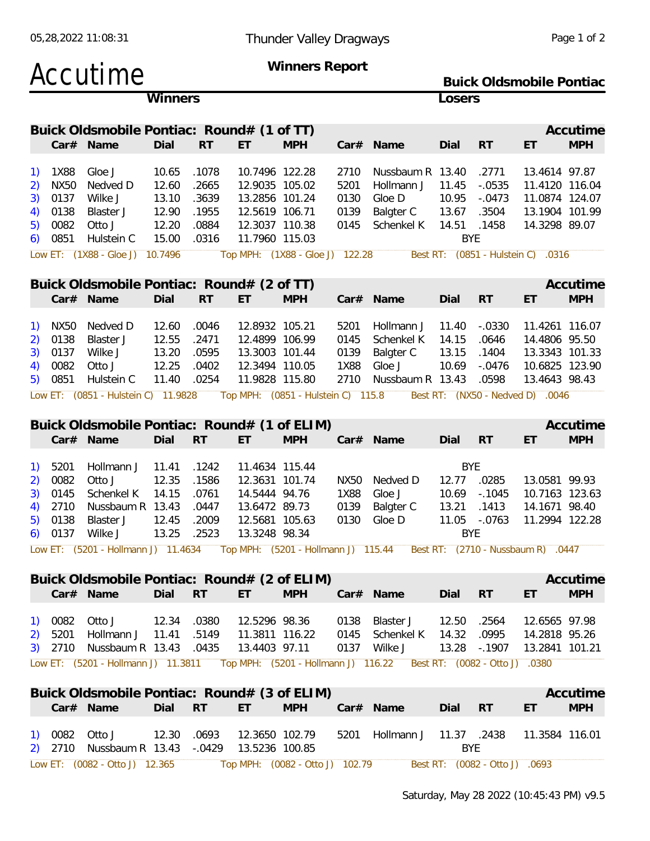|                                            |                                                     | Accutime                                                                                                                              |                                                    |                                                    |                                                                                                          | Winners Report                     |                                      |                                                                                                                                                         |                                                              |                                                                                  | <b>Buick Oldsmobile Pontiac</b>                                                                                          |                        |
|--------------------------------------------|-----------------------------------------------------|---------------------------------------------------------------------------------------------------------------------------------------|----------------------------------------------------|----------------------------------------------------|----------------------------------------------------------------------------------------------------------|------------------------------------|--------------------------------------|---------------------------------------------------------------------------------------------------------------------------------------------------------|--------------------------------------------------------------|----------------------------------------------------------------------------------|--------------------------------------------------------------------------------------------------------------------------|------------------------|
|                                            |                                                     |                                                                                                                                       | Winners                                            |                                                    |                                                                                                          |                                    |                                      |                                                                                                                                                         | Losers                                                       |                                                                                  |                                                                                                                          |                        |
|                                            |                                                     | Buick Oldsmobile Pontiac: Round# (1 of TT)<br>Car# Name                                                                               | Dial                                               | <b>RT</b>                                          | ET                                                                                                       | <b>MPH</b>                         |                                      | Car# Name                                                                                                                                               | Dial                                                         | RT                                                                               | ET                                                                                                                       | Accutime<br><b>MPH</b> |
| <sup>1</sup><br>2)<br>3)<br>4)<br>5)<br>6) | 1X88<br><b>NX50</b><br>0137<br>0138<br>0082<br>0851 | Gloe J<br>Nedved D<br>Wilke J<br>Blaster J<br>Otto J<br>Hulstein C<br>Low ET: (1X88 - Gloe J) 10.7496                                 | 10.65<br>12.60<br>13.10<br>12.90<br>12.20<br>15.00 | .1078<br>.2665<br>.3639<br>.1955<br>.0884<br>.0316 | 10.7496 122.28<br>12.9035 105.02<br>13.2856 101.24<br>12.5619 106.71<br>12.3037 110.38<br>11.7960 115.03 | Top MPH: (1X88 - Gloe J) 122.28    | 2710<br>5201<br>0130<br>0139<br>0145 | Nussbaum R 13.40<br>Hollmann J<br>Gloe D<br>Balgter C<br>Schenkel K                                                                                     | 11.45<br>10.95<br>13.67<br>14.51<br><b>BYE</b>               | .2771<br>$-0.0535$<br>$-.0473$<br>.3504<br>.1458<br>Best RT: (0851 - Hulstein C) | 13.4614 97.87<br>11.4120 116.04<br>11.0874 124.07<br>13.1904 101.99<br>14.3298 89.07<br>.0316                            |                        |
|                                            |                                                     |                                                                                                                                       |                                                    |                                                    |                                                                                                          |                                    |                                      |                                                                                                                                                         |                                                              |                                                                                  |                                                                                                                          |                        |
|                                            |                                                     | Buick Oldsmobile Pontiac: Round# (2 of TT)<br>Car# Name                                                                               | Dial                                               | <b>RT</b>                                          | ET.                                                                                                      | <b>MPH</b>                         |                                      | Car# Name                                                                                                                                               | Dial                                                         | <b>RT</b>                                                                        | ET                                                                                                                       | Accutime<br><b>MPH</b> |
| 1)<br>2)<br>3)<br>4)<br>5)                 | <b>NX50</b><br>0138<br>0137<br>0082<br>0851         | Nedved D<br>Blaster J<br>Wilke J<br>Otto J<br>Hulstein C<br>Low ET: (0851 - Hulstein C) 11.9828                                       | 12.60<br>12.55<br>13.20<br>12.25<br>11.40          | .0046<br>.2471<br>.0595<br>.0402<br>.0254          | 12.8932 105.21<br>12.4899 106.99<br>13.3003 101.44<br>12.3494 110.05<br>11.9828 115.80                   | Top MPH: (0851 - Hulstein C) 115.8 | 5201<br>0145<br>0139<br>1X88<br>2710 | Hollmann J<br>Schenkel K<br>Balgter C<br>Gloe J<br>Nussbaum R 13.43                                                                                     | 11.40<br>14.15<br>13.15<br>10.69                             | $-.0330$<br>.0646<br>.1404<br>$-.0476$<br>.0598                                  | 11.4261 116.07<br>14.4806 95.50<br>13.3343 101.33<br>10.6825 123.90<br>13.4643 98.43<br>Best RT: (NX50 - Nedved D) .0046 |                        |
|                                            |                                                     | Buick Oldsmobile Pontiac: Round# (1 of ELIM)                                                                                          |                                                    |                                                    |                                                                                                          |                                    |                                      |                                                                                                                                                         |                                                              |                                                                                  |                                                                                                                          | Accutime               |
|                                            |                                                     | Car# Name                                                                                                                             | Dial                                               | <b>RT</b>                                          | ET.                                                                                                      | <b>MPH</b>                         |                                      | Car# Name                                                                                                                                               | Dial                                                         | RT                                                                               | ET                                                                                                                       | <b>MPH</b>             |
| <sup>1</sup><br>2)<br>3)<br>4)<br>5)<br>6) | 5201<br>0082<br>0145<br>2710<br>0138<br>0137        | Hollmann J<br>Otto J<br>Schenkel K<br>Nussbaum R 13.43<br>Blaster J<br>Wilke J                                                        | 11.41<br>12.35<br>14.15<br>12.45<br>13.25          | .1242<br>.1586<br>.0761<br>.0447<br>.2009<br>.2523 | 11.4634 115.44<br>12.3631 101.74<br>14.5444 94.76<br>13.6472 89.73<br>12.5681 105.63<br>13.3248 98.34    |                                    | NX50<br>1X88<br>0139<br>0130         | Nedved D<br>Gloe J<br>Balgter C<br>Gloe D<br>Low ET: (5201 - Hollmann J) 11.4634 Top MPH: (5201 - Hollmann J) 115.44 Best RT: (2710 - Nussbaum R) .0447 | <b>BYE</b><br>12.77<br>10.69<br>13.21<br>11.05<br><b>BYE</b> | .0285<br>$-0.1045$<br>.1413<br>$-.0763$                                          | 13.0581 99.93<br>10.7163 123.63<br>14.1671 98.40<br>11.2994 122.28                                                       |                        |
|                                            |                                                     |                                                                                                                                       |                                                    |                                                    |                                                                                                          |                                    |                                      |                                                                                                                                                         |                                                              |                                                                                  |                                                                                                                          |                        |
|                                            |                                                     | Buick Oldsmobile Pontiac: Round# (2 of ELIM)<br>Car# Name                                                                             | Dial                                               | <b>RT</b>                                          | ET.                                                                                                      | <b>MPH</b>                         |                                      | Car# Name                                                                                                                                               | Dial                                                         | <b>RT</b>                                                                        | ET                                                                                                                       | Accutime<br><b>MPH</b> |
| 2)<br>3)                                   | 1) 0082<br>5201                                     | Otto J<br>Hollmann J 11.41<br>2710 Nussbaum R 13.43 .0435<br>Low ET: (5201 - Hollmann J) 11.3811  Top MPH: (5201 - Hollmann J) 116.22 | 12.34                                              | .0380<br>.5149                                     | 12.5296 98.36<br>11.3811 116.22<br>13.4403 97.11                                                         |                                    |                                      | 0138 Blaster J<br>0145 Schenkel K<br>0137 Wilke J                                                                                                       | 12.50<br>14.32                                               | .2564<br>.0995<br>13.28 -.1907<br>Best RT: (0082 - Otto J)                       | 12.6565 97.98<br>14.2818 95.26<br>13.2841 101.21<br>.0380                                                                |                        |
|                                            |                                                     | Buick Oldsmobile Pontiac: Round# (3 of ELIM)                                                                                          |                                                    |                                                    |                                                                                                          |                                    |                                      |                                                                                                                                                         |                                                              |                                                                                  |                                                                                                                          | Accutime               |
|                                            |                                                     | Car# Name                                                                                                                             | Dial                                               | <b>RT</b>                                          | ET.                                                                                                      | <b>MPH</b>                         |                                      | Car# Name                                                                                                                                               | Dial                                                         | <b>RT</b>                                                                        | ET                                                                                                                       | <b>MPH</b>             |
|                                            | 1) 0082                                             | Otto J<br>2710 Nussbaum R 13.43<br>Low ET: (0082 - Otto J) 12.365                                                                     | 12.30                                              | .0693<br>$-0429$                                   | 12.3650 102.79<br>13.5236 100.85                                                                         | Top MPH: (0082 - Otto J) 102.79    |                                      | 5201 Hollmann J 11.37 .2438                                                                                                                             | <b>BYE</b>                                                   | Best RT: (0082 - Otto J) .0693                                                   | 11.3584 116.01                                                                                                           |                        |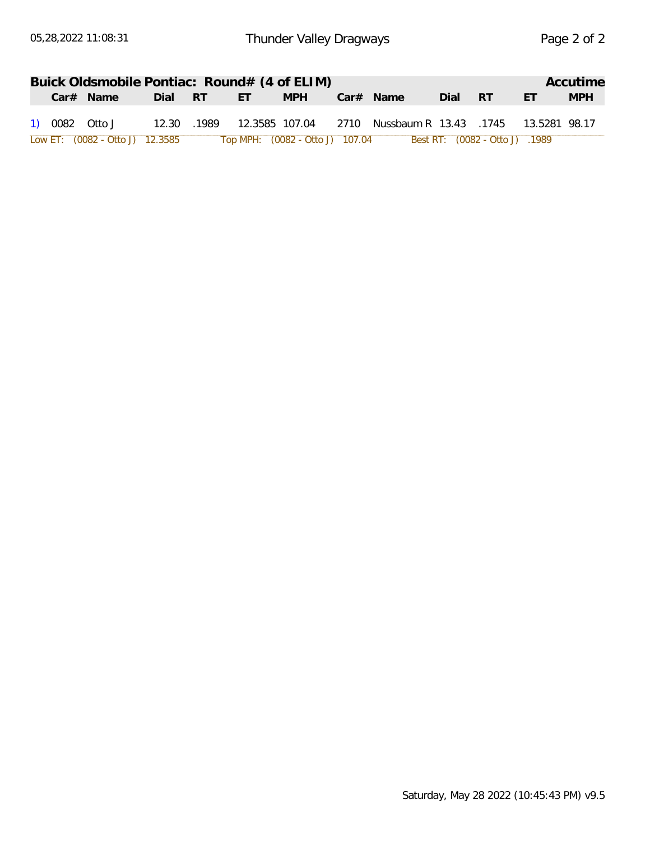|                                 |             |     | Buick Oldsmobile Pontiac: Round# (4 of ELIM) |                                                                |      |                            |           | Accutime   |
|---------------------------------|-------------|-----|----------------------------------------------|----------------------------------------------------------------|------|----------------------------|-----------|------------|
| Car# Name                       | Dial RT     | FT. | <b>MPH</b>                                   | Car# Name                                                      | Dial | RT                         | <b>FT</b> | <b>MPH</b> |
| 1) 0082 Otto J                  | 12.30 .1989 |     |                                              | 12.3585 107.04  2710  Nussbaum R  13.43  .1745  13.5281  98.17 |      |                            |           |            |
| Low ET: (0082 - Otto J) 12.3585 |             |     | Top MPH: (0082 - Otto J) 107.04              |                                                                |      | 1989. (DO82 - Otto J) 1989 |           |            |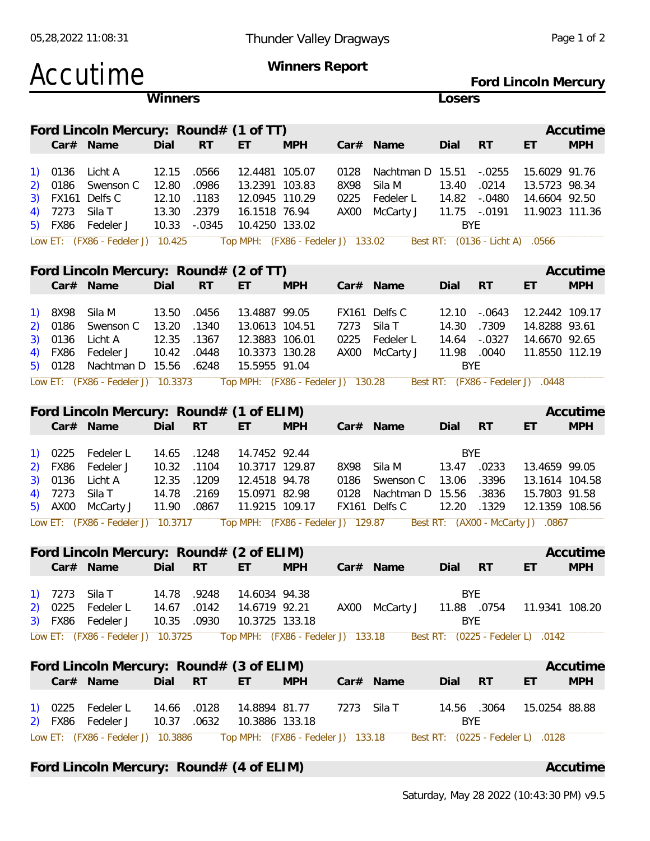| Accutime                                                                                                                                                                     |                                                      |                                              |                                                                                       | <b>Winners Report</b>              |                              |                                                    |                                                |                                                                        | Ford Lincoln Mercury                                                                                    |                        |
|------------------------------------------------------------------------------------------------------------------------------------------------------------------------------|------------------------------------------------------|----------------------------------------------|---------------------------------------------------------------------------------------|------------------------------------|------------------------------|----------------------------------------------------|------------------------------------------------|------------------------------------------------------------------------|---------------------------------------------------------------------------------------------------------|------------------------|
|                                                                                                                                                                              | Winners                                              |                                              |                                                                                       |                                    |                              |                                                    | Losers                                         |                                                                        |                                                                                                         |                        |
| Ford Lincoln Mercury: Round# (1 of TT)<br>Car# Name                                                                                                                          | Dial                                                 | <b>RT</b>                                    | ET                                                                                    | <b>MPH</b>                         |                              | Car# Name                                          | Dial                                           | <b>RT</b>                                                              | ET                                                                                                      | Accutime<br><b>MPH</b> |
| 0136<br>Licht A<br>1)<br>0186<br>Swenson C<br>2)<br>FX161<br>Delfs C<br>3)<br>Sila T<br>7273<br>FX86<br>Fedeler J<br>5)<br>Low ET: (FX86 - Fedeler J) 10.425                 | 12.15<br>12.80<br>12.10<br>13.30<br>10.33            | .0566<br>.0986<br>.1183<br>.2379<br>$-.0345$ | 12.4481 105.07<br>13.2391 103.83<br>12.0945 110.29<br>16.1518 76.94<br>10.4250 133.02 | Top MPH: (FX86 - Fedeler J) 133.02 | 0128<br>8X98<br>0225<br>AX00 | Nachtman D<br>Sila M<br>Fedeler L<br>McCarty J     | 15.51<br>13.40<br>14.82<br>11.75<br><b>BYE</b> | $-.0255$<br>.0214<br>$-.0480$<br>$-.0191$<br>Best RT: (0136 - Licht A) | 15.6029 91.76<br>13.5723 98.34<br>14.6604 92.50<br>11.9023 111.36<br>.0566                              |                        |
|                                                                                                                                                                              |                                                      |                                              |                                                                                       |                                    |                              |                                                    |                                                |                                                                        |                                                                                                         |                        |
| Ford Lincoln Mercury: Round# (2 of TT)<br>Car# Name                                                                                                                          | Dial                                                 | <b>RT</b>                                    | ET                                                                                    | <b>MPH</b>                         |                              | Car# Name                                          | Dial                                           | <b>RT</b>                                                              | ET                                                                                                      | Accutime<br><b>MPH</b> |
| 8X98<br>Sila M<br>1)<br>0186<br>Swenson C<br>2)<br>0136<br>Licht A<br>3)<br><b>FX86</b><br>Fedeler J<br>0128<br>Nachtman D 15.56<br>5)<br>Low ET: (FX86 - Fedeler J) 10.3373 | 13.50<br>13.20<br>12.35<br>10.42                     | .0456<br>.1340<br>.1367<br>.0448<br>.6248    | 13.4887 99.05<br>13.0613 104.51<br>12.3883 106.01<br>10.3373 130.28<br>15.5955 91.04  | Top MPH: (FX86 - Fedeler J) 130.28 | 7273<br>0225<br>AX00         | FX161 Delfs C<br>Sila T<br>Fedeler L<br>McCarty J  | 12.10<br>14.30<br>14.64<br>11.98<br><b>BYE</b> | $-.0643$<br>.7309<br>$-.0327$<br>.0040                                 | 12.2442 109.17<br>14.8288 93.61<br>14.6670 92.65<br>11.8550 112.19<br>Best RT: (FX86 - Fedeler J) .0448 |                        |
|                                                                                                                                                                              |                                                      |                                              |                                                                                       |                                    |                              |                                                    |                                                |                                                                        |                                                                                                         |                        |
| Ford Lincoln Mercury: Round# (1 of ELIM)<br>Car# Name                                                                                                                        | Dial                                                 | <b>RT</b>                                    | EТ                                                                                    | <b>MPH</b>                         |                              | $Car#$ Name                                        | Dial                                           | <b>RT</b>                                                              | ET                                                                                                      | Accutime<br><b>MPH</b> |
| 0225<br>Fedeler L<br>1)<br><b>FX86</b><br>Fedeler J<br>2)<br>0136<br>3)<br>Licht A<br>7273<br>Sila T<br>4)<br>AX00<br>McCarty J<br>5)<br>Low ET: (FX86 - Fedeler J)          | 14.65<br>10.32<br>12.35<br>14.78<br>11.90<br>10.3717 | .1248<br>.1104<br>.1209<br>.2169<br>.0867    | 14.7452 92.44<br>10.3717 129.87<br>12.4518 94.78<br>15.0971 82.98<br>11.9215 109.17   | Top MPH: (FX86 - Fedeler J) 129.87 | 8X98<br>0186<br>0128         | Sila M<br>Swenson C<br>Nachtman D<br>FX161 Delfs C | <b>BYE</b><br>13.47<br>13.06<br>15.56<br>12.20 | .0233<br>.3396<br>.3836<br>.1329                                       | 13.4659 99.05<br>13.1614 104.58<br>15.7803 91.58<br>12.1359 108.56<br>Best RT: (AX00 - McCarty J) .0867 |                        |
| Ford Lincoln Mercury: Round# (2 of ELIM)                                                                                                                                     |                                                      |                                              |                                                                                       |                                    |                              |                                                    |                                                |                                                                        |                                                                                                         | Accutime               |
| Car# Name                                                                                                                                                                    | Dial RT                                              |                                              | ET.                                                                                   | <b>MPH</b>                         |                              | Car# Name                                          | Dial                                           | RT                                                                     | ET.                                                                                                     | <b>MPH</b>             |
| 7273<br>Sila T<br>1)<br>Fedeler L<br>0225<br>2)<br>FX86<br>Fedeler J<br>3)<br>Low ET: (FX86 - Fedeler J) 10.3725                                                             | 14.78<br>14.67<br>10.35                              | .9248<br>.0142<br>.0930                      | 14.6034 94.38<br>14.6719 92.21<br>10.3725 133.18                                      | Top MPH: (FX86 - Fedeler J) 133.18 |                              | AX00 McCarty J                                     | <b>BYE</b><br>11.88 .0754<br><b>BYE</b>        |                                                                        | 11.9341 108.20<br>Best RT: (0225 - Fedeler L) .0142                                                     |                        |
| Ford Lincoln Mercury: Round# (3 of ELIM)<br>Car# Name                                                                                                                        | Dial RT                                              |                                              | ET.                                                                                   | <b>MPH</b>                         |                              | Car# Name                                          | Dial                                           | <b>RT</b>                                                              | ET                                                                                                      | Accutime<br><b>MPH</b> |
| Fedeler L<br>0225<br>$\overline{1}$<br>Fedeler J<br>FX86<br>2)                                                                                                               | 14.66<br>10.37                                       | .0128<br>.0632                               | 14.8894 81.77<br>10.3886 133.18                                                       |                                    | 7273 Sila T                  |                                                    | 14.56 .3064<br><b>BYE</b>                      |                                                                        | 15.0254 88.88                                                                                           |                        |
| Low ET: (FX86 - Fedeler J) 10.3886                                                                                                                                           |                                                      |                                              |                                                                                       | Top MPH: (FX86 - Fedeler J) 133.18 |                              |                                                    |                                                |                                                                        | Best RT: (0225 - Fedeler L) .0128                                                                       |                        |

Ford Lincoln Mercury: Round# (4 of ELIM) **Accutime** Accutime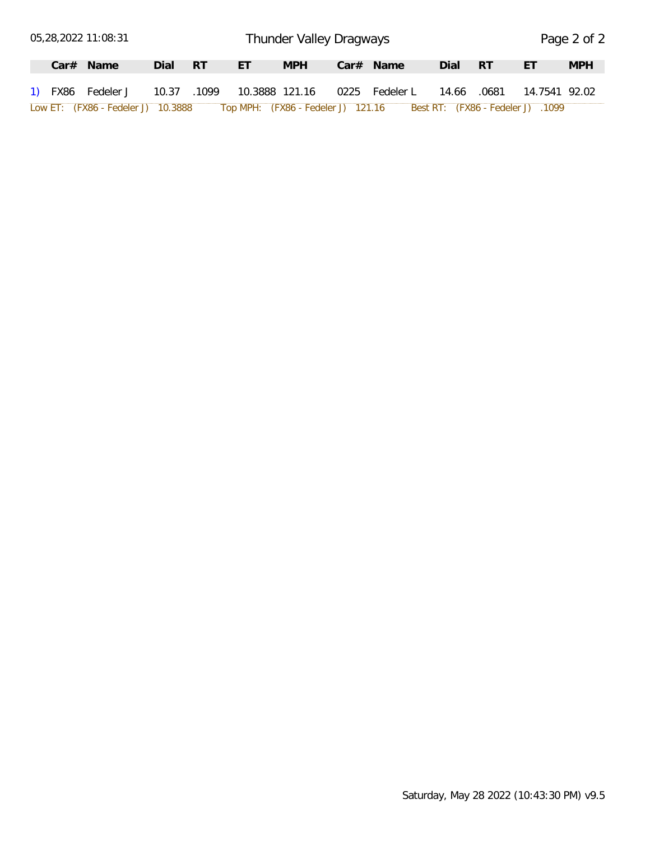|  | 05,28,2022 11:08:31                |      |      |                | Thunder Valley Dragways            |                |       |      |                                   | Page 2 of 2 |
|--|------------------------------------|------|------|----------------|------------------------------------|----------------|-------|------|-----------------------------------|-------------|
|  | $Car#$ Name                        | Dial | – RT | ЕT             | <b>MPH</b>                         | $Car#$ Name    | Dial  | - RT | ET                                | <b>MPH</b>  |
|  | 1) FX86 Fedeler J 10.37 .1099      |      |      | 10.3888 121.16 |                                    | 0225 Fedeler L | 14.66 |      |                                   |             |
|  | Low ET: (FX86 - Fedeler J) 10.3888 |      |      |                | Top MPH: (FX86 - Fedeler J) 121.16 |                |       |      | Best RT: (FX86 - Fedeler J) .1099 |             |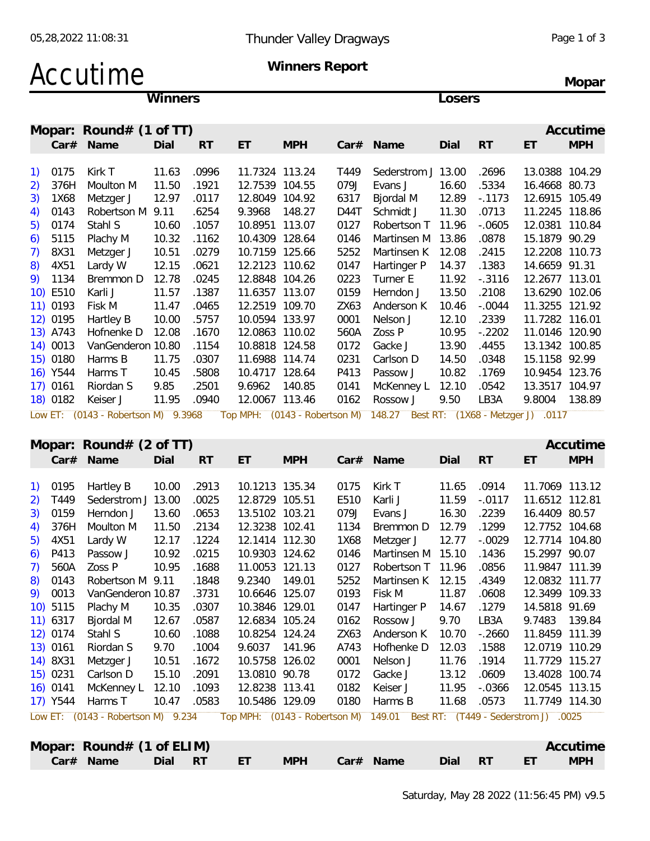# Accutime Winners Report

**Mopar**

**Winners Losers**

|            | Mopar: Round# (1 of TT)             |       |           |                               |            |      |                    |       |           |                                   | Accutime   |
|------------|-------------------------------------|-------|-----------|-------------------------------|------------|------|--------------------|-------|-----------|-----------------------------------|------------|
|            | Car# Name                           | Dial  | <b>RT</b> | ET                            | <b>MPH</b> |      | Car# Name          | Dial  | <b>RT</b> | ET                                | <b>MPH</b> |
| 1) 0175    | Kirk T                              | 11.63 | .0996     | 11.7324 113.24                |            | T449 | Sederstrom J 13.00 |       | .2696     | 13.0388 104.29                    |            |
| 2) 376H    | Moulton M                           | 11.50 | .1921     | 12.7539                       | 104.55     | 079J | Evans J            | 16.60 | .5334     | 16.4668 80.73                     |            |
| 3)<br>1X68 | Metzger J                           | 12.97 | .0117     | 12.8049 104.92                |            | 6317 | Bjordal M          | 12.89 | $-0.1173$ | 12.6915 105.49                    |            |
| 0143<br>4) | Robertson M                         | 9.11  | .6254     | 9.3968                        | 148.27     | D44T | Schmidt J          | 11.30 | .0713     | 11.2245 118.86                    |            |
| 5) 0174    | Stahl S                             | 10.60 | .1057     | 10.8951                       | 113.07     | 0127 | Robertson T        | 11.96 | $-0.0605$ | 12.0381 110.84                    |            |
| 5115<br>6) | Plachy M                            | 10.32 | .1162     | 10.4309                       | 128.64     | 0146 | Martinsen M        | 13.86 | .0878     | 15.1879 90.29                     |            |
| 7)<br>8X31 | Metzger J                           | 10.51 | .0279     | 10.7159 125.66                |            | 5252 | Martinsen K        | 12.08 | .2415     | 12.2208 110.73                    |            |
| 8) 4X51    | Lardy W                             | 12.15 | .0621     | 12.2123 110.62                |            | 0147 | Hartinger P        | 14.37 | .1383     | 14.6659 91.31                     |            |
| 9) 1134    | Bremmon D                           | 12.78 | .0245     | 12.8848 104.26                |            | 0223 | Turner E           | 11.92 | $-.3116$  | 12.2677 113.01                    |            |
| 10) E510   | Karli J                             | 11.57 | .1387     | 11.6357 113.07                |            | 0159 | Herndon J          | 13.50 | .2108     | 13.6290 102.06                    |            |
| 11) 0193   | Fisk M                              | 11.47 | .0465     | 12.2519 109.70                |            | ZX63 | Anderson K         | 10.46 | $-.0044$  | 11.3255 121.92                    |            |
| 12) 0195   | Hartley B                           | 10.00 | .5757     | 10.0594 133.97                |            | 0001 | Nelson J           | 12.10 | .2339     | 11.7282 116.01                    |            |
| 13) A743   | Hofnenke D                          | 12.08 | .1670     | 12.0863                       | 110.02     | 560A | Zoss P             | 10.95 | $-.2202$  | 11.0146 120.90                    |            |
| 14) 0013   | VanGenderon 10.80                   |       | .1154     | 10.8818 124.58                |            | 0172 | Gacke J            | 13.90 | .4455     | 13.1342 100.85                    |            |
| 15) 0180   | Harms B                             | 11.75 | .0307     | 11.6988 114.74                |            | 0231 | Carlson D          | 14.50 | .0348     | 15.1158 92.99                     |            |
| 16) Y544   | Harms T                             | 10.45 | .5808     | 10.4717 128.64                |            | P413 | Passow J           | 10.82 | .1769     | 10.9454 123.76                    |            |
| $17)$ 0161 | Riordan S                           | 9.85  | .2501     | 9.6962                        | 140.85     | 0141 | McKenney L         | 12.10 | .0542     | 13.3517                           | 104.97     |
| 18) 0182   | Keiser J                            | 11.95 | .0940     | 12.0067 113.46                |            | 0162 | Rossow J           | 9.50  | LB3A      | 9.8004                            | 138.89     |
|            | Low ET: (0143 - Robertson M) 9.3968 |       |           | Top MPH: (0143 - Robertson M) |            |      | 148.27             |       |           | Best RT: (1X68 - Metzger J) .0117 |            |

#### **Mopar: Round# (2 of TT) Accurate Accurate Accurate Accurate Accurate Accurate Accurate Accurate Accurate Accurate**

|            | $\sim$                             |       |           |                                      |            |      |                   |       |           |                                      | .          |
|------------|------------------------------------|-------|-----------|--------------------------------------|------------|------|-------------------|-------|-----------|--------------------------------------|------------|
|            | Car# Name                          | Dial  | <b>RT</b> | ET.                                  | <b>MPH</b> |      | Car# Name         | Dial  | <b>RT</b> | ET                                   | <b>MPH</b> |
| 1) 0195    | Hartley B                          | 10.00 | .2913     | 10.1213 135.34                       |            | 0175 | Kirk T            | 11.65 | .0914     | 11.7069 113.12                       |            |
| 2) T449    | Sederstrom J 13.00                 |       | .0025     | 12.8729 105.51                       |            | E510 | Karli J           | 11.59 | $-.0117$  | 11.6512 112.81                       |            |
| 3) 0159    | Herndon J                          | 13.60 | .0653     | 13.5102 103.21                       |            | 079J | Evans J           | 16.30 | .2239     | 16.4409 80.57                        |            |
| 4) 376H    | Moulton M                          | 11.50 | .2134     | 12.3238 102.41                       |            | 1134 | Bremmon D         | 12.79 | .1299     | 12.7752 104.68                       |            |
| 5) 4X51    | Lardy W                            | 12.17 | .1224     | 12.1414 112.30                       |            | 1X68 | Metzger J         | 12.77 | $-.0029$  | 12.7714 104.80                       |            |
| $6)$ P413  | Passow J                           | 10.92 | .0215     | 10.9303 124.62                       |            | 0146 | Martinsen M 15.10 |       | .1436     | 15.2997 90.07                        |            |
| 7) 560A    | Zoss P                             | 10.95 | .1688     | 11.0053                              | 121.13     | 0127 | Robertson T 11.96 |       | .0856     | 11.9847 111.39                       |            |
| 8) 0143    | Robertson M 9.11                   |       | .1848     | 9.2340                               | 149.01     | 5252 | Martinsen K 12.15 |       | .4349     | 12.0832 111.77                       |            |
| 9) 0013    | VanGenderon 10.87                  |       | .3731     | 10.6646 125.07                       |            | 0193 | Fisk M            | 11.87 | .0608     | 12.3499 109.33                       |            |
| 10) 5115   | Plachy M                           | 10.35 | .0307     | 10.3846 129.01                       |            | 0147 | Hartinger P       | 14.67 | .1279     | 14.5818 91.69                        |            |
| 11) 6317   | Bjordal M                          | 12.67 | .0587     | 12.6834 105.24                       |            | 0162 | Rossow J          | 9.70  | LB3A      | 9.7483                               | 139.84     |
| 12) 0174   | Stahl S                            | 10.60 | .1088     | 10.8254 124.24                       |            | ZX63 | Anderson K        | 10.70 | $-.2660$  | 11.8459 111.39                       |            |
| 13) 0161   | Riordan S                          | 9.70  | .1004     | 9.6037 141.96                        |            | A743 | Hofhenke D        | 12.03 | .1588     | 12.0719 110.29                       |            |
| 14) 8X31   | Metzger J                          | 10.51 | .1672     | 10.5758 126.02                       |            | 0001 | Nelson J          | 11.76 | .1914     | 11.7729 115.27                       |            |
| 15) 0231   | Carlson D                          | 15.10 | .2091     | 13.0810 90.78                        |            | 0172 | Gacke J           | 13.12 | .0609     | 13.4028 100.74                       |            |
| $16)$ 0141 | McKenney L                         | 12.10 | .1093     | 12.8238 113.41                       |            | 0182 | Keiser J          | 11.95 | $-0.0366$ | 12.0545 113.15                       |            |
| 17) Y544   | Harms T                            | 10.47 | .0583     | 10.5486 129.09                       |            | 0180 | Harms B           | 11.68 | .0573     | 11.7749 114.30                       |            |
|            | Low ET: (0143 - Robertson M) 9.234 |       |           | Top MPH: (0143 - Robertson M) 149.01 |            |      |                   |       |           | Best RT: (T449 - Sederstrom J) .0025 |            |
|            |                                    |       |           |                                      |            |      |                   |       |           |                                      |            |

| Round# $(1 \text{ of ELIM})$<br>Mopar: |            |               |      |           |                      | Accutime   |  |
|----------------------------------------|------------|---------------|------|-----------|----------------------|------------|--|
| Name<br><b>RT</b><br>Dial<br>Car#      | <b>MPH</b> | Name<br>Car#l | Dial | <b>RT</b> | $\Gamma$<br><u>.</u> | <b>MPH</b> |  |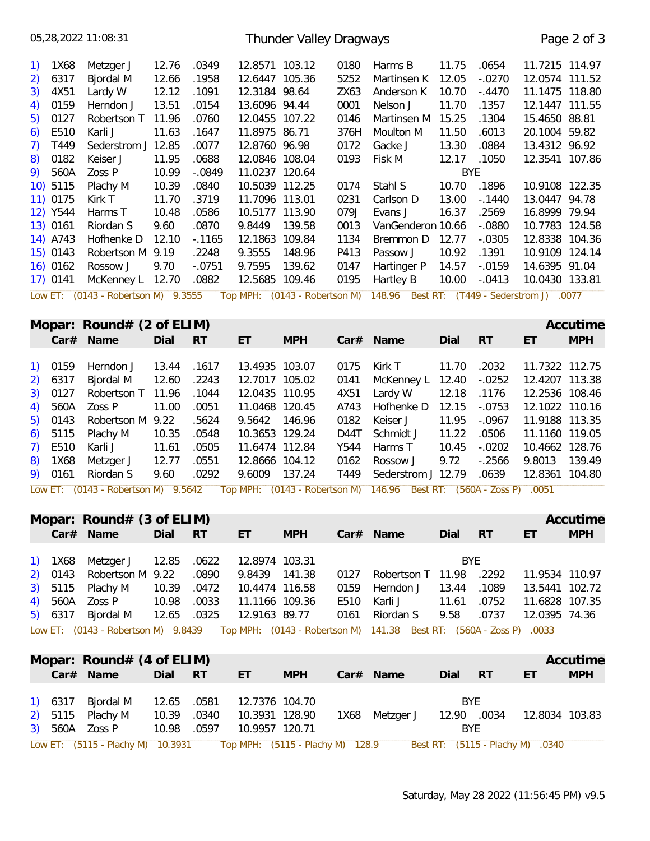|                                                 |            | 05,28,2022 11:08:31                 |       |           |                | Thunder Valley Dragways |      |                                                                           |            |           |                | Page 2 of 3 |
|-------------------------------------------------|------------|-------------------------------------|-------|-----------|----------------|-------------------------|------|---------------------------------------------------------------------------|------------|-----------|----------------|-------------|
| $\left( \begin{array}{c} 1 \end{array} \right)$ | 1X68       | Metzger J                           | 12.76 | .0349     | 12.8571        | 103.12                  | 0180 | Harms B                                                                   | 11.75      | .0654     | 11.7215 114.97 |             |
|                                                 | 2) 6317    | Bjordal M                           | 12.66 | .1958     | 12.6447        | 105.36                  | 5252 | Martinsen K                                                               | 12.05      | $-.0270$  | 12.0574 111.52 |             |
|                                                 | 3) 4X51    | Lardy W                             | 12.12 | .1091     | 12.3184 98.64  |                         | ZX63 | Anderson K                                                                | 10.70      | $-.4470$  | 11.1475 118.80 |             |
|                                                 | 4) 0159    | Herndon J                           | 13.51 | .0154     | 13.6096 94.44  |                         | 0001 | Nelson J                                                                  | 11.70      | .1357     | 12.1447 111.55 |             |
|                                                 | 5) 0127    | Robertson T                         | 11.96 | .0760     | 12.0455 107.22 |                         | 0146 | Martinsen M                                                               | 15.25      | .1304     | 15.4650 88.81  |             |
|                                                 | 6) E510    | Karli J                             | 11.63 | .1647     | 11.8975 86.71  |                         | 376H | Moulton M                                                                 | 11.50      | .6013     | 20.1004 59.82  |             |
| 7)                                              | T449       | Sederstrom J                        | 12.85 | .0077     | 12.8760 96.98  |                         | 0172 | Gacke J                                                                   | 13.30      | .0884     | 13.4312 96.92  |             |
| 8)                                              | 0182       | Keiser J                            | 11.95 | .0688     | 12.0846 108.04 |                         | 0193 | Fisk M                                                                    | 12.17      | .1050     | 12.3541 107.86 |             |
|                                                 | 9) 560A    | Zoss P                              | 10.99 | $-.0849$  | 11.0237        | 120.64                  |      |                                                                           | <b>BYE</b> |           |                |             |
|                                                 | $10)$ 5115 | Plachy M                            | 10.39 | .0840     | 10.5039 112.25 |                         | 0174 | Stahl S                                                                   | 10.70      | .1896     | 10.9108 122.35 |             |
|                                                 | $11)$ 0175 | Kirk T                              | 11.70 | .3719     | 11.7096        | 113.01                  | 0231 | Carlson D                                                                 | 13.00      | $-0.1440$ | 13.0447 94.78  |             |
|                                                 | 12) Y544   | Harms T                             | 10.48 | .0586     | 10.5177        | 113.90                  | 079J | Evans J                                                                   | 16.37      | .2569     | 16.8999 79.94  |             |
|                                                 | 13) 0161   | Riordan S                           | 9.60  | .0870     | 9.8449         | 139.58                  | 0013 | VanGenderon 10.66                                                         |            | $-.0880$  | 10.7783 124.58 |             |
|                                                 | 14) A743   | Hofhenke D                          | 12.10 | $-0.1165$ | 12.1863        | 109.84                  | 1134 | Bremmon D                                                                 | 12.77      | $-.0305$  | 12.8338 104.36 |             |
|                                                 | 15) 0143   | Robertson M 9.19                    |       | .2248     | 9.3555         | 148.96                  | P413 | Passow J                                                                  | 10.92      | .1391     | 10.9109 124.14 |             |
|                                                 | $16)$ 0162 | Rossow J                            | 9.70  | $-.0751$  | 9.7595         | 139.62                  | 0147 | Hartinger P                                                               | 14.57      | $-0.0159$ | 14.6395 91.04  |             |
|                                                 | 17) 0141   | McKenney L 12.70                    |       | .0882     | 12.5685        | 109.46                  | 0195 | Hartley B                                                                 | 10.00      | $-.0413$  | 10.0430 133.81 |             |
|                                                 |            | Low ET: (0143 - Robertson M) 9.3555 |       |           |                |                         |      | Top MPH: (0143 - Robertson M) 148.96 Best RT: (T449 - Sederstrom J) .0077 |            |           |                |             |

|         | Mopar: $Round# (2 of ELIM)$     |             |       |                |            |      |                                                                                                                                                                                                                                                                                                                                                                                                                                                           |       |        |                | Accutime   |
|---------|---------------------------------|-------------|-------|----------------|------------|------|-----------------------------------------------------------------------------------------------------------------------------------------------------------------------------------------------------------------------------------------------------------------------------------------------------------------------------------------------------------------------------------------------------------------------------------------------------------|-------|--------|----------------|------------|
|         | Car# Name                       | Dial        | RT RT | ET.            | <b>MPH</b> |      | Car# Name                                                                                                                                                                                                                                                                                                                                                                                                                                                 | Dial  | RT     | ET             | <b>MPH</b> |
|         |                                 |             |       |                |            |      |                                                                                                                                                                                                                                                                                                                                                                                                                                                           |       |        |                |            |
| 1) 0159 | Herndon J                       | 13.44       | .1617 | 13.4935 103.07 |            | 0175 | Kirk T                                                                                                                                                                                                                                                                                                                                                                                                                                                    | 11.70 | .2032  | 11.7322 112.75 |            |
|         | 2) 6317 Bjordal M               | 12.60 .2243 |       | 12.7017 105.02 |            | 0141 | McKenney L  12.40 -.0252                                                                                                                                                                                                                                                                                                                                                                                                                                  |       |        | 12.4207 113.38 |            |
|         | 3) 0127 Robertson T 11.96 .1044 |             |       | 12.0435 110.95 |            | 4X51 | Lardy W                                                                                                                                                                                                                                                                                                                                                                                                                                                   | 12.18 | .1176  | 12.2536 108.46 |            |
|         | 4) 560A Zoss P                  | 11.00       | .0051 | 11.0468 120.45 |            | A743 | Hofhenke D                                                                                                                                                                                                                                                                                                                                                                                                                                                | 12.15 | -.0753 | 12.1022 110.16 |            |
|         | 5) 0143 Robertson M 9.22 .5624  |             |       | 9.5642 146.96  |            | 0182 | Keiser J                                                                                                                                                                                                                                                                                                                                                                                                                                                  | 11.95 | -.0967 | 11.9188 113.35 |            |
|         | 6) $5115$ Plachy M              | 10.35       | .0548 | 10.3653 129.24 |            |      | D44T Schmidt J                                                                                                                                                                                                                                                                                                                                                                                                                                            | 11.22 | .0506  | 11.1160 119.05 |            |
|         | 7) E510 Karli J                 | 11.61       | .0505 | 11.6474 112.84 |            |      | Y544 Harms T                                                                                                                                                                                                                                                                                                                                                                                                                                              | 10.45 | -.0202 | 10.4662 128.76 |            |
|         | 8) 1X68 Metzger J               | 12.77       | .0551 | 12.8666 104.12 |            |      | 0162 Rossow J                                                                                                                                                                                                                                                                                                                                                                                                                                             | 9.72  | -.2566 | 9.8013         | 139.49     |
|         | 9) 0161 Riordan S               | 9.60        | .0292 | 9.6009 137.24  |            |      | T449 Sederstrom J 12.79                                                                                                                                                                                                                                                                                                                                                                                                                                   |       | .0639  | 12.8361 104.80 |            |
|         |                                 |             |       |                |            |      | $\mathcal{L}(\mathbf{A}) = \mathcal{L}(\mathbf{A}) = \mathcal{L}(\mathbf{A}) = \mathcal{L}(\mathbf{A}) = \mathcal{L}(\mathbf{A}) = \mathcal{L}(\mathbf{A}) = \mathcal{L}(\mathbf{A}) = \mathcal{L}(\mathbf{A}) = \mathcal{L}(\mathbf{A}) = \mathcal{L}(\mathbf{A}) = \mathcal{L}(\mathbf{A}) = \mathcal{L}(\mathbf{A}) = \mathcal{L}(\mathbf{A}) = \mathcal{L}(\mathbf{A}) = \mathcal{L}(\mathbf{A}) = \mathcal{L}(\mathbf{A}) = \mathcal{L}(\mathbf{A})$ |       |        |                |            |

Low ET: (0143 - Robertson M) 9.5642 Top MPH: (0143 - Robertson M) 146.96 Best RT: (560A - Zoss P) .0051

|  | Mopar: $Round# (3 of ELIM)$                                                                             |             |             |                |            |      |                              |            |       |                | Accutime   |
|--|---------------------------------------------------------------------------------------------------------|-------------|-------------|----------------|------------|------|------------------------------|------------|-------|----------------|------------|
|  | Car# Name                                                                                               | Dial        | - RT        | ET             | <b>MPH</b> |      | $Car#$ Name                  | Dial       | RT    | ET             | <b>MPH</b> |
|  |                                                                                                         |             |             |                |            |      |                              |            |       |                |            |
|  | 1) 1X68 Metzger J 12.85 .0622 12.8974 103.31                                                            |             |             |                |            |      |                              | <b>BYE</b> |       |                |            |
|  | 2) 0143 Robertson M 9.22 .0890                                                                          |             |             | 9.8439 141.38  |            |      | 2292. 0127 Robertson T 11.98 |            |       | 11.9534 110.97 |            |
|  | 3) 5115 Plachy M                                                                                        |             | 10.39 .0472 | 10.4474 116.58 |            | 0159 | Herndon J                    | 13.44      | .1089 | 13.5441 102.72 |            |
|  | 4) 560A Zoss P                                                                                          | 10.98       | .0033       | 11.1166 109.36 |            | E510 | Karli J                      | 11.61      | .0752 | 11.6828 107.35 |            |
|  | 5) 6317 Bjordal M                                                                                       | 12.65 .0325 |             | 12.9163 89.77  |            |      | 0161 Riordan S               | 9.58       | .0737 | 12.0395 74.36  |            |
|  | Low ET: (0143 - Robertson M) 9.8439 Top MPH: (0143 - Robertson M) 141.38 Best RT: (560A - Zoss P) .0033 |             |             |                |            |      |                              |            |       |                |            |

|  | Mopar: Round# (4 of ELIM)                                          |             |       |                |            |                |             |                                  |    | Accutime       |
|--|--------------------------------------------------------------------|-------------|-------|----------------|------------|----------------|-------------|----------------------------------|----|----------------|
|  | Car# Name                                                          | Dial        | RT RT | ET             | <b>MPH</b> | Car# Name      | Dial RT     |                                  | ET | <b>MPH</b>     |
|  | 1) 6317 Bjordal M 12.65 .0581                                      |             |       | 12.7376 104.70 |            |                | BYE.        |                                  |    |                |
|  | 2) 5115 Plachy M                                                   | 10.39 .0340 |       | 10.3931 128.90 |            | 1X68 Metzger J | 12.90 .0034 |                                  |    | 12.8034 103.83 |
|  | 3) 560A Zoss P                                                     | 10.98 .0597 |       | 10.9957 120.71 |            |                | <b>BYE</b>  |                                  |    |                |
|  | Low ET: (5115 - Plachy M) 10.3931 Top MPH: (5115 - Plachy M) 128.9 |             |       |                |            |                |             | Best RT: (5115 - Plachy M) .0340 |    |                |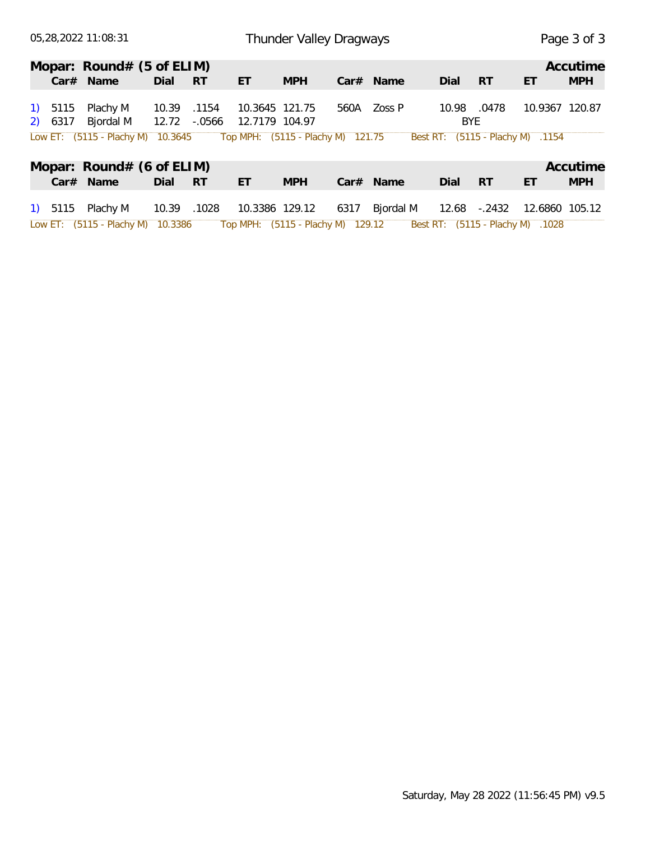|         | 05,28,2022 11:08:31               |       |           | Thunder Valley Dragways           | Page 3 of 3 |      |           |                                  |            |    |                |
|---------|-----------------------------------|-------|-----------|-----------------------------------|-------------|------|-----------|----------------------------------|------------|----|----------------|
|         | Mopar: Round# (5 of ELIM)         |       |           |                                   |             |      |           |                                  |            |    | Accutime       |
|         | $Car#$ Name                       | Dial  | <b>RT</b> | ET                                | <b>MPH</b>  |      | Car# Name | Dial                             | <b>RT</b>  | ET | <b>MPH</b>     |
| 1) 5115 | Plachy M                          | 10.39 | .1154     | 10.3645 121.75                    |             | 560A | Zoss P    | 10.98                            | .0478      |    | 10.9367 120.87 |
| 2) 6317 | Bjordal M                         | 12.72 | $-0.0566$ | 12.7179 104.97                    |             |      |           |                                  | <b>BYE</b> |    |                |
|         | Low ET: (5115 - Plachy M) 10.3645 |       |           | Top MPH: (5115 - Plachy M) 121.75 |             |      |           | Best RT: (5115 - Plachy M) .1154 |            |    |                |
|         | Mopar: Round# (6 of ELIM)         |       |           |                                   |             |      |           |                                  |            |    | Accutime       |
|         | Car# Name                         | Dial  | <b>RT</b> | ET                                | <b>MPH</b>  |      | Car# Name | Dial                             | <b>RT</b>  | ET | <b>MPH</b>     |
| 1) 5115 | Plachy M                          | 10.39 | .1028     | 10.3386 129.12                    |             | 6317 | Bjordal M | 12.68                            | -.2432     |    | 12.6860 105.12 |

Low ET: (5115 - Plachy M) 10.3386 Top MPH: (5115 - Plachy M) 129.12 Best RT: (5115 - Plachy M) .1028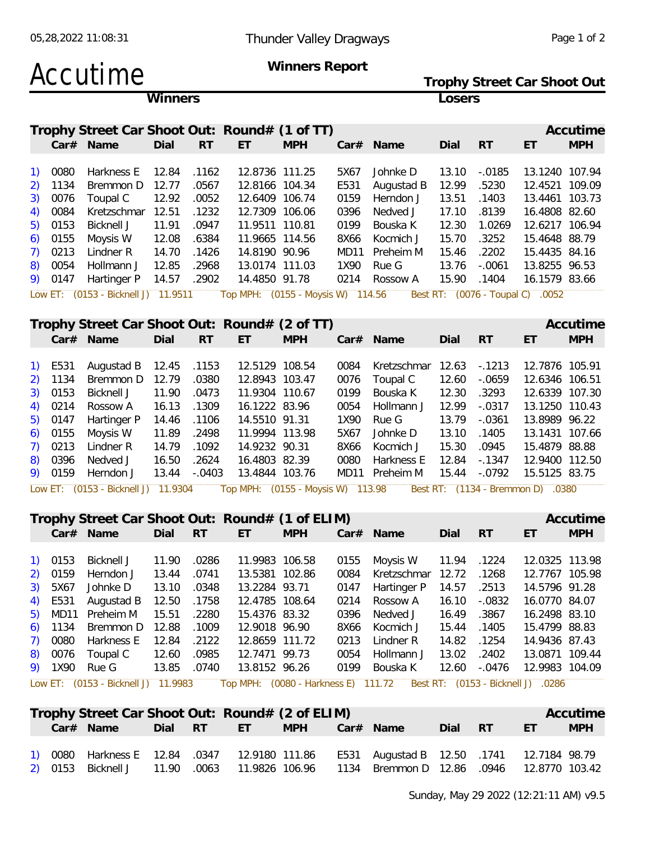## Accutime Winners Report Trophy Street Car Shoot Out

|         | Trophy Street Car Shoot Out |  |
|---------|-----------------------------|--|
| Winners | Losers                      |  |

|           | Trophy Street Car Shoot Out: Round# (1 of TT)                         |       |           |                |            |      |             |       |           |                                  | Accutime   |
|-----------|-----------------------------------------------------------------------|-------|-----------|----------------|------------|------|-------------|-------|-----------|----------------------------------|------------|
|           | Car# Name                                                             | Dial  | <b>RT</b> | ET             | <b>MPH</b> |      | $Car#$ Name | Dial  | <b>RT</b> | ET                               | <b>MPH</b> |
| 1) 0080   | Harkness E 12.84                                                      |       | .1162     | 12.8736 111.25 |            | 5X67 | Johnke D    | 13.10 | -.0185    | 13.1240 107.94                   |            |
| 2) 1134   | Bremmon D 12.77                                                       |       | .0567     | 12.8166 104.34 |            | E531 | Augustad B  | 12.99 | .5230     | 12.4521 109.09                   |            |
| 3) 0076   | Toupal C                                                              | 12.92 | .0052     | 12.6409 106.74 |            | 0159 | Herndon J   | 13.51 | .1403     | 13.4461 103.73                   |            |
| 4) 0084   | Kretzschmar 12.51                                                     |       | .1232     | 12.7309 106.06 |            | 0396 | Nedved J    | 17.10 | .8139     | 16.4808 82.60                    |            |
| $5)$ 0153 | Bicknell J                                                            | 11.91 | .0947     | 11.9511 110.81 |            | 0199 | Bouska K    | 12.30 | 1.0269    | 12.6217 106.94                   |            |
| $6)$ 0155 | Moysis W                                                              | 12.08 | .6384     | 11.9665 114.56 |            | 8X66 | Kocmich J   | 15.70 | .3252     | 15.4648 88.79                    |            |
| $7)$ 0213 | Lindner R                                                             | 14.70 | .1426     | 14.8190 90.96  |            | MD11 | Preheim M   | 15.46 | .2202     | 15.4435 84.16                    |            |
| 8) 0054   | Hollmann J                                                            | 12.85 | .2968     | 13.0174 111.03 |            |      | 1X90 Rue G  | 13.76 | $-.0061$  | 13.8255 96.53                    |            |
| 9) 0147   | Hartinger P                                                           | 14.57 | .2902     | 14.4850 91.78  |            | 0214 | Rossow A    | 15.90 | .1404     | 16.1579 83.66                    |            |
|           | Low ET: (0153 - Bicknell J) 11.9511 Top MPH: (0155 - Moysis W) 114.56 |       |           |                |            |      |             |       |           | Best RT: (0076 - Toupal C) .0052 |            |

|  | Trophy Street Car Shoot Out: Round# (2 of TT) |              |        |                |            |      |                        |       |           |                | Accutime   |
|--|-----------------------------------------------|--------------|--------|----------------|------------|------|------------------------|-------|-----------|----------------|------------|
|  | Car# Name                                     | Dial         | $- RT$ | ET.            | <b>MPH</b> |      | $Car#$ Name            | Dial  | <b>RT</b> | ET             | <b>MPH</b> |
|  |                                               |              |        |                |            |      |                        |       |           |                |            |
|  | 1) E531 Augustad B 12.45 .1153                |              |        | 12.5129 108.54 |            |      | 0084 Kretzschmar 12.63 |       | -.1213    | 12.7876 105.91 |            |
|  | 2) 1134 Bremmon D 12.79 .0380                 |              |        | 12.8943 103.47 |            | 0076 | Toupal C               | 12.60 | - 0659    | 12.6346 106.51 |            |
|  | 3) 0153 Bicknell J 11.90                      |              | .0473  | 11.9304 110.67 |            |      | 0199 Bouska K          | 12.30 | .3293     | 12.6339 107.30 |            |
|  | 4) 0214 Rossow A 16.13 .1309                  |              |        | 16.1222 83.96  |            |      | 0054 Hollmann J        | 12.99 | -.0317    | 13.1250 110.43 |            |
|  | 5) 0147 Hartinger P 14.46 .1106 14.5510 91.31 |              |        |                |            |      | 1X90 Rue G             | 13.79 | -.0361    | 13.8989 96.22  |            |
|  | 6) 0155 Moysis W                              | 11.89 .2498  |        | 11.9994 113.98 |            |      | 5X67 Johnke D          | 13.10 | .1405     | 13.1431 107.66 |            |
|  | 7) 0213 Lindner R 14.79 .1092                 |              |        | 14.9232 90.31  |            | 8X66 | Kocmich J              | 15.30 | .0945     | 15.4879 88.88  |            |
|  | 8) 0396 Nedved J                              | 16.50 .2624  |        | 16.4803 82.39  |            |      | 0080 Harkness E        | 12.84 | -.1347    | 12.9400 112.50 |            |
|  | 9) 0159 Herndon J                             | 13.44 -.0403 |        | 13.4844 103.76 |            |      | MD11 Preheim M         | 15.44 | -.0792    | 15.5125 83.75  |            |
|  |                                               |              |        |                |            |      |                        |       |           |                |            |

Low ET: (0153 - Bicknell J) 11.9304 Top MPH: (0155 - Moysis W) 113.98 Best RT: (1134 - Bremmon D) .0380

#### **Trophy Street Car Shoot Out: Round# (1 of ELIM) Accutime Accutime**

|         | Car# Name                                                                                                 | Dial        | -RT   | $\times$ et $\overline{\phantom{a}}$ | <b>MPH</b> |      | $Car#$ Name                                | Dial        | <b>RT</b> | ET             | <b>MPH</b> |
|---------|-----------------------------------------------------------------------------------------------------------|-------------|-------|--------------------------------------|------------|------|--------------------------------------------|-------------|-----------|----------------|------------|
|         |                                                                                                           |             |       |                                      |            |      |                                            |             |           |                |            |
| 1) 0153 | Bicknell J                                                                                                | 11.90       | .0286 | 11.9983 106.58                       |            |      | 0155 Moysis W                              | 11.94 .1224 |           | 12.0325 113.98 |            |
|         | $2)$ 0159 Herndon J                                                                                       | 13.44       | .0741 | 13.5381 102.86                       |            |      | 0084 Kretzschmar 12.72 .1268               |             |           | 12.7767 105.98 |            |
| 3) 5X67 | Johnke D                                                                                                  | 13.10 .0348 |       | 13.2284 93.71                        |            |      | 0147 Hartinger P 14.57 .2513 14.5796 91.28 |             |           |                |            |
|         | 4) E531 Augustad B 12.50 .1758                                                                            |             |       | 12.4785 108.64                       |            |      | 0214 Rossow A                              | 16.10       | -.0832    | 16.0770 84.07  |            |
|         | 5) MD11 Preheim M 15.51 .2280                                                                             |             |       | 15.4376 83.32                        |            |      | 0396 Nedved J                              | 16.49       | .3867     | 16.2498 83.10  |            |
|         | 6) 1134 Bremmon D 12.88 .1009                                                                             |             |       | 12.9018 96.90                        |            |      | 8X66 Kocmich J                             | 15.44 .1405 |           | 15.4799 88.83  |            |
|         | 7) 0080 Harkness E 12.84 .2122                                                                            |             |       | 12.8659 111.72                       |            | 0213 | Lindner R                                  | 14.82       | .1254     | 14.9436 87.43  |            |
|         | 8) 0076 Toupal C                                                                                          | 12.60       | .0985 | 12.7471 99.73                        |            |      | 0054 Hollmann J                            | 13.02       | .2402     | 13.0871 109.44 |            |
|         | 9) 1X90 Rue G                                                                                             | 13.85 .0740 |       | 13.8152 96.26                        |            |      | 0199 Bouska K                              | 12.60       | -.0476    | 12.9983 104.09 |            |
|         | Low ET: (0153 - Bicknell J) 11.9983 Top MPH: (0080 - Harkness E) 111.72 Best RT: (0153 - Bicknell J) 0286 |             |       |                                      |            |      |                                            |             |           |                |            |

**Trophy Street Car Shoot Out: Round# (2 of ELIM)** Accutime **Car# Name Dial RT ET MPH Car# Name Dial RT ET MPH** 1) 0080 Harkness E 12.84 .0347 12.9180 111.86 E531 Augustad B 12.50 .1741 12.7184 98.79 2) 0153 Bicknell J 11.90 .0063 11.9826 106.96 1134 Bremmon D 12.86 .0946 12.8770 103.42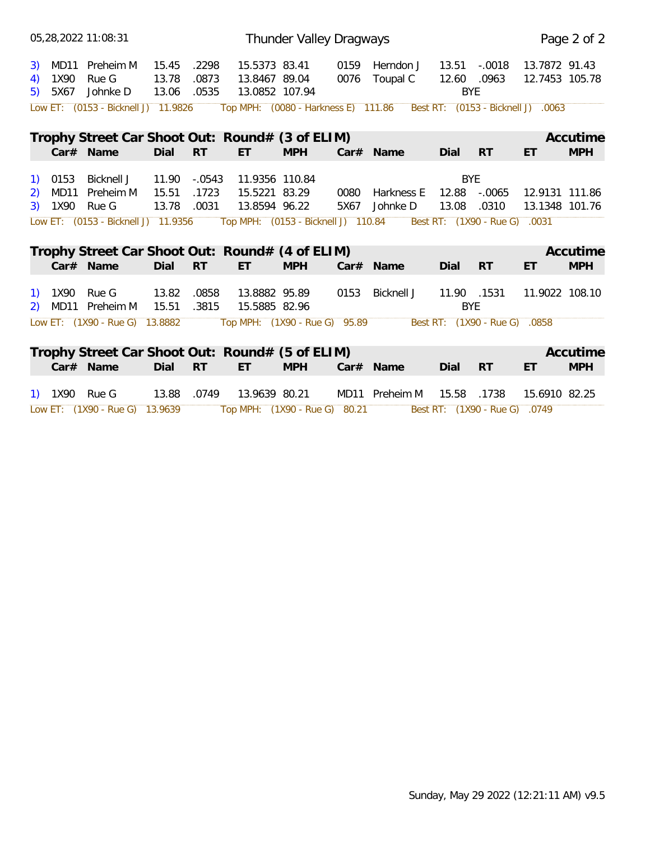|                |                   | 05,28,2022 11:08:31                                          |                         |                            |                                                  | Thunder Valley Dragways |              |                        |                                    |                               |                                    | Page 2 of 2            |
|----------------|-------------------|--------------------------------------------------------------|-------------------------|----------------------------|--------------------------------------------------|-------------------------|--------------|------------------------|------------------------------------|-------------------------------|------------------------------------|------------------------|
| 3)<br>4)<br>5) | 1X90<br>5X67      | MD11 Preheim M<br>Rue G<br>Johnke D                          | 15.45<br>13.78<br>13.06 | .2298<br>.0873<br>.0535    | 15.5373 83.41<br>13.8467 89.04<br>13.0852 107.94 |                         | 0159<br>0076 | Herndon J<br>Toupal C  | 13.51<br>12.60 .0963<br><b>BYE</b> | $-.0018$                      | 13.7872 91.43<br>12.7453 105.78    |                        |
|                |                   | Low ET: (0153 - Bicknell J) 11.9826                          |                         |                            | Top MPH: (0080 - Harkness E) 111.86              |                         |              |                        |                                    |                               | Best RT: (0153 - Bicknell J) .0063 |                        |
|                |                   | Trophy Street Car Shoot Out: Round# (3 of ELIM)              |                         |                            |                                                  |                         |              |                        |                                    |                               |                                    | Accutime               |
|                |                   | Car# Name                                                    | Dial                    | <b>RT</b>                  | ET.                                              | <b>MPH</b>              |              | Car# Name              | Dial                               | <b>RT</b>                     | ET                                 | <b>MPH</b>             |
| 2)<br>3)       | $1)$ 0153<br>1X90 | Bicknell J<br>MD11 Preheim M<br>Rue G                        | 11.90<br>15.51<br>13.78 | $-.0543$<br>.1723<br>.0031 | 11.9356 110.84<br>15.5221 83.29<br>13.8594 96.22 |                         | 0080<br>5X67 | Harkness E<br>Johnke D | <b>BYE</b><br>12.88<br>13.08       | $-.0065$<br>.0310             | 12.9131 111.86<br>13.1348 101.76   |                        |
|                |                   | Low ET: (0153 - Bicknell J) 11.9356                          |                         |                            | Top MPH: (0153 - Bicknell J) 110.84              |                         |              |                        |                                    | Best RT: (1X90 - Rue G)       | .0031                              |                        |
|                |                   | Trophy Street Car Shoot Out: Round# (4 of ELIM)<br>Car# Name | Dial                    | <b>RT</b>                  | ET.                                              | <b>MPH</b>              |              | Car# Name              | Dial                               | <b>RT</b>                     | ET                                 | Accutime<br><b>MPH</b> |
|                |                   | 1) 1X90 Rue G<br>2) MD11 Preheim M                           | 13.82<br>15.51          | .0858<br>.3815             | 13.8882 95.89<br>15.5885 82.96                   |                         |              | 0153 Bicknell J        | 11.90 .1531<br><b>BYE</b>          |                               | 11.9022 108.10                     |                        |
|                |                   | Low ET: (1X90 - Rue G) 13.8882                               |                         |                            | Top MPH: (1X90 - Rue G) 95.89                    |                         |              |                        |                                    | Best RT: (1X90 - Rue G) .0858 |                                    |                        |
|                |                   | Trophy Street Car Shoot Out: Round# (5 of ELIM)              |                         |                            |                                                  |                         |              |                        |                                    |                               |                                    | Accutime               |
|                |                   | Car# Name                                                    | Dial                    | <b>RT</b>                  | ET                                               | <b>MPH</b>              |              | Car# Name              | Dial                               | <b>RT</b>                     | ET                                 | <b>MPH</b>             |
|                |                   | 1) 1X90 Rue G                                                | 13.88                   | .0749                      | 13.9639 80.21                                    |                         |              | MD11 Preheim M         | 15.58                              | .1738                         | 15.6910 82.25                      |                        |
|                |                   | Low ET: (1X90 - Rue G) 13.9639                               |                         |                            | Top MPH: (1X90 - Rue G) 80.21                    |                         |              |                        |                                    | Best RT: (1X90 - Rue G) .0749 |                                    |                        |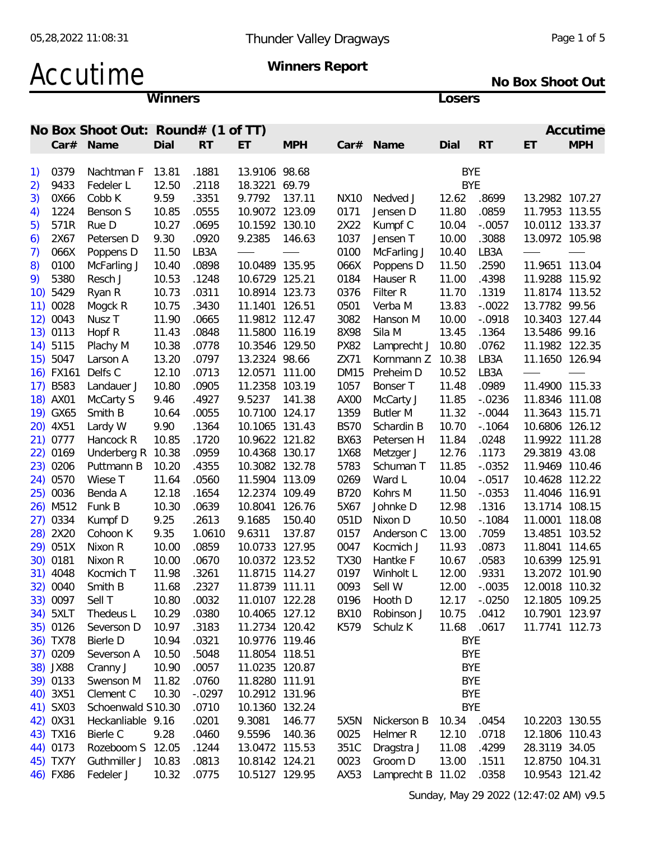# Accutime Winners Report

**No Box Shoot Out**

**Winners Losers**

|     |           | No Box Shoot Out: Round# (1 of TT) |       |           |                |            |             |                   |             |              |                | Accutime   |
|-----|-----------|------------------------------------|-------|-----------|----------------|------------|-------------|-------------------|-------------|--------------|----------------|------------|
|     |           | Car# Name                          | Dial  | <b>RT</b> | ET.            | <b>MPH</b> |             | Car# Name         | Dial        | <b>RT</b>    | ET             | <b>MPH</b> |
|     | 1) 0379   | Nachtman F 13.81                   |       | .1881     | 13.9106 98.68  |            |             |                   | BYE         |              |                |            |
|     |           |                                    |       |           | 18.3221 69.79  |            |             |                   |             |              |                |            |
| 2)  | 9433      | Fedeler L                          | 12.50 | .2118     |                |            |             |                   | <b>BYE</b>  |              |                |            |
| 3)  | 0X66      | Cobb K                             | 9.59  | .3351     | 9.7792 137.11  |            | NX10        | Nedved J          | 12.62       | .8699        | 13.2982 107.27 |            |
| 4)  | 1224      | Benson S                           | 10.85 | .0555     | 10.9072 123.09 |            | 0171        | Jensen D          | 11.80       | .0859        | 11.7953 113.55 |            |
| 5)  | 571R      | Rue D                              | 10.27 | .0695     | 10.1592 130.10 |            | 2X22        | Kumpf C           | 10.04       | $-.0057$     | 10.0112 133.37 |            |
| 6)  | 2X67      | Petersen D                         | 9.30  | .0920     | 9.2385         | 146.63     | 1037        | Jensen T          | 10.00       | .3088        | 13.0972 105.98 |            |
| 7)  | 066X      | Poppens D                          | 11.50 | LB3A      |                |            | 0100        | McFarling J       | 10.40       | LB3A         |                |            |
| 8)  | 0100      | McFarling J                        | 10.40 | .0898     | 10.0489 135.95 |            | 066X        | Poppens D         | 11.50       | .2590        | 11.9651 113.04 |            |
| 9). | 5380      | Resch J                            | 10.53 | .1248     | 10.6729 125.21 |            | 0184        | Hauser R          | 11.00       | .4398        | 11.9288 115.92 |            |
|     | 10) 5429  | Ryan R                             | 10.73 | .0311     | 10.8914 123.73 |            | 0376        | Filter R          | 11.70       | .1319        | 11.8174 113.52 |            |
|     | 11) 0028  | Mogck R                            | 10.75 | .3430     | 11.1401 126.51 |            | 0501        | Verba M           | 13.83       | $-.0022$     | 13.7782 99.56  |            |
|     | 12) 0043  | Nusz T                             | 11.90 | .0665     | 11.9812 112.47 |            | 3082        | Hanson M          | 10.00       | $-.0918$     | 10.3403 127.44 |            |
|     | 13) 0113  | Hopf R                             | 11.43 | .0848     | 11.5800 116.19 |            | 8X98        | Sila M            | 13.45       | .1364        | 13.5486 99.16  |            |
|     | 14) 5115  | Plachy M                           | 10.38 | .0778     | 10.3546 129.50 |            | <b>PX82</b> | Lamprecht J       | 10.80       | .0762        | 11.1982 122.35 |            |
|     | 15) 5047  | Larson A                           | 13.20 | .0797     | 13.2324 98.66  |            | ZX71        | Kornmann Z 10.38  |             | LB3A         | 11.1650 126.94 |            |
|     | 16) FX161 | Delfs C                            | 12.10 | .0713     | 12.0571 111.00 |            | <b>DM15</b> | Preheim D         | 10.52       | LB3A         |                |            |
|     | 17) B583  | Landauer J                         | 10.80 | .0905     | 11.2358 103.19 |            | 1057        | Bonser T          | 11.48       | .0989        | 11.4900 115.33 |            |
|     | 18) AX01  | McCarty S                          | 9.46  | .4927     | 9.5237 141.38  |            | AX00        | McCarty J         | 11.85       | $-0.0236$    | 11.8346 111.08 |            |
|     | 19) GX65  | Smith B                            | 10.64 | .0055     | 10.7100 124.17 |            | 1359        | Butler M          | 11.32       | $-.0044$     | 11.3643 115.71 |            |
|     | 20) 4X51  | Lardy W                            | 9.90  | .1364     | 10.1065 131.43 |            | <b>BS70</b> | Schardin B        | 10.70       | $-0.1064$    | 10.6806 126.12 |            |
|     | 21) 0777  | Hancock R                          | 10.85 | .1720     | 10.9622 121.82 |            | <b>BX63</b> | Petersen H        | 11.84       | .0248        | 11.9922 111.28 |            |
|     | 22) 0169  | Underberg R 10.38                  |       | .0959     | 10.4368 130.17 |            | 1X68        | Metzger J         | 12.76       | .1173        | 29.3819 43.08  |            |
|     | 23) 0206  | Puttmann B                         | 10.20 | .4355     | 10.3082 132.78 |            | 5783        | Schuman T         | 11.85       | $-0.0352$    | 11.9469 110.46 |            |
|     | 24) 0570  | Wiese T                            | 11.64 | .0560     | 11.5904 113.09 |            | 0269        | Ward L            | 10.04       | $-.0517$     | 10.4628 112.22 |            |
|     | 25) 0036  | Benda A                            | 12.18 | .1654     | 12.2374 109.49 |            | B720        | Kohrs M           | 11.50       | $-0.0353$    | 11.4046 116.91 |            |
|     | 26) M512  | Funk B                             | 10.30 | .0639     | 10.8041 126.76 |            | 5X67        | Johnke D          | 12.98       | .1316        | 13.1714 108.15 |            |
|     | 27) 0334  | Kumpf D                            | 9.25  | .2613     | 9.1685         | 150.40     | 051D        | Nixon D           | 10.50       | $-0.1084$    | 11.0001 118.08 |            |
|     | 28) 2X20  | Cohoon K                           | 9.35  | 1.0610    | 9.6311         | 137.87     | 0157        | Anderson C        | 13.00       | .7059        | 13.4851 103.52 |            |
|     | 29) 051X  | Nixon R                            | 10.00 | .0859     | 10.0733 127.95 |            | 0047        | Kocmich J         | 11.93       | .0873        | 11.8041 114.65 |            |
|     | 30) 0181  | Nixon R                            | 10.00 | .0670     | 10.0372 123.52 |            | <b>TX30</b> | Hantke F          | 10.67       | .0583        | 10.6399 125.91 |            |
|     | 31) 4048  | Kocmich T                          | 11.98 | .3261     | 11.8715 114.27 |            | 0197        | Winholt L         | 12.00       | .9331        | 13.2072 101.90 |            |
|     |           |                                    |       | .2327     | 11.8739 111.11 |            | 0093        | Sell W            | 12.00       | $-.0035$     | 12.0018 110.32 |            |
|     | 32) 0040  | Smith B                            | 11.68 |           |                |            |             | Hooth D           |             |              |                |            |
|     | 33) 0097  | Sell T                             | 10.80 | .0032     | 11.0107 122.28 |            | 0196        |                   |             | 12.17 -.0250 | 12.1805 109.25 |            |
|     | 34) 5XLT  | Thedeus L                          | 10.29 | .0380     | 10.4065 127.12 |            | BX10        | Robinson J        | 10.75 .0412 |              | 10.7901 123.97 |            |
|     | 35) 0126  | Severson D                         | 10.97 | .3183     | 11.2734 120.42 |            | K579        | Schulz K          | 11.68 .0617 |              | 11.7741 112.73 |            |
|     | 36) TX78  | Bierle D                           | 10.94 | .0321     | 10.9776 119.46 |            |             |                   | BYE         |              |                |            |
|     | 37) 0209  | Severson A                         | 10.50 | .5048     | 11.8054 118.51 |            |             |                   | <b>BYE</b>  |              |                |            |
|     | 38) JX88  | Cranny J                           | 10.90 | .0057     | 11.0235 120.87 |            |             |                   | BYE         |              |                |            |
|     | 39) 0133  | Swenson M                          | 11.82 | .0760     | 11.8280 111.91 |            |             |                   | BYE         |              |                |            |
|     | 40) 3X51  | Clement C                          | 10.30 | $-.0297$  | 10.2912 131.96 |            |             |                   | <b>BYE</b>  |              |                |            |
|     | 41) SX03  | Schoenwald S10.30                  |       | .0710     | 10.1360 132.24 |            |             |                   | <b>BYE</b>  |              |                |            |
|     | 42) 0X31  | Heckanliable 9.16                  |       | .0201     | 9.3081 146.77  |            | 5X5N        | Nickerson B       | 10.34 .0454 |              | 10.2203 130.55 |            |
|     | 43) TX16  | Bierle C                           | 9.28  | .0460     | 9.5596 140.36  |            | 0025        | Helmer R          | 12.10       | .0718        | 12.1806 110.43 |            |
|     | 44) 0173  | Rozeboom S 12.05                   |       | .1244     | 13.0472 115.53 |            | 351C        | Dragstra J        | 11.08       | .4299        | 28.3119 34.05  |            |
|     | 45) TX7Y  | Guthmiller J 10.83                 |       | .0813     | 10.8142 124.21 |            | 0023        | Groom D           | 13.00       | .1511        | 12.8750 104.31 |            |
|     | 46) FX86  | Fedeler J                          | 10.32 | .0775     | 10.5127 129.95 |            | AX53        | Lamprecht B 11.02 |             | .0358        | 10.9543 121.42 |            |
|     |           |                                    |       |           |                |            |             |                   |             |              |                |            |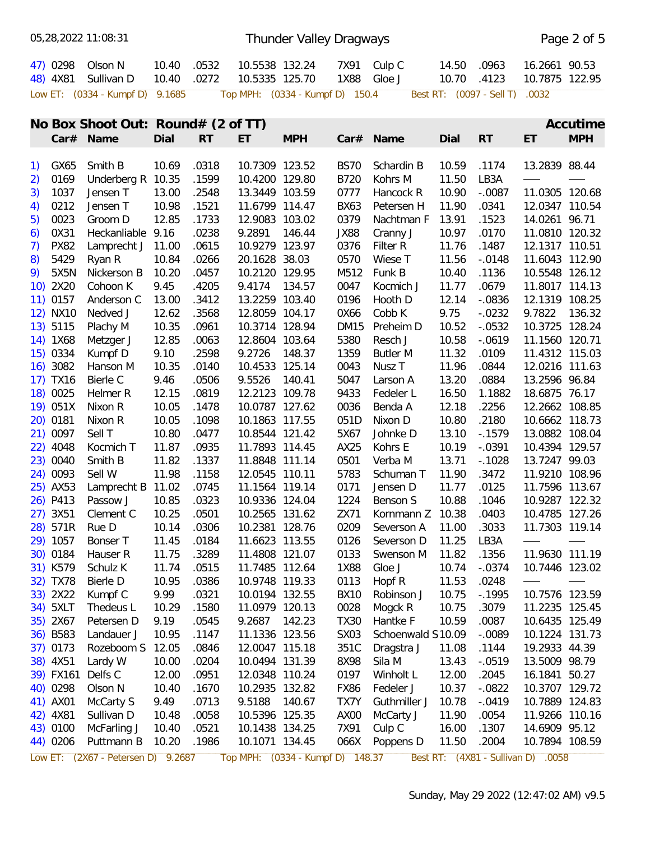|                      | 05,28,2022 11:08:31                |                |                |                                  |            | Thunder Valley Dragways |                       |                |                                |                                    | Page 2 of 5     |
|----------------------|------------------------------------|----------------|----------------|----------------------------------|------------|-------------------------|-----------------------|----------------|--------------------------------|------------------------------------|-----------------|
| 47) 0298<br>48) 4X81 | Olson N<br>Sullivan D              | 10.40<br>10.40 | .0532<br>.0272 | 10.5538 132.24<br>10.5335 125.70 |            | 1X88                    | 7X91 Culp C<br>Gloe J | 14.50<br>10.70 | .0963<br>.4123                 | 16.2661 90.53<br>10.7875 122.95    |                 |
|                      | Low ET: (0334 - Kumpf D) 9.1685    |                |                | Top MPH: (0334 - Kumpf D) 150.4  |            |                         |                       |                | Best RT: (0097 - Sell T) .0032 |                                    |                 |
|                      | No Box Shoot Out: Round# (2 of TT) |                |                |                                  |            |                         |                       |                |                                |                                    | Accutime        |
|                      | Car# Name                          | Dial           | <b>RT</b>      | ET                               | <b>MPH</b> |                         | Car# Name             | Dial           | <b>RT</b>                      | ET                                 | <b>MPH</b>      |
| 1) GX65              | Smith B                            | 10.69          | .0318          | 10.7309 123.52                   |            | <b>BS70</b>             | Schardin B            | 10.59          | .1174                          | 13.2839 88.44                      |                 |
| 0169                 | Underberg R 10.35                  |                | .1599          | 10.4200 129.80                   |            | B720                    | Kohrs M               | 11.50          | LB3A                           |                                    |                 |
| 2)<br>1037<br>3)     | Jensen T                           | 13.00          | .2548          | 13.3449 103.59                   |            | 0777                    | Hancock R             | 10.90          | $-.0087$                       | 11.0305 120.68                     |                 |
| 0212                 | Jensen T                           | 10.98          | .1521          | 11.6799 114.47                   |            | <b>BX63</b>             | Petersen H            | 11.90          | .0341                          | 12.0347 110.54                     |                 |
| 4)<br>0023           |                                    | 12.85          | .1733          | 12.9083 103.02                   |            | 0379                    | Nachtman F            | 13.91          |                                | 14.0261 96.71                      |                 |
| 5)                   | Groom D                            |                |                |                                  |            |                         |                       |                | .1523                          |                                    |                 |
| 0X31<br>6)           | Heckanliable 9.16                  |                | .0238          | 9.2891 146.44                    |            | JX88                    | Cranny J              | 10.97          | .0170                          | 11.0810 120.32                     |                 |
| <b>PX82</b><br>7)    | Lamprecht J 11.00                  |                | .0615          | 10.9279 123.97                   |            | 0376                    | Filter R              | 11.76          | .1487                          | 12.1317 110.51                     |                 |
| 5429<br>8)           | Ryan R                             | 10.84          | .0266          | 20.1628 38.03                    |            | 0570                    | Wiese T               | 11.56          | $-.0148$                       | 11.6043 112.90                     |                 |
| 5X5N<br>9)           | Nickerson B                        | 10.20          | .0457          | 10.2120 129.95                   |            | M512                    | Funk B                | 10.40          | .1136                          | 10.5548 126.12                     |                 |
| 10) 2X20             | Cohoon K                           | 9.45           | .4205          | 9.4174                           | 134.57     | 0047                    | Kocmich J             | 11.77          | .0679                          | 11.8017 114.13                     |                 |
| $11)$ 0157           | Anderson C                         | 13.00          | .3412          | 13.2259 103.40                   |            | 0196                    | Hooth D               | 12.14          | $-.0836$                       | 12.1319 108.25                     |                 |
| 12) NX10             | Nedved J                           | 12.62          | .3568          | 12.8059 104.17                   |            | 0X66                    | Cobb K                | 9.75           | $-0.0232$                      | 9.7822                             | 136.32          |
| 13) 5115             | Plachy M                           | 10.35          | .0961          | 10.3714 128.94                   |            | <b>DM15</b>             | Preheim D             | 10.52          | $-.0532$                       | 10.3725 128.24                     |                 |
| 14) 1X68             | Metzger J                          | 12.85          | .0063          | 12.8604 103.64                   |            | 5380                    | Resch J               | 10.58          | $-0619$                        | 11.1560 120.71                     |                 |
| 15) 0334             | Kumpf D                            | 9.10           | .2598          | 9.2726                           | 148.37     | 1359                    | <b>Butler M</b>       | 11.32          | .0109                          | 11.4312 115.03                     |                 |
| 16) 3082             | Hanson M                           | 10.35          | .0140          | 10.4533 125.14                   |            | 0043                    | Nusz T                | 11.96          | .0844                          | 12.0216 111.63                     |                 |
| 17) TX16             | Bierle C                           | 9.46           | .0506          | 9.5526                           | 140.41     | 5047                    | Larson A              | 13.20          | .0884                          | 13.2596 96.84                      |                 |
| 18) 0025             | Helmer R                           | 12.15          | .0819          | 12.2123 109.78                   |            | 9433                    | Fedeler L             | 16.50          | 1.1882                         | 18.6875 76.17                      |                 |
| 19) 051X             | Nixon R                            | 10.05          | .1478          | 10.0787 127.62                   |            | 0036                    | Benda A               | 12.18          | .2256                          | 12.2662 108.85                     |                 |
| 20) 0181             | Nixon R                            | 10.05          | .1098          | 10.1863 117.55                   |            | 051D                    | Nixon D               | 10.80          | .2180                          | 10.6662 118.73                     |                 |
| 21) 0097             | Sell T                             | 10.80          | .0477          | 10.8544 121.42                   |            | 5X67                    | Johnke D              | 13.10          | $-0.1579$                      | 13.0882 108.04                     |                 |
| 22) 4048             | Kocmich T                          | 11.87          | .0935          | 11.7893 114.45                   |            | AX25                    | Kohrs E               | 10.19          | $-.0391$                       | 10.4394 129.57                     |                 |
| 23) 0040             | Smith B                            | 11.82          | .1337          | 11.8848 111.14                   |            | 0501                    | Verba M               | 13.71          | $-0.1028$                      | 13.7247 99.03                      |                 |
| 24) 0093             | Sell W                             | 11.98          | .1158          | 12.0545 110.11                   |            | 5783                    | Schuman T             | 11.90          | .3472                          | 11.9210 108.96                     |                 |
| 25) AX53             | Lamprecht B 11.02                  |                | .0745          | 11.1564 119.14                   |            | 0171                    | Jensen D              | 11.77          | .0125                          | 11.7596 113.67                     |                 |
| 26) P413             | Passow J                           | 10.85          | .0323          | 10.9336 124.04                   |            | 1224                    | Benson S              | 10.88          | .1046                          | 10.9287 122.32                     |                 |
| 27) 3X51             | Clement C                          | 10.25          | .0501          | 10.2565 131.62                   |            | ZX71                    | Kornmann Z 10.38      |                | .0403                          | 10.4785 127.26                     |                 |
| 28) 571R             | Rue D                              | 10.14          | .0306          | 10.2381 128.76                   |            | 0209                    | Severson A            | 11.00          | .3033                          | 11.7303 119.14                     |                 |
| 29) 1057             | Bonser T                           | 11.45          | .0184          | 11.6623 113.55                   |            | 0126                    | Severson D            | 11.25          | LB3A                           | $\qquad \qquad$                    |                 |
| 30) 0184             | Hauser R                           | 11.75          | .3289          | 11.4808 121.07                   |            | 0133                    | Swenson M             | 11.82          | .1356                          | 11.9630 111.19                     |                 |
| 31) K579             | Schulz K                           | 11.74          | .0515          | 11.7485 112.64                   |            | 1X88                    | Gloe J                | 10.74          | $-.0374$                       | 10.7446 123.02                     |                 |
| 32) TX78             | Bierle D                           | 10.95          | .0386          | 10.9748 119.33                   |            | 0113                    | Hopf R                | 11.53          | .0248                          | $\qquad \qquad$                    | $\qquad \qquad$ |
| 33) 2X22             | Kumpf C                            | 9.99           | .0321          | 10.0194 132.55                   |            | <b>BX10</b>             | Robinson J            | 10.75          | $-0.1995$                      | 10.7576 123.59                     |                 |
| 34) 5XLT             | Thedeus L                          | 10.29          | .1580          | 11.0979 120.13                   |            | 0028                    | Mogck R               | 10.75          | .3079                          | 11.2235 125.45                     |                 |
| 35) 2X67             | Petersen D                         | 9.19           | .0545          |                                  |            | <b>TX30</b>             |                       | 10.59          |                                |                                    |                 |
|                      |                                    |                |                | 9.2687 142.23                    |            |                         | Hantke F              |                | .0087<br>$-.0089$              | 10.6435 125.49<br>10.1224 131.73   |                 |
| 36) B583             | Landauer J                         | 10.95          | .1147          | 11.1336 123.56                   |            | SX <sub>03</sub>        | Schoenwald S10.09     |                |                                |                                    |                 |
| 37) 0173             | Rozeboom S 12.05                   |                | .0846          | 12.0047 115.18                   |            | 351C                    | Dragstra J            | 11.08          | .1144                          | 19.2933 44.39                      |                 |
| 38) 4X51             | Lardy W                            | 10.00          | .0204          | 10.0494 131.39                   |            | 8X98                    | Sila M                | 13.43          | $-.0519$                       | 13.5009 98.79                      |                 |
| 39) FX161            | Delfs C                            | 12.00          | .0951          | 12.0348 110.24                   |            | 0197                    | Winholt L             | 12.00          | .2045                          | 16.1841 50.27                      |                 |
| 40) 0298             | Olson N                            | 10.40          | .1670          | 10.2935 132.82                   |            | FX86                    | Fedeler J             | 10.37          | $-.0822$                       | 10.3707 129.72                     |                 |
| 41) AX01             | McCarty S                          | 9.49           | .0713          | 9.5188                           | 140.67     | TX7Y                    | Guthmiller J          | 10.78          | $-.0419$                       | 10.7889 124.83                     |                 |
| 42) 4X81             | Sullivan D                         | 10.48          | .0058          | 10.5396 125.35                   |            | AX00                    | McCarty J             | 11.90          | .0054                          | 11.9266 110.16                     |                 |
| 43) 0100             | McFarling J                        | 10.40          | .0521          | 10.1438 134.25                   |            | 7X91                    | Culp C                | 16.00          | .1307                          | 14.6909 95.12                      |                 |
| 44) 0206             | Puttmann B                         | 10.20          | .1986          | 10.1071 134.45                   |            | 066X                    | Poppens D             | 11.50          | .2004                          | 10.7894 108.59                     |                 |
|                      | Low ET: (2X67 - Petersen D) 9.2687 |                |                | Top MPH: (0334 - Kumpf D) 148.37 |            |                         |                       |                |                                | Best RT: (4X81 - Sullivan D) .0058 |                 |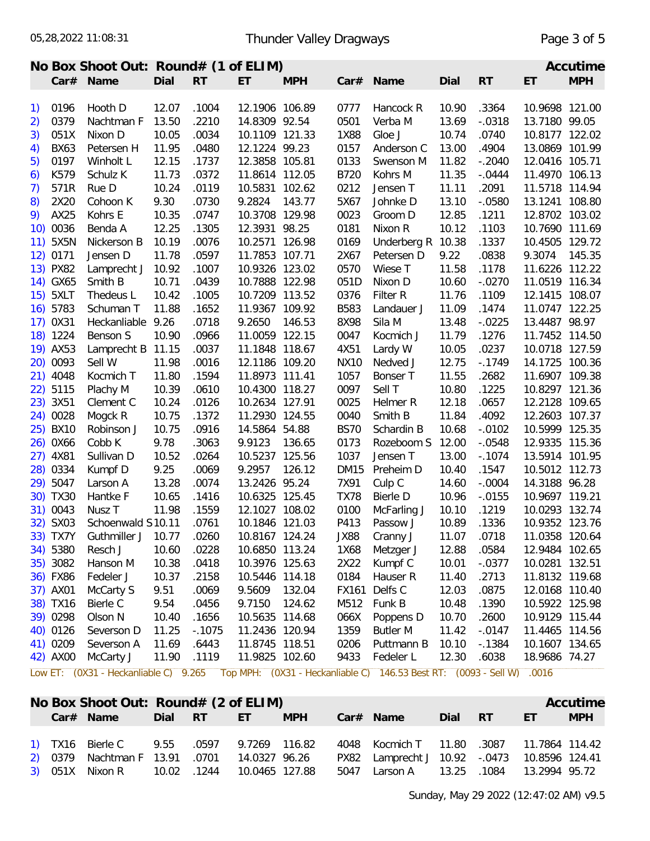|    |             | No Box Shoot Out: Round# (1 of ELIM) |         |           |                |            |             |                   |       |           |                | Accutime   |
|----|-------------|--------------------------------------|---------|-----------|----------------|------------|-------------|-------------------|-------|-----------|----------------|------------|
|    |             | Car# Name                            | Dial RT |           | ET.            | <b>MPH</b> |             | Car# Name         | Dial  | <b>RT</b> | ET             | <b>MPH</b> |
|    |             |                                      |         |           |                |            |             |                   |       |           |                |            |
|    | 1) 0196     | Hooth D                              | 12.07   | .1004     | 12.1906 106.89 |            | 0777        | Hancock R         | 10.90 | .3364     | 10.9698 121.00 |            |
| 2) | 0379        | Nachtman F                           | 13.50   | .2210     | 14.8309 92.54  |            | 0501        | Verba M           | 13.69 | $-.0318$  | 13.7180 99.05  |            |
| 3) | 051X        | Nixon D                              | 10.05   | .0034     | 10.1109 121.33 |            | 1X88        | Gloe J            | 10.74 | .0740     | 10.8177 122.02 |            |
| 4) | <b>BX63</b> | Petersen H                           | 11.95   | .0480     | 12.1224 99.23  |            | 0157        | Anderson C        | 13.00 | .4904     | 13.0869 101.99 |            |
| 5) | 0197        | Winholt L                            | 12.15   | .1737     | 12.3858 105.81 |            | 0133        | Swenson M         | 11.82 | $-.2040$  | 12.0416 105.71 |            |
| 6) | K579        | Schulz K                             | 11.73   | .0372     | 11.8614 112.05 |            | B720        | Kohrs M           | 11.35 | $-.0444$  | 11.4970 106.13 |            |
| 7) | 571R        | Rue D                                | 10.24   | .0119     | 10.5831 102.62 |            | 0212        | Jensen T          | 11.11 | .2091     | 11.5718 114.94 |            |
| 8) | 2X20        | Cohoon K                             | 9.30    | .0730     | 9.2824         | 143.77     | 5X67        | Johnke D          | 13.10 | $-0580$   | 13.1241 108.80 |            |
|    | 9) AX25     | Kohrs E                              | 10.35   | .0747     | 10.3708 129.98 |            | 0023        | Groom D           | 12.85 | .1211     | 12.8702 103.02 |            |
|    | 10) 0036    | Benda A                              | 12.25   | .1305     | 12.3931 98.25  |            | 0181        | Nixon R           | 10.12 | .1103     | 10.7690 111.69 |            |
|    | 11) 5X5N    | Nickerson B                          | 10.19   | .0076     | 10.2571 126.98 |            | 0169        | Underberg R 10.38 |       | .1337     | 10.4505 129.72 |            |
|    | 12) 0171    | Jensen D                             | 11.78   | .0597     | 11.7853 107.71 |            | 2X67        | Petersen D        | 9.22  | .0838     | 9.3074 145.35  |            |
|    | 13) PX82    | Lamprecht J 10.92                    |         | .1007     | 10.9326 123.02 |            | 0570        | Wiese T           | 11.58 | .1178     | 11.6226 112.22 |            |
|    | 14) GX65    | Smith B                              | 10.71   | .0439     | 10.7888 122.98 |            | 051D        | Nixon D           | 10.60 | $-.0270$  | 11.0519 116.34 |            |
|    | 15) 5XLT    | Thedeus L                            | 10.42   | .1005     | 10.7209 113.52 |            | 0376        | Filter R          | 11.76 | .1109     | 12.1415 108.07 |            |
|    | 16) 5783    | Schuman T                            | 11.88   | .1652     | 11.9367 109.92 |            | <b>B583</b> | Landauer J        | 11.09 | .1474     | 11.0747 122.25 |            |
|    | 17) 0X31    | Heckanliable 9.26                    |         | .0718     | 9.2650         | 146.53     | 8X98        | Sila M            | 13.48 | $-0.0225$ | 13.4487 98.97  |            |
|    | 18) 1224    | Benson S                             | 10.90   | .0966     | 11.0059 122.15 |            | 0047        | Kocmich J         | 11.79 | .1276     | 11.7452 114.50 |            |
|    | 19) AX53    | Lamprecht B 11.15                    |         | .0037     | 11.1848 118.67 |            | 4X51        | Lardy W           | 10.05 | .0237     | 10.0718 127.59 |            |
|    | 20) 0093    | Sell W                               | 11.98   | .0016     | 12.1186 109.20 |            | <b>NX10</b> | Nedved J          | 12.75 | $-0.1749$ | 14.1725 100.36 |            |
|    | 21) 4048    | Kocmich T                            | 11.80   | .1594     | 11.8973 111.41 |            | 1057        | Bonser T          | 11.55 | .2682     | 11.6907 109.38 |            |
|    | 22) 5115    | Plachy M                             | 10.39   | .0610     | 10.4300 118.27 |            | 0097        | Sell T            | 10.80 | .1225     | 10.8297 121.36 |            |
|    | 23) 3X51    | Clement C                            | 10.24   | .0126     | 10.2634 127.91 |            | 0025        | Helmer R          | 12.18 | .0657     | 12.2128 109.65 |            |
|    | 24) 0028    | Mogck R                              | 10.75   | .1372     | 11.2930 124.55 |            | 0040        | Smith B           | 11.84 | .4092     | 12.2603 107.37 |            |
|    | 25) BX10    | Robinson J                           | 10.75   | .0916     | 14.5864 54.88  |            | <b>BS70</b> | Schardin B        | 10.68 | $-.0102$  | 10.5999 125.35 |            |
|    | 26) 0X66    | Cobb K                               | 9.78    | .3063     | 9.9123         | 136.65     | 0173        | Rozeboom S        | 12.00 | $-.0548$  | 12.9335 115.36 |            |
|    | 27) 4X81    | Sullivan D                           | 10.52   | .0264     | 10.5237 125.56 |            | 1037        | Jensen T          | 13.00 | $-0.1074$ | 13.5914 101.95 |            |
|    | 28) 0334    | Kumpf D                              | 9.25    | .0069     | 9.2957         | 126.12     | <b>DM15</b> | Preheim D         | 10.40 | .1547     | 10.5012 112.73 |            |
|    | 29) 5047    | Larson A                             | 13.28   | .0074     | 13.2426 95.24  |            | 7X91        | Culp C            | 14.60 | $-.0004$  | 14.3188 96.28  |            |
|    | 30) TX30    | Hantke F                             | 10.65   | .1416     | 10.6325 125.45 |            | <b>TX78</b> | Bierle D          | 10.96 | $-0.0155$ | 10.9697 119.21 |            |
|    | 31) 0043    | Nusz T                               | 11.98   | .1559     | 12.1027 108.02 |            | 0100        | McFarling J       | 10.10 | .1219     | 10.0293 132.74 |            |
|    | 32) SX03    | Schoenwald S10.11                    |         | .0761     | 10.1846 121.03 |            | P413        | Passow J          | 10.89 | .1336     | 10.9352 123.76 |            |
|    | 33) TX7Y    | Guthmiller J                         | 10.77   | .0260     | 10.8167 124.24 |            | <b>JX88</b> | Cranny J          | 11.07 | .0718     | 11.0358 120.64 |            |
|    | 34) 5380    | Resch J                              | 10.60   | .0228     | 10.6850 113.24 |            | 1X68        | Metzger J         | 12.88 | .0584     | 12.9484 102.65 |            |
|    | 35) 3082    | Hanson M                             | 10.38   | .0418     | 10.3976 125.63 |            | 2X22        | Kumpf C           | 10.01 | $-.0377$  | 10.0281 132.51 |            |
|    | 36) FX86    | Fedeler J                            | 10.37   | .2158     | 10.5446 114.18 |            | 0184        | Hauser R          | 11.40 | .2713     | 11.8132 119.68 |            |
|    | 37) AX01    | McCarty S                            | 9.51    | .0069     | 9.5609         | 132.04     | FX161       | Delfs C           | 12.03 | .0875     | 12.0168 110.40 |            |
|    | 38) TX16    | Bierle C                             | 9.54    | .0456     | 9.7150         | 124.62     | M512        | Funk B            | 10.48 | .1390     | 10.5922 125.98 |            |
|    | 39) 0298    | Olson N                              | 10.40   | .1656     | 10.5635 114.68 |            | 066X        | Poppens D         | 10.70 | .2600     | 10.9129 115.44 |            |
|    | 40) 0126    | Severson D                           | 11.25   | $-0.1075$ | 11.2436 120.94 |            | 1359        | <b>Butler M</b>   | 11.42 | $-.0147$  | 11.4465 114.56 |            |
|    | 41) 0209    | Severson A                           | 11.69   | .6443     | 11.8745 118.51 |            | 0206        | Puttmann B        | 10.10 | $-1384$   | 10.1607 134.65 |            |
|    | 42) AX00    | McCarty J                            | 11.90   | .1119     | 11.9825 102.60 |            | 9433        | Fedeler L         | 12.30 | .6038     | 18.9686 74.27  |            |

Low ET: (0X31 - Heckanliable C) 9.265 Top MPH: (0X31 - Heckanliable C) 146.53 Best RT: (0093 - Sell W) .0016

|  | No Box Shoot Out: Round# (2 of ELIM)                                                |            |            |                                              |         |    | Accutime   |
|--|-------------------------------------------------------------------------------------|------------|------------|----------------------------------------------|---------|----|------------|
|  | Car# Name                                                                           | Dial RT ET | <b>MPH</b> | Car# Name                                    | Dial RT | ET | <b>MPH</b> |
|  |                                                                                     |            |            |                                              |         |    |            |
|  | 1) TX16 Bierle C 9.55 .0597 9.7269 116.82 4048 Kocmich T 11.80 .3087 11.7864 114.42 |            |            |                                              |         |    |            |
|  | 2) 0379 Nachtman F 13.91 .0701 14.0327 96.26                                        |            |            | PX82 Lamprecht J 10.92 -.0473 10.8596 124.41 |         |    |            |
|  | 3) 051X Nixon R 10.02 .1244 10.0465 127.88                                          |            |            |                                              |         |    |            |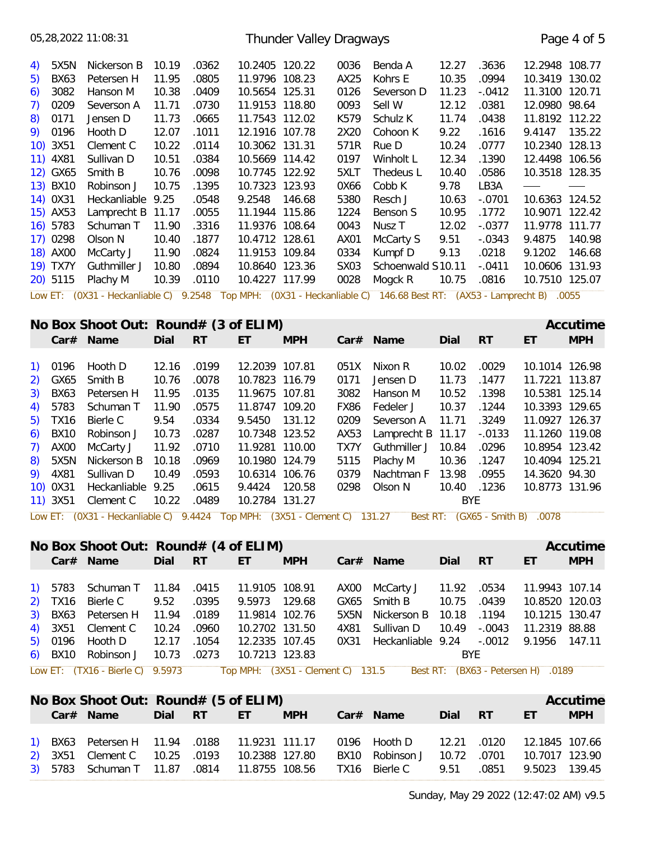05,28,2022 11:08:31 4) 5X5N Nickerson B 10.19 .0362 10.2405 120.22 0036 Benda A 12.27 .3636 12.2948 108.77 5) BX63 Petersen H 11.95 .0805 11.9796 108.23 AX25 Kohrs E 10.35 .0994 10.3419 130.02 6) 3082 Hanson M 10.38 .0409 10.5654 125.31 0126 Severson D 11.23 -.0412 11.3100 120.71 7) 0209 Severson A 11.71 .0730 11.9153 118.80 0093 Sell W 12.12 .0381 12.0980 98.64 8) 0171 Jensen D 11.73 .0665 11.7543 112.02 K579 Schulz K 11.74 .0438 11.8192 112.22 9) 0196 Hooth D 12.07 .1011 12.1916 107.78 2X20 Cohoon K 9.22 .1616 9.4147 135.22 10) 3X51 Clement C 10.22 .0114 10.3062 131.31 571R Rue D 10.24 .0777 10.2340 128.13 11) 4X81 Sullivan D 10.51 .0384 10.5669 114.42 0197 Winholt L 12.34 .1390 12.4498 106.56 12) GX65 Smith B 10.76 .0098 10.7745 122.92 5XLT Thedeus L 10.40 .0586 10.3518 128.35 13) BX10 Robinson J 10.75 .1395 10.7323 123.93 0X66 Cobb K 9.78 LB3A — —<br>14) 0X31 Heckanliable 9.25 .0548 9.2548 146.68 5380 Resch J 10.63 -.0701 10.6363 124.52 15) AX53 Lamprecht B 11.17 .0055 11.1944 115.86 1224 Benson S 10.95 .1772 10.9071 122.42 16) 5783 Schuman T 11.90 .3316 11.9376 108.64 0043 Nusz T 12.02 -.0377 11.9778 111.77 17) 0298 Olson N 10.40 .1877 10.4712 128.61 AX01 McCarty S 9.51 -.0343 9.4875 140.98 18) AX00 McCarty J 11.90 .0824 11.9153 109.84 0334 Kumpf D 9.13 .0218 9.1202 146.68 19) TX7Y Guthmiller J 10.80 .0894 10.8640 123.36 SX03 Schoenwald S10.11 -.0411 10.0606 131.93 20) 5115 Plachy M 10.39 .0110 10.4227 117.99 0028 Mogck R 10.75 .0816 10.7510 125.07 Low ET: (0X31 - Heckanliable C) 9.2548 Top MPH: (0X31 - Heckanliable C) 146.68 Best RT: (AX53 - Lamprecht B) .0055 **No Box Shoot Out: Round# (3 of FLIM) Accurate a later and accutime Accutime** Thunder Valley Dragways Thunder Valley Dragways

|         | TVO DOA SHOOT OUT. TYOUTUM TO OF LEFTING |       |           |                |            |      |                            |       |           |                | nuuunu     |
|---------|------------------------------------------|-------|-----------|----------------|------------|------|----------------------------|-------|-----------|----------------|------------|
|         | Car# Name                                | Dial  | <b>RT</b> | ET             | <b>MPH</b> |      | $Car#$ Name                | Dial  | <b>RT</b> | ET             | <b>MPH</b> |
|         |                                          |       |           |                |            |      |                            |       |           |                |            |
| 1) 0196 | Hooth D                                  | 12.16 | .0199     | 12.2039 107.81 |            | 051X | Nixon R                    | 10.02 | .0029     | 10.1014 126.98 |            |
|         | 2) GX65 Smith B                          | 10.76 | .0078     | 10.7823 116.79 |            | 0171 | Jensen D                   | 11.73 | .1477     | 11.7221 113.87 |            |
|         | 3) BX63 Petersen H                       | 11.95 | .0135     | 11.9675 107.81 |            | 3082 | Hanson M                   | 10.52 | .1398     | 10.5381 125.14 |            |
|         | 4) 5783 Schuman T                        | 11.90 | .0575     | 11.8747 109.20 |            | FX86 | Fedeler J                  | 10.37 | .1244     | 10.3393 129.65 |            |
|         | 5) TX16 Bierle C                         | 9.54  | .0334     | 9.5450 131.12  |            | 0209 | Severson A 11.71           |       | .3249     | 11.0927 126.37 |            |
|         | 6) BX10 Robinson J                       | 10.73 | .0287     | 10.7348 123.52 |            | AX53 | Lamprecht B $11.17 - 0133$ |       |           | 11.1260 119.08 |            |
|         | 7) AX00 McCarty J                        | 11.92 | .0710     | 11.9281 110.00 |            | TX7Y | Guthmiller J 10.84         |       | .0296     | 10.8954 123.42 |            |
|         | 8) 5X5N Nickerson B 10.18                |       | .0969     | 10.1980 124.79 |            | 5115 | Plachy M                   | 10.36 | .1247     | 10.4094 125.21 |            |
|         | 9) 4X81 Sullivan D                       | 10.49 | .0593     | 10.6314 106.76 |            | 0379 | Nachtman F 13.98           |       | .0955     | 14.3620 94.30  |            |
|         | 10) 0X31 Heckanliable 9.25               |       | .0615     | 9.4424 120.58  |            | 0298 | Olson N                    | 10.40 | .1236     | 10.8773 131.96 |            |
|         | 11) 3X51 Clement C 10.22                 |       | .0489     | 10.2784 131.27 |            |      |                            | BYE   |           |                |            |
|         |                                          |       |           |                |            |      |                            |       |           |                |            |

Low ET: (0X31 - Heckanliable C) 9.4424 Top MPH: (3X51 - Clement C) 131.27 Best RT: (GX65 - Smith B) .0078

|  |                                                                    | No Box Shoot Out: Round# (4 of ELIM)<br>Accutime |             |                |                |      |                                             |             |           |                                    |            |  |
|--|--------------------------------------------------------------------|--------------------------------------------------|-------------|----------------|----------------|------|---------------------------------------------|-------------|-----------|------------------------------------|------------|--|
|  | Car# Name                                                          | Dial                                             | -RT         | ET             | <b>MPH</b>     |      | $Car#$ Name                                 | Dial        | <b>RT</b> | ET                                 | <b>MPH</b> |  |
|  | 1) 5783 Schuman T 11.84 .0415                                      |                                                  |             | 11.9105 108.91 |                |      | AX00 McCarty J                              | 11.92 .0534 |           | 11.9943 107.14                     |            |  |
|  | 2) TX16 Bierle C                                                   | 9.52                                             | .0395       | 9.5973 129.68  |                |      | GX65 Smith B                                | 10.75 .0439 |           | 10.8520 120.03                     |            |  |
|  | 3) BX63 Petersen H 11.94 .0189                                     |                                                  |             | 11.9814 102.76 |                |      | 5X5N Nickerson B 10.18 .1194                |             |           | 10.1215 130.47                     |            |  |
|  | 4) 3X51 Clement C                                                  |                                                  | 10.24 .0960 | 10.2702 131.50 |                | 4X81 | Sullivan D                                  | 10.49       | -.0043    | 11.2319 88.88                      |            |  |
|  | 5) 0196 Hooth D                                                    | 12.17 .1054                                      |             |                | 12.2335 107.45 |      | 0X31 Heckanliable 9.24 -.0012 9.1956 147.11 |             |           |                                    |            |  |
|  | 6) BX10 Robinson J                                                 |                                                  | 10.73 .0273 | 10.7213 123.83 |                |      |                                             | <b>BYE</b>  |           |                                    |            |  |
|  | Low ET: (TX16 - Bierle C) 9.5973 Top MPH: (3X51 - Clement C) 131.5 |                                                  |             |                |                |      |                                             |             |           | Best RT: (BX63 - Petersen H) .0189 |            |  |

|  | No Box Shoot Out: Round# (5 of ELIM)                            |            |            |                                            |            |             |                | Accutime   |
|--|-----------------------------------------------------------------|------------|------------|--------------------------------------------|------------|-------------|----------------|------------|
|  | Car# Name                                                       | Dial RT ET | <b>MPH</b> | Car# Name                                  | Dial RT    |             | ET             | <b>MPH</b> |
|  |                                                                 |            |            |                                            |            |             |                |            |
|  | 1) BX63 Petersen H  11.94 .0188  11.9231  111.17  0196  Hooth D |            |            |                                            |            | 12.21 .0120 | 12.1845 107.66 |            |
|  | 2) 3X51 Clement C 10.25 .0193 10.2388 127.80                    |            |            | BX10 Robinson J 10.72 .0701 10.7017 123.90 |            |             |                |            |
|  | 3) 5783 Schuman T 11.87 .0814 11.8755 108.56 TX16 Bierle C      |            |            |                                            | 9.51 .0851 |             | 9.5023 139.45  |            |
|  |                                                                 |            |            |                                            |            |             |                |            |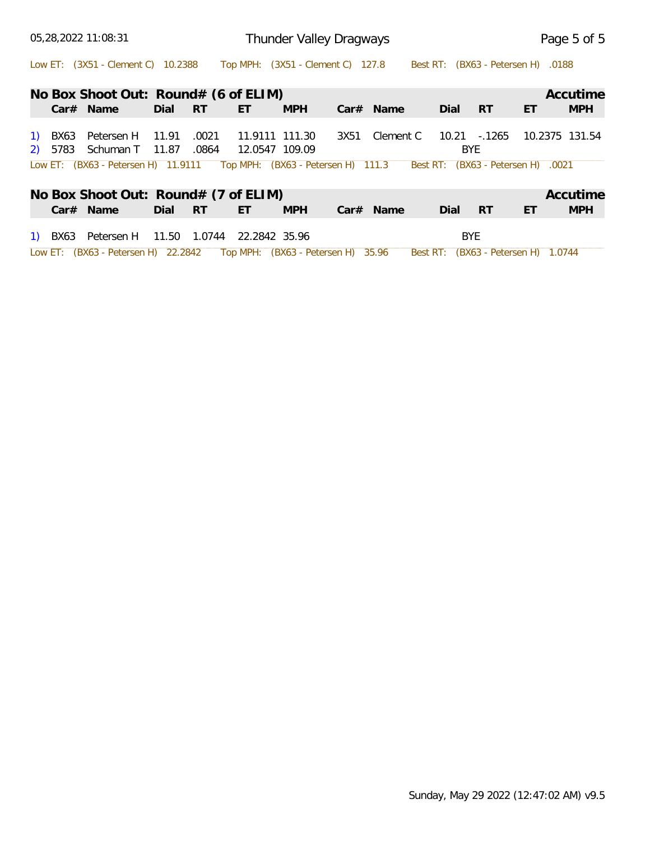| 05,28,2022 11:08:31                                                                                          | Thunder Valley Dragways                                                | Page 5 of 5                                       |
|--------------------------------------------------------------------------------------------------------------|------------------------------------------------------------------------|---------------------------------------------------|
| Low ET: (3X51 - Clement C) 10.2388 Top MPH: (3X51 - Clement C) 127.8                                         |                                                                        | Best RT: (BX63 - Petersen H) .0188                |
| No Box Shoot Out: Round# (6 of ELIM)                                                                         |                                                                        | Accutime                                          |
| $Car#$ Name<br><b>RT</b><br>Dial                                                                             | <b>MPH</b><br>$Car#$ Name<br>ET                                        | <b>RT</b><br><b>MPH</b><br>Dial<br>ET             |
| 11.91<br>.0021<br>Petersen H<br>1) BX63<br>2) 5783 Schuman T 11.87<br>.0864                                  | 11.9111 111.30<br>3X51<br>Clement C<br>12.0547 109.09                  | 10.21 -.1265<br>10.2375 131.54<br>BYE             |
|                                                                                                              | Low ET: (BX63 - Petersen H) 11.9111 Top MPH: (BX63 - Petersen H) 111.3 | Best RT: (BX63 - Petersen H) .0021                |
| No Box Shoot Out: Round# (7 of ELIM)                                                                         |                                                                        | Accutime                                          |
| $Car#$ Name<br>RT<br>Dial                                                                                    | <b>MPH</b><br>$Car#$ Name<br>ET                                        | <b>RT</b><br>ET<br><b>MPH</b><br>Dial             |
| Petersen H 11.50 1.0744<br>1) BX63<br>Low ET: (BX63 - Petersen H) 22.2842 Top MPH: (BX63 - Petersen H) 35.96 | 22.2842 35.96                                                          | <b>BYE</b><br>Best RT: (BX63 - Petersen H) 1.0744 |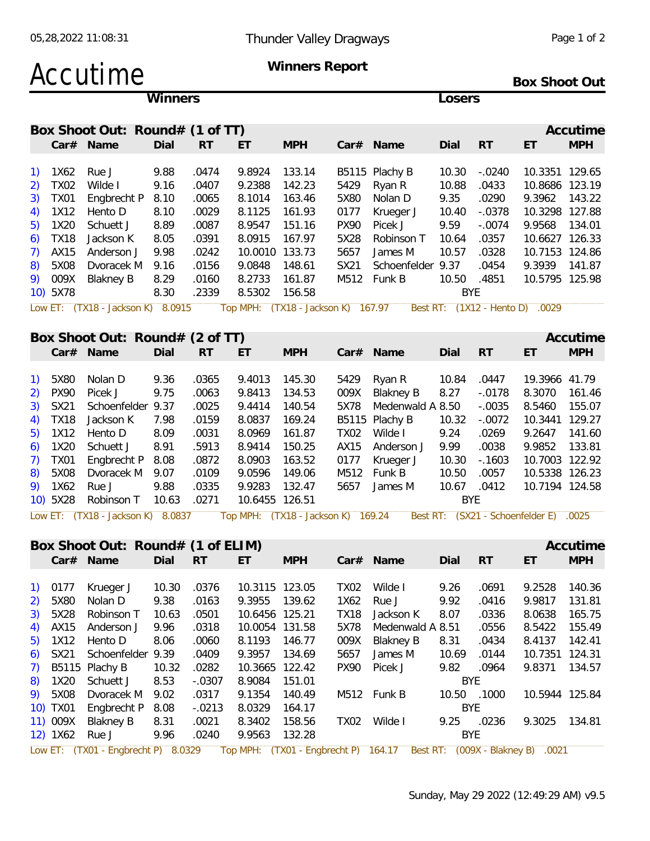| Accutime | <b>Winners Report</b> |                      |
|----------|-----------------------|----------------------|
|          |                       | <b>Box Shoot Out</b> |

|    |          |                                   | <b>Winners</b> |           |                                    |            |             |                   | Losers |            |                                 |            |
|----|----------|-----------------------------------|----------------|-----------|------------------------------------|------------|-------------|-------------------|--------|------------|---------------------------------|------------|
|    |          | Box Shoot Out: Round# (1 of TT)   |                |           |                                    |            |             |                   |        |            |                                 | Accutime   |
|    |          | $Car#$ Name                       | Dial           | <b>RT</b> | ET                                 | <b>MPH</b> |             | $Car#$ Name       | Dial   | <b>RT</b>  | ET                              | <b>MPH</b> |
|    | 1X62     | Rue J                             | 9.88           | .0474     | 9.8924                             | 133.14     |             | B5115 Plachy B    | 10.30  | $-.0240$   | 10.3351                         | 129.65     |
|    | TX02     | Wilde I                           | 9.16           | .0407     | 9.2388                             | 142.23     | 5429        | Ryan R            | 10.88  | .0433      | 10.8686                         | 123.19     |
|    | TXO1     | Engbrecht P                       | 8.10           | .0065     | 8.1014                             | 163.46     | 5X80        | Nolan D           | 9.35   | .0290      | 9.3962                          | 143.22     |
|    | 1X12     | Hento D                           | 8.10           | .0029     | 8.1125                             | 161.93     | 0177        | Krueger J         | 10.40  | $-.0378$   | 10.3298                         | 127.88     |
| 5) | 1X20     | Schuett J                         | 8.89           | .0087     | 8.9547                             | 151.16     | <b>PX90</b> | Picek J           | 9.59   | $-.0074$   | 9.9568                          | 134.01     |
|    | TX18     | Jackson K                         | 8.05           | .0391     | 8.0915                             | 167.97     | 5X28        | Robinson T        | 10.64  | .0357      | 10.6627                         | 126.33     |
|    | AX15     | Anderson J                        | 9.98           | .0242     | 10.0010                            | 133.73     | 5657        | James M           | 10.57  | .0328      | 10.7153                         | 124.86     |
|    | 5X08     | Dvoracek M                        | 9.16           | .0156     | 9.0848                             | 148.61     | SX21        | Schoenfelder 9.37 |        | .0454      | 9.3939                          | 141.87     |
| 9) | 009X     | <b>Blakney B</b>                  | 8.29           | .0160     | 8.2733                             | 161.87     | M512        | Funk B            | 10.50  | .4851      | 10.5795                         | 125.98     |
|    | 10) 5X78 |                                   | 8.30           | .2339     | 8.5302                             | 156.58     |             |                   |        | <b>BYE</b> |                                 |            |
|    |          | Low ET: (TX18 - Jackson K) 8.0915 |                |           | Top MPH: (TX18 - Jackson K) 167.97 |            |             |                   |        |            | Best RT: (1X12 - Hento D) .0029 |            |
|    |          |                                   |                |           |                                    |            |             |                   |        |            |                                 |            |
|    |          | Box Shoot Out: Round# (2 of TT)   |                |           |                                    |            |             |                   |        |            |                                 | Accutime   |
|    |          | Car# Name                         | Dial           | <b>RT</b> | ET                                 | <b>MPH</b> |             | Car# Name         | Dial   | <b>RT</b>  | ET                              | <b>MPH</b> |

|  | 1) 5X80 Nolan D 9.36                           | .0365 | 9.4013 145.30 |  |                                            |     |             | 19.3966 41.79  |  |
|--|------------------------------------------------|-------|---------------|--|--------------------------------------------|-----|-------------|----------------|--|
|  | 2) PX90 Picek J 9.75 .0063                     |       | 9.8413 134.53 |  | 009X Blakney B 8.27 -.0178 8.3070 161.46   |     |             |                |  |
|  | 3) SX21 Schoenfelder 9.37 .0025 9.4414 140.54  |       |               |  | 5X78 Medenwald A 8.50 -.0035 8.5460 155.07 |     |             |                |  |
|  | 4) TX18 Jackson K 7.98 .0159                   |       | 8.0837 169.24 |  |                                            |     |             |                |  |
|  | 5) 1X12 Hento D 8.09                           | .0031 | 8.0969 161.87 |  | TX02 Wilde I 9.24                          |     | .0269       | 9.2647 141.60  |  |
|  | 6) 1X20 Schuett J 8.91 .5913 8.9414 150.25     |       |               |  | AX15 Anderson J 9.99 .0038                 |     |             | 9.9852 133.81  |  |
|  | 7) TX01 Engbrecht P 8.08 .0872 8.0903 163.52   |       |               |  | 0177 Krueger J 10.30 -.1603                |     |             | 10.7003 122.92 |  |
|  | 8) 5X08 Dvoracek M 9.07 .0109                  |       | 9.0596 149.06 |  | M512 Funk B 10.50 .0057                    |     |             | 10.5338 126.23 |  |
|  | 9) 1X62 Rue J 9.88 .0335                       |       | 9.9283 132.47 |  | 5657 James M                               |     | 10.67 .0412 | 10.7194 124.58 |  |
|  | 10) 5X28 Robinson T 10.63 .0271 10.6455 126.51 |       |               |  |                                            | BYE |             |                |  |
|  |                                                |       |               |  |                                            |     |             |                |  |

Low ET: (TX18 - Jackson K) 8.0837 Top MPH: (TX18 - Jackson K) 169.24 Best RT: (SX21 - Schoenfelder E) .0025

| <b>RT</b><br>ET<br><b>MPH</b><br>Car# Name<br><b>MPH</b><br>Dial<br>$Car#$ Name<br>Dial<br>-RT<br>ET<br>.0376<br>$1)$ 0177<br>10.30<br>10.3115 123.05<br>Wilde I<br>.0691<br>9.2528<br>140.36<br>Krueger J<br>9.26<br>TX02<br>2) 5X80<br>9.38<br>139.62<br>9.92<br>9.9817<br>131.81<br>Nolan D<br>.0163<br>9.3955<br>Rue J<br>.0416<br>1X62<br>3) 5X28<br>Robinson T<br>10.63<br>10.6456 125.21<br>TX18<br>Jackson K<br>8.07<br>8.0638<br>165.75<br>.0501<br>.0336<br>4) AX15<br>9.96<br>.0318<br>5X78<br>8.5422<br>155.49<br>Anderson J<br>10.0054 131.58<br>Medenwald A 8.51<br>.0556<br>5) 1X12 Hento D<br>146.77<br>8.4137<br>8.06<br>8.1193<br>009X<br>Blakney B<br>8.31<br>.0434<br>142.41<br>.0060<br>6) SX21 Schoenfelder 9.39<br>134.69<br>10.7351 124.31<br>.0409<br>9.3957<br>5657<br>10.69<br>James M<br>.0144<br>10.32<br>$7)$ B5115 Plachy B<br>.0282<br>10.3665 122.42<br><b>PX90</b><br>9.82<br>.0964<br>9.8371<br>134.57<br>Picek J<br>8.53<br>8) 1X20 Schuett J<br>$-.0307$<br>8.9084<br>151.01<br>BYE |
|--------------------------------------------------------------------------------------------------------------------------------------------------------------------------------------------------------------------------------------------------------------------------------------------------------------------------------------------------------------------------------------------------------------------------------------------------------------------------------------------------------------------------------------------------------------------------------------------------------------------------------------------------------------------------------------------------------------------------------------------------------------------------------------------------------------------------------------------------------------------------------------------------------------------------------------------------------------------------------------------------------------------------|
|                                                                                                                                                                                                                                                                                                                                                                                                                                                                                                                                                                                                                                                                                                                                                                                                                                                                                                                                                                                                                          |
|                                                                                                                                                                                                                                                                                                                                                                                                                                                                                                                                                                                                                                                                                                                                                                                                                                                                                                                                                                                                                          |
|                                                                                                                                                                                                                                                                                                                                                                                                                                                                                                                                                                                                                                                                                                                                                                                                                                                                                                                                                                                                                          |
|                                                                                                                                                                                                                                                                                                                                                                                                                                                                                                                                                                                                                                                                                                                                                                                                                                                                                                                                                                                                                          |
|                                                                                                                                                                                                                                                                                                                                                                                                                                                                                                                                                                                                                                                                                                                                                                                                                                                                                                                                                                                                                          |
|                                                                                                                                                                                                                                                                                                                                                                                                                                                                                                                                                                                                                                                                                                                                                                                                                                                                                                                                                                                                                          |
|                                                                                                                                                                                                                                                                                                                                                                                                                                                                                                                                                                                                                                                                                                                                                                                                                                                                                                                                                                                                                          |
|                                                                                                                                                                                                                                                                                                                                                                                                                                                                                                                                                                                                                                                                                                                                                                                                                                                                                                                                                                                                                          |
|                                                                                                                                                                                                                                                                                                                                                                                                                                                                                                                                                                                                                                                                                                                                                                                                                                                                                                                                                                                                                          |
|                                                                                                                                                                                                                                                                                                                                                                                                                                                                                                                                                                                                                                                                                                                                                                                                                                                                                                                                                                                                                          |
| 9) 5X08<br>Dvoracek M<br>.0317<br>140.49<br>M512 Funk B<br>10.50<br>.1000<br>10.5944 125.84<br>9.1354<br>9.02                                                                                                                                                                                                                                                                                                                                                                                                                                                                                                                                                                                                                                                                                                                                                                                                                                                                                                            |
| Engbrecht P<br>$-.0213$<br>10) TX01<br>8.08<br>8.0329<br>164.17<br>BYE                                                                                                                                                                                                                                                                                                                                                                                                                                                                                                                                                                                                                                                                                                                                                                                                                                                                                                                                                   |
| Wilde I<br>11) 009X<br>.0021<br>8.3402<br>158.56<br>.0236<br>9.3025<br>134.81<br>Blakney B<br>8.31<br>TX02<br>9.25                                                                                                                                                                                                                                                                                                                                                                                                                                                                                                                                                                                                                                                                                                                                                                                                                                                                                                       |
| 12) 1X62<br>9.96<br>.0240<br>9.9563<br>132.28<br>Rue J<br><b>BYE</b>                                                                                                                                                                                                                                                                                                                                                                                                                                                                                                                                                                                                                                                                                                                                                                                                                                                                                                                                                     |

Sunday, May 29 2022 (12:49:29 AM) v9.5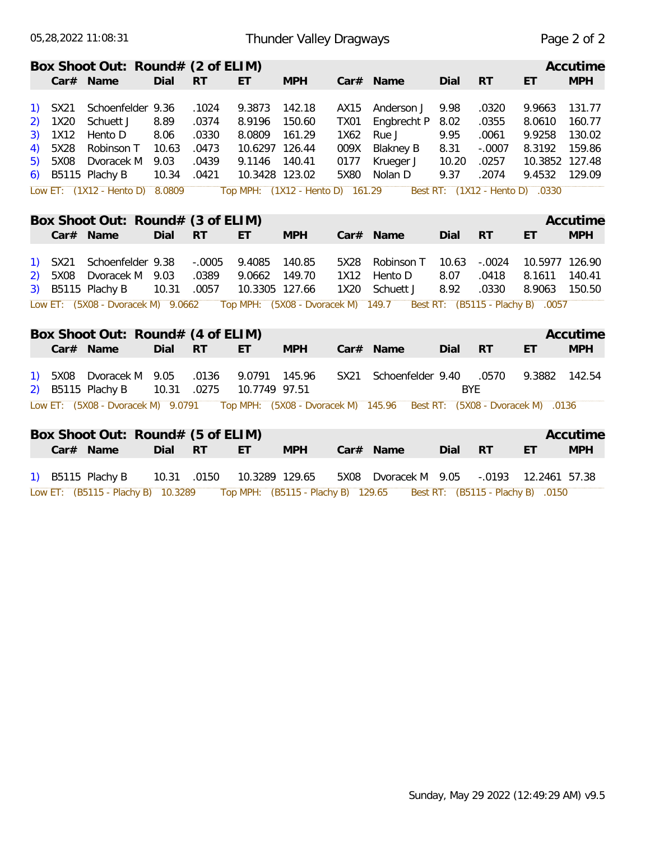| Box Shoot Out: Round# (2 of ELIM)<br>Accutime<br>Dial<br><b>MPH</b><br><b>MPH</b><br>Car# Name<br><b>RT</b><br>Dial<br><b>RT</b><br>ET.<br>Car# Name<br>ET.<br>Schoenfelder 9.36<br>9.3873<br>142.18<br>131.77<br>SX21<br>.1024<br>AX15<br>Anderson J<br>9.98<br>.0320<br>9.9663<br>1)<br>.0374<br>150.60<br>1X20<br>Schuett J<br>8.89<br>8.9196<br><b>TX01</b><br>Engbrecht P<br>8.02<br>.0355<br>8.0610<br>160.77<br>2)<br>9.9258<br>1X12<br>Hento D<br>8.06<br>.0330<br>8.0809<br>161.29<br>Rue J<br>9.95<br>.0061<br>130.02<br>3)<br>1X62<br>5X28<br>10.63<br>.0473<br><b>Blakney B</b><br>8.31<br>$-.0007$<br>8.3192<br>Robinson T<br>10.6297 126.44<br>009X<br>159.86<br>4)<br>5X08<br>Dvoracek M<br>9.03<br>.0439<br>9.1146 140.41<br>0177<br>10.20<br>.0257<br>10.3852 127.48<br>Krueger J<br>5)<br>9.37<br>9.4532<br>B5115 Plachy B<br>10.34<br>.0421<br>10.3428 123.02<br>5X80<br>Nolan D<br>.2074<br>129.09<br>6)<br>Low ET: (1X12 - Hento D) 8.0809<br>Top MPH: (1X12 - Hento D) 161.29<br>Best RT: (1X12 - Hento D) .0330<br>Box Shoot Out: Round# (3 of ELIM)<br>Accutime<br><b>MPH</b><br>Car# Name<br>Dial<br><b>RT</b><br><b>MPH</b><br>Dial<br><b>RT</b><br>ET<br>Car# Name<br>ET<br>Schoenfelder 9.38<br>$-.0005$<br>9.4085<br>140.85<br>SX21<br>5X28<br>Robinson T<br>10.63<br>$-.0024$<br>10.5977 126.90<br>$\left( \begin{matrix} 1 \end{matrix} \right)$<br>Dvoracek M 9.03<br>.0389<br>9.0662<br>149.70<br>5X08<br>1X12<br>8.07<br>.0418<br>8.1611<br>140.41<br>Hento D<br>2)<br>B5115 Plachy B<br>10.31<br>.0057<br>10.3305 127.66<br>8.92<br>.0330<br>8.9063<br>150.50<br>3)<br>1X20<br>Schuett J<br>Top MPH: (5X08 - Dvoracek M) 149.7 Best RT: (B5115 - Plachy B) .0057<br>Low ET: (5X08 - Dvoracek M) 9.0662<br>Box Shoot Out: Round# (4 of ELIM)<br>Accutime<br><b>MPH</b><br>Car# Name<br>Dial<br><b>RT</b><br><b>MPH</b><br><b>RT</b><br>ET.<br>Car# Name<br>Dial<br>ET<br>9.0791 145.96<br>5X08<br>Dvoracek M 9.05<br>.0136<br>Schoenfelder 9.40<br>.0570<br>9.3882<br>SX21<br>142.54<br>1)<br>B5115 Plachy B<br>10.31<br>.0275<br>10.7749 97.51<br><b>BYE</b><br>2)<br>Low ET: (5X08 - Dvoracek M) 9.0791<br>Top MPH: (5X08 - Dvoracek M) 145.96  Best RT: (5X08 - Dvoracek M) .0136<br>Box Shoot Out: Round# (5 of ELIM)<br>Accutime<br>Car# Name<br>Dial RT<br>ET.<br><b>MPH</b><br><b>RT</b><br><b>MPH</b><br>Car# Name<br>Dial<br>ET<br>1) B5115 Plachy B<br>.0150<br>10.3289 129.65<br>5X08<br>10.31<br>Dvoracek M 9.05<br>$-.0193$<br>12.2461 57.38<br>Low ET: (B5115 - Plachy B) 10.3289<br>Top MPH: (B5115 - Plachy B) 129.65<br>Best RT: (B5115 - Plachy B) .0150 |  | 05,28,2022 11:08:31 |  | Thunder Valley Dragways |  |  | Page 2 of 2 |
|--------------------------------------------------------------------------------------------------------------------------------------------------------------------------------------------------------------------------------------------------------------------------------------------------------------------------------------------------------------------------------------------------------------------------------------------------------------------------------------------------------------------------------------------------------------------------------------------------------------------------------------------------------------------------------------------------------------------------------------------------------------------------------------------------------------------------------------------------------------------------------------------------------------------------------------------------------------------------------------------------------------------------------------------------------------------------------------------------------------------------------------------------------------------------------------------------------------------------------------------------------------------------------------------------------------------------------------------------------------------------------------------------------------------------------------------------------------------------------------------------------------------------------------------------------------------------------------------------------------------------------------------------------------------------------------------------------------------------------------------------------------------------------------------------------------------------------------------------------------------------------------------------------------------------------------------------------------------------------------------------------------------------------------------------------------------------------------------------------------------------------------------------------------------------------------------------------------------------------------------------------------------------------------------------------------------------------------------------------------------------------------------------------------------------------------------------------------------------------------------------------------------------------------------------------------------------------------------------------------|--|---------------------|--|-------------------------|--|--|-------------|
|                                                                                                                                                                                                                                                                                                                                                                                                                                                                                                                                                                                                                                                                                                                                                                                                                                                                                                                                                                                                                                                                                                                                                                                                                                                                                                                                                                                                                                                                                                                                                                                                                                                                                                                                                                                                                                                                                                                                                                                                                                                                                                                                                                                                                                                                                                                                                                                                                                                                                                                                                                                                              |  |                     |  |                         |  |  |             |
|                                                                                                                                                                                                                                                                                                                                                                                                                                                                                                                                                                                                                                                                                                                                                                                                                                                                                                                                                                                                                                                                                                                                                                                                                                                                                                                                                                                                                                                                                                                                                                                                                                                                                                                                                                                                                                                                                                                                                                                                                                                                                                                                                                                                                                                                                                                                                                                                                                                                                                                                                                                                              |  |                     |  |                         |  |  |             |
|                                                                                                                                                                                                                                                                                                                                                                                                                                                                                                                                                                                                                                                                                                                                                                                                                                                                                                                                                                                                                                                                                                                                                                                                                                                                                                                                                                                                                                                                                                                                                                                                                                                                                                                                                                                                                                                                                                                                                                                                                                                                                                                                                                                                                                                                                                                                                                                                                                                                                                                                                                                                              |  |                     |  |                         |  |  |             |
|                                                                                                                                                                                                                                                                                                                                                                                                                                                                                                                                                                                                                                                                                                                                                                                                                                                                                                                                                                                                                                                                                                                                                                                                                                                                                                                                                                                                                                                                                                                                                                                                                                                                                                                                                                                                                                                                                                                                                                                                                                                                                                                                                                                                                                                                                                                                                                                                                                                                                                                                                                                                              |  |                     |  |                         |  |  |             |
|                                                                                                                                                                                                                                                                                                                                                                                                                                                                                                                                                                                                                                                                                                                                                                                                                                                                                                                                                                                                                                                                                                                                                                                                                                                                                                                                                                                                                                                                                                                                                                                                                                                                                                                                                                                                                                                                                                                                                                                                                                                                                                                                                                                                                                                                                                                                                                                                                                                                                                                                                                                                              |  |                     |  |                         |  |  |             |
|                                                                                                                                                                                                                                                                                                                                                                                                                                                                                                                                                                                                                                                                                                                                                                                                                                                                                                                                                                                                                                                                                                                                                                                                                                                                                                                                                                                                                                                                                                                                                                                                                                                                                                                                                                                                                                                                                                                                                                                                                                                                                                                                                                                                                                                                                                                                                                                                                                                                                                                                                                                                              |  |                     |  |                         |  |  |             |
|                                                                                                                                                                                                                                                                                                                                                                                                                                                                                                                                                                                                                                                                                                                                                                                                                                                                                                                                                                                                                                                                                                                                                                                                                                                                                                                                                                                                                                                                                                                                                                                                                                                                                                                                                                                                                                                                                                                                                                                                                                                                                                                                                                                                                                                                                                                                                                                                                                                                                                                                                                                                              |  |                     |  |                         |  |  |             |
|                                                                                                                                                                                                                                                                                                                                                                                                                                                                                                                                                                                                                                                                                                                                                                                                                                                                                                                                                                                                                                                                                                                                                                                                                                                                                                                                                                                                                                                                                                                                                                                                                                                                                                                                                                                                                                                                                                                                                                                                                                                                                                                                                                                                                                                                                                                                                                                                                                                                                                                                                                                                              |  |                     |  |                         |  |  |             |
|                                                                                                                                                                                                                                                                                                                                                                                                                                                                                                                                                                                                                                                                                                                                                                                                                                                                                                                                                                                                                                                                                                                                                                                                                                                                                                                                                                                                                                                                                                                                                                                                                                                                                                                                                                                                                                                                                                                                                                                                                                                                                                                                                                                                                                                                                                                                                                                                                                                                                                                                                                                                              |  |                     |  |                         |  |  |             |
|                                                                                                                                                                                                                                                                                                                                                                                                                                                                                                                                                                                                                                                                                                                                                                                                                                                                                                                                                                                                                                                                                                                                                                                                                                                                                                                                                                                                                                                                                                                                                                                                                                                                                                                                                                                                                                                                                                                                                                                                                                                                                                                                                                                                                                                                                                                                                                                                                                                                                                                                                                                                              |  |                     |  |                         |  |  |             |
|                                                                                                                                                                                                                                                                                                                                                                                                                                                                                                                                                                                                                                                                                                                                                                                                                                                                                                                                                                                                                                                                                                                                                                                                                                                                                                                                                                                                                                                                                                                                                                                                                                                                                                                                                                                                                                                                                                                                                                                                                                                                                                                                                                                                                                                                                                                                                                                                                                                                                                                                                                                                              |  |                     |  |                         |  |  |             |
|                                                                                                                                                                                                                                                                                                                                                                                                                                                                                                                                                                                                                                                                                                                                                                                                                                                                                                                                                                                                                                                                                                                                                                                                                                                                                                                                                                                                                                                                                                                                                                                                                                                                                                                                                                                                                                                                                                                                                                                                                                                                                                                                                                                                                                                                                                                                                                                                                                                                                                                                                                                                              |  |                     |  |                         |  |  |             |
|                                                                                                                                                                                                                                                                                                                                                                                                                                                                                                                                                                                                                                                                                                                                                                                                                                                                                                                                                                                                                                                                                                                                                                                                                                                                                                                                                                                                                                                                                                                                                                                                                                                                                                                                                                                                                                                                                                                                                                                                                                                                                                                                                                                                                                                                                                                                                                                                                                                                                                                                                                                                              |  |                     |  |                         |  |  |             |
|                                                                                                                                                                                                                                                                                                                                                                                                                                                                                                                                                                                                                                                                                                                                                                                                                                                                                                                                                                                                                                                                                                                                                                                                                                                                                                                                                                                                                                                                                                                                                                                                                                                                                                                                                                                                                                                                                                                                                                                                                                                                                                                                                                                                                                                                                                                                                                                                                                                                                                                                                                                                              |  |                     |  |                         |  |  |             |
|                                                                                                                                                                                                                                                                                                                                                                                                                                                                                                                                                                                                                                                                                                                                                                                                                                                                                                                                                                                                                                                                                                                                                                                                                                                                                                                                                                                                                                                                                                                                                                                                                                                                                                                                                                                                                                                                                                                                                                                                                                                                                                                                                                                                                                                                                                                                                                                                                                                                                                                                                                                                              |  |                     |  |                         |  |  |             |
|                                                                                                                                                                                                                                                                                                                                                                                                                                                                                                                                                                                                                                                                                                                                                                                                                                                                                                                                                                                                                                                                                                                                                                                                                                                                                                                                                                                                                                                                                                                                                                                                                                                                                                                                                                                                                                                                                                                                                                                                                                                                                                                                                                                                                                                                                                                                                                                                                                                                                                                                                                                                              |  |                     |  |                         |  |  |             |
|                                                                                                                                                                                                                                                                                                                                                                                                                                                                                                                                                                                                                                                                                                                                                                                                                                                                                                                                                                                                                                                                                                                                                                                                                                                                                                                                                                                                                                                                                                                                                                                                                                                                                                                                                                                                                                                                                                                                                                                                                                                                                                                                                                                                                                                                                                                                                                                                                                                                                                                                                                                                              |  |                     |  |                         |  |  |             |
|                                                                                                                                                                                                                                                                                                                                                                                                                                                                                                                                                                                                                                                                                                                                                                                                                                                                                                                                                                                                                                                                                                                                                                                                                                                                                                                                                                                                                                                                                                                                                                                                                                                                                                                                                                                                                                                                                                                                                                                                                                                                                                                                                                                                                                                                                                                                                                                                                                                                                                                                                                                                              |  |                     |  |                         |  |  |             |
|                                                                                                                                                                                                                                                                                                                                                                                                                                                                                                                                                                                                                                                                                                                                                                                                                                                                                                                                                                                                                                                                                                                                                                                                                                                                                                                                                                                                                                                                                                                                                                                                                                                                                                                                                                                                                                                                                                                                                                                                                                                                                                                                                                                                                                                                                                                                                                                                                                                                                                                                                                                                              |  |                     |  |                         |  |  |             |
|                                                                                                                                                                                                                                                                                                                                                                                                                                                                                                                                                                                                                                                                                                                                                                                                                                                                                                                                                                                                                                                                                                                                                                                                                                                                                                                                                                                                                                                                                                                                                                                                                                                                                                                                                                                                                                                                                                                                                                                                                                                                                                                                                                                                                                                                                                                                                                                                                                                                                                                                                                                                              |  |                     |  |                         |  |  |             |
|                                                                                                                                                                                                                                                                                                                                                                                                                                                                                                                                                                                                                                                                                                                                                                                                                                                                                                                                                                                                                                                                                                                                                                                                                                                                                                                                                                                                                                                                                                                                                                                                                                                                                                                                                                                                                                                                                                                                                                                                                                                                                                                                                                                                                                                                                                                                                                                                                                                                                                                                                                                                              |  |                     |  |                         |  |  |             |
|                                                                                                                                                                                                                                                                                                                                                                                                                                                                                                                                                                                                                                                                                                                                                                                                                                                                                                                                                                                                                                                                                                                                                                                                                                                                                                                                                                                                                                                                                                                                                                                                                                                                                                                                                                                                                                                                                                                                                                                                                                                                                                                                                                                                                                                                                                                                                                                                                                                                                                                                                                                                              |  |                     |  |                         |  |  |             |
|                                                                                                                                                                                                                                                                                                                                                                                                                                                                                                                                                                                                                                                                                                                                                                                                                                                                                                                                                                                                                                                                                                                                                                                                                                                                                                                                                                                                                                                                                                                                                                                                                                                                                                                                                                                                                                                                                                                                                                                                                                                                                                                                                                                                                                                                                                                                                                                                                                                                                                                                                                                                              |  |                     |  |                         |  |  |             |
|                                                                                                                                                                                                                                                                                                                                                                                                                                                                                                                                                                                                                                                                                                                                                                                                                                                                                                                                                                                                                                                                                                                                                                                                                                                                                                                                                                                                                                                                                                                                                                                                                                                                                                                                                                                                                                                                                                                                                                                                                                                                                                                                                                                                                                                                                                                                                                                                                                                                                                                                                                                                              |  |                     |  |                         |  |  |             |
|                                                                                                                                                                                                                                                                                                                                                                                                                                                                                                                                                                                                                                                                                                                                                                                                                                                                                                                                                                                                                                                                                                                                                                                                                                                                                                                                                                                                                                                                                                                                                                                                                                                                                                                                                                                                                                                                                                                                                                                                                                                                                                                                                                                                                                                                                                                                                                                                                                                                                                                                                                                                              |  |                     |  |                         |  |  |             |
|                                                                                                                                                                                                                                                                                                                                                                                                                                                                                                                                                                                                                                                                                                                                                                                                                                                                                                                                                                                                                                                                                                                                                                                                                                                                                                                                                                                                                                                                                                                                                                                                                                                                                                                                                                                                                                                                                                                                                                                                                                                                                                                                                                                                                                                                                                                                                                                                                                                                                                                                                                                                              |  |                     |  |                         |  |  |             |
|                                                                                                                                                                                                                                                                                                                                                                                                                                                                                                                                                                                                                                                                                                                                                                                                                                                                                                                                                                                                                                                                                                                                                                                                                                                                                                                                                                                                                                                                                                                                                                                                                                                                                                                                                                                                                                                                                                                                                                                                                                                                                                                                                                                                                                                                                                                                                                                                                                                                                                                                                                                                              |  |                     |  |                         |  |  |             |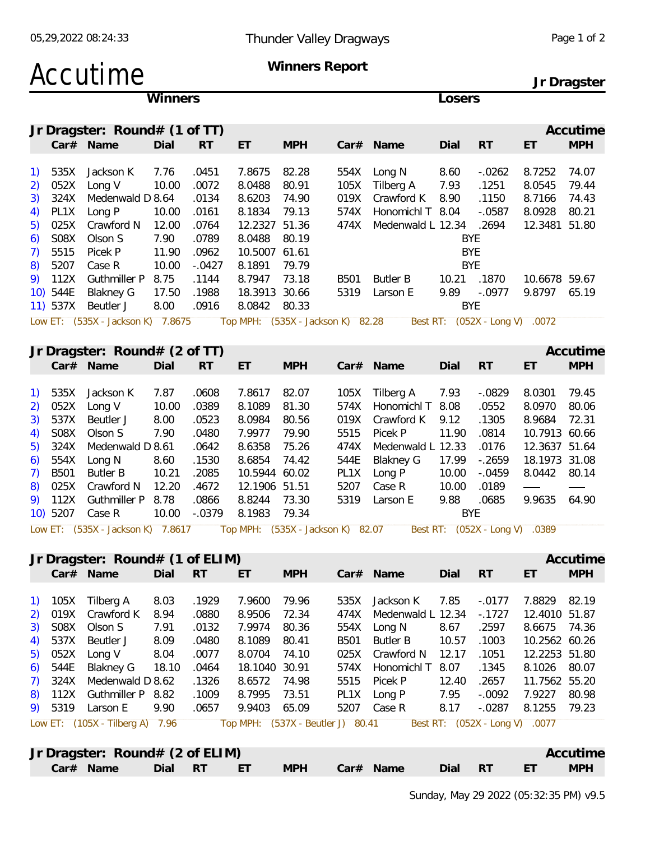### Accutime **Winners Report**

**Jr Dragster**

|                                                 |             |                                   | Winners |           |                                   |            |             |                   | Losers             |                                |               |            |
|-------------------------------------------------|-------------|-----------------------------------|---------|-----------|-----------------------------------|------------|-------------|-------------------|--------------------|--------------------------------|---------------|------------|
|                                                 |             | Jr Dragster: Round# (1 of TT)     |         |           |                                   |            |             |                   |                    |                                |               | Accutime   |
|                                                 |             | Car# Name                         | Dial    | <b>RT</b> | ET                                | <b>MPH</b> |             | Car# Name         | Dial               | RT                             | ET            | <b>MPH</b> |
| $\left( \begin{array}{c} 1 \end{array} \right)$ | 535X        | Jackson K                         | 7.76    | .0451     | 7.8675                            | 82.28      | 554X        | Long N            | 8.60               | $-0.0262$                      | 8.7252        | 74.07      |
| 2)                                              | 052X        | Long V                            | 10.00   | .0072     | 8.0488                            | 80.91      | 105X        | Tilberg A         | 7.93               | .1251                          | 8.0545        | 79.44      |
| 3)                                              | 324X        | Medenwald D 8.64                  |         | .0134     | 8.6203                            | 74.90      | 019X        | Crawford K        | 8.90               | .1150                          | 8.7166        | 74.43      |
| 4)                                              | PL1X        | Long P                            | 10.00   | .0161     | 8.1834                            | 79.13      | 574X        | Honomichl T 8.04  |                    | $-.0587$                       | 8.0928        | 80.21      |
| 5)                                              | 025X        | Crawford N                        | 12.00   | .0764     | 12.2327 51.36                     |            | 474X        | Medenwald L 12.34 |                    | .2694                          | 12.3481 51.80 |            |
| 6)                                              | S08X        | Olson S                           | 7.90    | .0789     | 8.0488                            | 80.19      |             |                   | <b>BYE</b>         |                                |               |            |
| 7)                                              | 5515        | Picek P                           | 11.90   | .0962     | 10.5007 61.61                     |            |             |                   | <b>BYE</b>         |                                |               |            |
| 8)                                              | 5207        | Case R                            | 10.00   | $-.0427$  | 8.1891                            | 79.79      |             |                   | <b>BYE</b>         |                                |               |            |
|                                                 | 9) 112X     | <b>Guthmiller P</b>               | 8.75    | .1144     | 8.7947                            | 73.18      | B501        | <b>Butler B</b>   |                    | 10.21 .1870                    | 10.6678 59.67 |            |
|                                                 | 10) 544E    | <b>Blakney G</b>                  | 17.50   | .1988     | 18.3913 30.66                     |            | 5319        | Larson E          | 9.89               | $-.0977$                       | 9.8797 65.19  |            |
|                                                 | $11)$ 537X  | Beutler J                         | 8.00    | .0916     | 8.0842 80.33                      |            |             |                   | <b>BYE</b>         |                                |               |            |
|                                                 |             | Low ET: (535X - Jackson K) 7.8675 |         |           | Top MPH: (535X - Jackson K) 82.28 |            |             |                   |                    | Best RT: (052X - Long V) .0072 |               |            |
|                                                 |             | Jr Dragster: $Round# (2 of TT)$   |         |           |                                   |            |             |                   |                    |                                |               | Accutime   |
|                                                 |             | Car# Name                         | Dial    | <b>RT</b> | ET                                | <b>MPH</b> |             | Car# Name         | Dial               | <b>RT</b>                      | ET            | <b>MPH</b> |
|                                                 |             |                                   |         |           |                                   |            |             |                   |                    |                                |               |            |
| $\left( \begin{matrix} 1 \end{matrix} \right)$  | 535X        | Jackson K                         | 7.87    | .0608     | 7.8617                            | 82.07      | 105X        | Tilberg A         | 7.93               | $-.0829$                       | 8.0301        | 79.45      |
| 2)                                              | 052X        | Long V                            | 10.00   | .0389     | 8.1089                            | 81.30      | 574X        | Honomichl T       | 8.08               | .0552                          | 8.0970        | 80.06      |
| 3)                                              | 537X        | Beutler J                         | 8.00    | .0523     | 8.0984                            | 80.56      | 019X        | Crawford K        | 9.12               | .1305                          | 8.9684        | 72.31      |
| 4)                                              | S08X        | Olson S                           | 7.90    | .0480     | 7.9977                            | 79.90      | 5515        | Picek P           | 11.90              | .0814                          | 10.7913 60.66 |            |
| 5)                                              | 324X        | Medenwald D 8.61                  |         | .0642     | 8.6358                            | 75.26      | 474X        | Medenwald L 12.33 |                    | .0176                          | 12.3637 51.64 |            |
| 6)                                              | 554X        | Long N                            | 8.60    | .1530     | 8.6854                            | 74.42      | 544E        | <b>Blakney G</b>  | 17.99              | $-0.2659$                      | 18.1973 31.08 |            |
| 7)                                              | <b>B501</b> | <b>Butler B</b>                   | 10.21   | .2085     | 10.5944 60.02                     |            | PL1X        |                   | 10.00              | $-0.0459$                      | 8.0442        | 80.14      |
|                                                 |             |                                   |         |           |                                   |            |             | Long P            |                    |                                |               |            |
| 8)                                              | 025X        | Crawford N                        | 12.20   | .4672     | 12.1906 51.51                     |            | 5207        | Case R            | 10.00              | .0189                          |               |            |
| 9)                                              | 112X        | <b>Guthmiller P</b>               | 8.78    | .0866     | 8.8244                            | 73.30      | 5319        | Larson E          | 9.88<br><b>BYE</b> | .0685                          | 9.9635        | 64.90      |
|                                                 | 10) 5207    | Case R                            | 10.00   | $-.0379$  | 8.1983                            | 79.34      |             |                   |                    |                                |               |            |
|                                                 |             | Low ET: (535X - Jackson K) 7.8617 |         |           | Top MPH: (535X - Jackson K) 82.07 |            |             |                   |                    | Best RT: (052X - Long V)       | .0389         |            |
|                                                 |             | Jr Dragster: $Round# (1 of ELIM)$ |         |           |                                   |            |             |                   |                    |                                |               | Accutime   |
|                                                 |             | Car# Name                         | Dial    | <b>RT</b> | ET                                | <b>MPH</b> |             | Car# Name         | Dial               | <b>RT</b>                      | ET            | <b>MPH</b> |
| $\left( \begin{matrix} 1 \end{matrix} \right)$  | 105X        | Tilberg A                         | 8.03    | .1929     | 7.9600                            | 79.96      | 535X        | Jackson K         | 7.85               | $-.0177$                       | 7.8829        | 82.19      |
| 2)                                              | 019X        | Crawford K                        | 8.94    | .0880     | 8.9506                            | 72.34      | 474X        | Medenwald L 12.34 |                    | $-0.1727$                      | 12.4010 51.87 |            |
| 3)                                              | S08X        | Olson S                           | 7.91    | .0132     | 7.9974                            | 80.36      | 554X        | Long N            | 8.67               | .2597                          | 8.6675 74.36  |            |
| 4)                                              | 537X        | Beutler J                         | 8.09    | .0480     | 8.1089                            | 80.41      | <b>B501</b> | <b>Butler B</b>   | 10.57              | .1003                          | 10.2562 60.26 |            |
| 5)                                              | 052X        | Long V                            | 8.04    | .0077     | 8.0704                            | 74.10      | 025X        | Crawford N        | 12.17              | .1051                          | 12.2253 51.80 |            |
| 6)                                              | 544E        | <b>Blakney G</b>                  | 18.10   | .0464     | 18.1040 30.91                     |            | 574X        | Honomichl T       | 8.07               | .1345                          | 8.1026 80.07  |            |
| 7)                                              | 324X        | Medenwald D 8.62                  |         | .1326     | 8.6572                            | 74.98      | 5515        | Picek P           | 12.40              | .2657                          | 11.7562 55.20 |            |
| 8)                                              | 112X        | Guthmiller P 8.82                 |         | .1009     | 8.7995                            | 73.51      | PL1X        | Long P            | 7.95               | $-.0092$                       | 7.9227        | 80.98      |
|                                                 | 9) 5319     | Larson E                          | 9.90    | .0657     | 9.9403                            | 65.09      | 5207        | Case R            | 8.17               | $-.0287$                       | 8.1255        | 79.23      |
|                                                 |             | Low ET: (105X - Tilberg A) 7.96   |         |           | Top MPH: (537X - Beutler J) 80.41 |            |             |                   |                    | Best RT: (052X - Long V) .0077 |               |            |
|                                                 |             |                                   |         |           |                                   |            |             |                   |                    |                                |               |            |
|                                                 |             | Jr Dragster: $Round# (2 of ELIM)$ |         |           |                                   |            |             |                   |                    |                                |               | Accutime   |
|                                                 |             | Car# Name                         | Dial RT |           | $E_{\rm T}$ $E_{\rm T}$           | <b>MPH</b> |             | Car# Name         | Dial               | RT <sub>1</sub>                | ET            | <b>MPH</b> |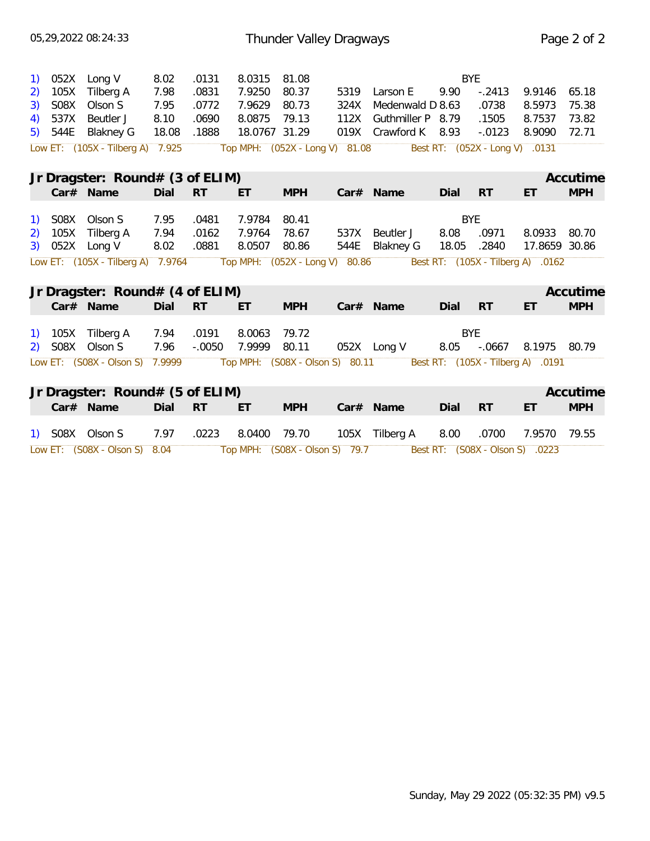|    | 052X    | Long V                            | 8.02  | .0131     | 8.0315                          | 81.08      |      |                      |                                | <b>BYE</b>  |                                   |            |
|----|---------|-----------------------------------|-------|-----------|---------------------------------|------------|------|----------------------|--------------------------------|-------------|-----------------------------------|------------|
|    | 105X    | Tilberg A                         | 7.98  | .0831     | 7.9250                          | 80.37      | 5319 | Larson E             | 9.90                           | $-.2413$    | 9.9146                            | 65.18      |
| 3) | S08X    | Olson S                           | 7.95  | .0772     | 7.9629                          | 80.73      | 324X | Medenwald D 8.63     |                                | .0738       | 8.5973                            | 75.38      |
| 4) | 537X    | Beutler J                         | 8.10  | .0690     | 8.0875                          | 79.13      | 112X | Guthmiller P 8.79    |                                | .1505       | 8.7537                            | 73.82      |
|    | 5) 544E | Blakney G                         | 18.08 | .1888     | 18.0767 31.29                   |            |      | 019X Crawford K 8.93 |                                | $-.0123$    | 8.9090                            | 72.71      |
|    |         | Low ET: (105X - Tilberg A) 7.925  |       |           | Top MPH: (052X - Long V) 81.08  |            |      |                      | Best RT: (052X - Long V) .0131 |             |                                   |            |
|    |         |                                   |       |           |                                 |            |      |                      |                                |             |                                   | Accutime   |
|    |         | Jr Dragster: Round# (3 of ELIM)   |       |           |                                 |            |      |                      |                                |             |                                   |            |
|    |         | Car# Name                         | Dial  | RT        | ET                              | <b>MPH</b> |      | $Car#$ Name          | Dial                           | <b>RT</b>   | ET                                | <b>MPH</b> |
|    | 1) SO8X | Olson S                           | 7.95  | .0481     | 7.9784                          | 80.41      |      |                      |                                | <b>BYE</b>  |                                   |            |
|    |         | 2) 105X Tilberg A                 | 7.94  | .0162     | 7.9764                          | 78.67      | 537X | Beutler J            | 8.08                           | .0971       | 8.0933                            | 80.70      |
|    |         | 3) 052X Long V                    | 8.02  | .0881     | 8.0507                          | 80.86      | 544E | <b>Blakney G</b>     | 18.05                          | .2840       | 17.8659 30.86                     |            |
|    |         | Low ET: (105X - Tilberg A) 7.9764 |       |           | Top MPH: (052X - Long V) 80.86  |            |      |                      |                                |             | Best RT: (105X - Tilberg A) .0162 |            |
|    |         |                                   |       |           |                                 |            |      |                      |                                |             |                                   |            |
|    |         | Jr Dragster: $Round# (4 of ELIM)$ |       |           |                                 |            |      |                      |                                |             |                                   | Accutime   |
|    |         | Car# Name                         | Dial  | <b>RT</b> | ET                              | <b>MPH</b> |      | Car# Name            | Dial                           | <b>RT</b>   | ET                                | <b>MPH</b> |
|    |         |                                   |       |           |                                 |            |      |                      |                                |             |                                   |            |
|    |         | 1) 105X Tilberg A                 | 7.94  | .0191     | 8.0063                          | 79.72      |      |                      |                                | <b>BYE</b>  |                                   |            |
|    |         | 2) SO8X Olson S                   | 7.96  | $-.0050$  | 7.9999                          | 80.11      |      | 052X Long V          |                                | 8.05 -.0667 | 8.1975                            | 80.79      |
|    |         | Low ET: (S08X - Olson S) 7.9999   |       |           | Top MPH: (S08X - Olson S) 80.11 |            |      |                      |                                |             | Best RT: (105X - Tilberg A) .0191 |            |
|    |         |                                   |       |           |                                 |            |      |                      |                                |             |                                   |            |
|    |         | Jr Dragster: $Round# (5 of ELIM)$ |       |           |                                 |            |      |                      |                                |             |                                   | Accutime   |
|    |         | Car# Name                         | Dial  | <b>RT</b> | ET                              | <b>MPH</b> |      | Car# Name            | Dial                           | <b>RT</b>   | ET                                | <b>MPH</b> |
|    |         |                                   |       |           |                                 |            |      |                      |                                |             |                                   |            |
|    |         | 1) SO8X Olson S                   | 7.97  | .0223     | 8.0400                          | 79.70      |      | 105X Tilberg A       | 8.00                           | .0700       | 7.9570                            | 79.55      |
|    |         | Low ET: (S08X - Olson S)          | 8.04  |           | Top MPH: (S08X - Olson S) 79.7  |            |      |                      | Best RT: (S08X - Olson S)      |             | .0223                             |            |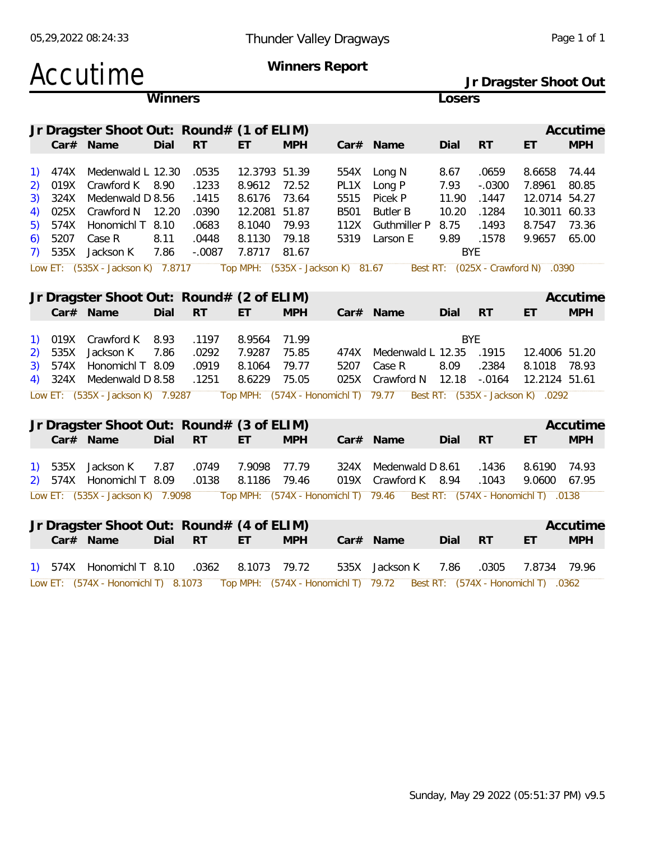|                                        |                                                      | Accutime                                                                                                                                               |                       |                                                                |                                                                                  | Winners Report                                                                 |                                              |                                                                                                             |                                                              |                                                       | Jr Dragster Shoot Out                                                                                              |                         |
|----------------------------------------|------------------------------------------------------|--------------------------------------------------------------------------------------------------------------------------------------------------------|-----------------------|----------------------------------------------------------------|----------------------------------------------------------------------------------|--------------------------------------------------------------------------------|----------------------------------------------|-------------------------------------------------------------------------------------------------------------|--------------------------------------------------------------|-------------------------------------------------------|--------------------------------------------------------------------------------------------------------------------|-------------------------|
|                                        |                                                      |                                                                                                                                                        | Winners               |                                                                |                                                                                  |                                                                                |                                              |                                                                                                             | Losers                                                       |                                                       |                                                                                                                    |                         |
|                                        |                                                      | Jr Dragster Shoot Out: Round# (1 of ELIM)<br>Car# Name                                                                                                 | Dial                  | <b>RT</b>                                                      | ET                                                                               | <b>MPH</b>                                                                     |                                              | Car# Name                                                                                                   | Dial                                                         | RT                                                    | ET                                                                                                                 | Accutime<br><b>MPH</b>  |
| 1)<br>2)<br>3)<br>4)<br>5)<br>6)<br>7) | 474X<br>019X<br>324X<br>025X<br>574X<br>5207<br>535X | Medenwald L 12.30<br>Crawford K 8.90<br>Medenwald D 8.56<br>Crawford N<br>Honomichl T 8.10<br>Case R<br>Jackson K<br>Low ET: (535X - Jackson K) 7.8717 | 12.20<br>8.11<br>7.86 | .0535<br>.1233<br>.1415<br>.0390<br>.0683<br>.0448<br>$-.0087$ | 12.3793 51.39<br>8.9612<br>8.6176<br>12.2081 51.87<br>8.1040<br>8.1130<br>7.8717 | 72.52<br>73.64<br>79.93<br>79.18<br>81.67<br>Top MPH: (535X - Jackson K) 81.67 | 554X<br>PL1X<br>5515<br>B501<br>112X<br>5319 | Long N<br>Long P<br>Picek P<br><b>Butler B</b><br>Guthmiller P<br>Larson E                                  | 8.67<br>7.93<br>11.90<br>10.20<br>8.75<br>9.89<br><b>BYE</b> | .0659<br>$-.0300$<br>.1447<br>.1284<br>.1493<br>.1578 | 8.6658<br>7.8961<br>12.0714 54.27<br>10.3011 60.33<br>8.7547 73.36<br>9.9657<br>Best RT: (025X - Crawford N) .0390 | 74.44<br>80.85<br>65.00 |
|                                        |                                                      | Jr Dragster Shoot Out: Round# (2 of ELIM)<br>Car# Name                                                                                                 | Dial                  | <b>RT</b>                                                      | ET.                                                                              | <b>MPH</b>                                                                     |                                              | Car# Name                                                                                                   | Dial                                                         | <b>RT</b>                                             | ET                                                                                                                 | Accutime<br><b>MPH</b>  |
| 1)<br>2)<br>3)<br>4)                   | 019X<br>535X<br>574X                                 | Crawford K<br>Jackson K<br>Honomichl T 8.09<br>324X Medenwald D 8.58                                                                                   | 8.93<br>7.86          | .1197<br>.0292<br>.0919<br>.1251                               | 8.9564<br>7.9287<br>8.1064<br>8.6229                                             | 71.99<br>75.85<br>79.77<br>75.05                                               | 474X<br>5207<br>025X                         | Medenwald L 12.35<br>Case R<br>Crawford N 12.18                                                             | <b>BYE</b><br>8.09                                           | .1915<br>.2384<br>$-.0164$                            | 12.4006 51.20<br>8.1018<br>12.2124 51.61                                                                           | 78.93                   |
|                                        |                                                      | Low ET: (535X - Jackson K) 7.9287                                                                                                                      |                       |                                                                |                                                                                  |                                                                                |                                              | Top MPH: (574X - Honomichl T) 79.77  Best RT: (535X - Jackson K) .0292                                      |                                                              |                                                       |                                                                                                                    |                         |
|                                        |                                                      | Jr Dragster Shoot Out: Round# (3 of ELIM)<br>Car# Name                                                                                                 | Dial                  | <b>RT</b>                                                      | ET                                                                               | <b>MPH</b>                                                                     |                                              | Car# Name                                                                                                   | Dial                                                         | RT                                                    | ET                                                                                                                 | Accutime<br><b>MPH</b>  |
| <u>1)</u><br>2)                        | 535X                                                 | Jackson K<br>574X Honomichl T 8.09                                                                                                                     | 7.87                  | .0749<br>.0138                                                 | 7.9098<br>8.1186                                                                 | 77.79<br>79.46                                                                 |                                              | 324X Medenwald D 8.61<br>019X Crawford K 8.94                                                               |                                                              | .1436<br>.1043                                        | 8.6190<br>9.0600                                                                                                   | 74.93<br>67.95          |
|                                        |                                                      | Low ET: (535X - Jackson K) 7.9098                                                                                                                      |                       |                                                                |                                                                                  |                                                                                |                                              | Top MPH: (574X - Honomichl T) 79.46 Best RT: (574X - Honomichl T) .0138                                     |                                                              |                                                       |                                                                                                                    |                         |
|                                        |                                                      | Jr Dragster Shoot Out: Round# (4 of ELIM)<br>Car# Name                                                                                                 | Dial                  | <b>RT</b>                                                      | ET                                                                               | <b>MPH</b>                                                                     |                                              | Car# Name                                                                                                   | Dial                                                         | RT                                                    | ET                                                                                                                 | Accutime<br><b>MPH</b>  |
|                                        |                                                      | 1) 574X Honomichl T 8.10                                                                                                                               |                       | .0362                                                          | 8.1073                                                                           | 79.72                                                                          | 535X                                         | Jackson K                                                                                                   | 7.86                                                         | .0305                                                 | 7.8734                                                                                                             | 79.96                   |
|                                        |                                                      |                                                                                                                                                        |                       |                                                                |                                                                                  |                                                                                |                                              | Low ET: (574X - Honomichl T) 8.1073 Top MPH: (574X - Honomichl T) 79.72 Best RT: (574X - Honomichl T) .0362 |                                                              |                                                       |                                                                                                                    |                         |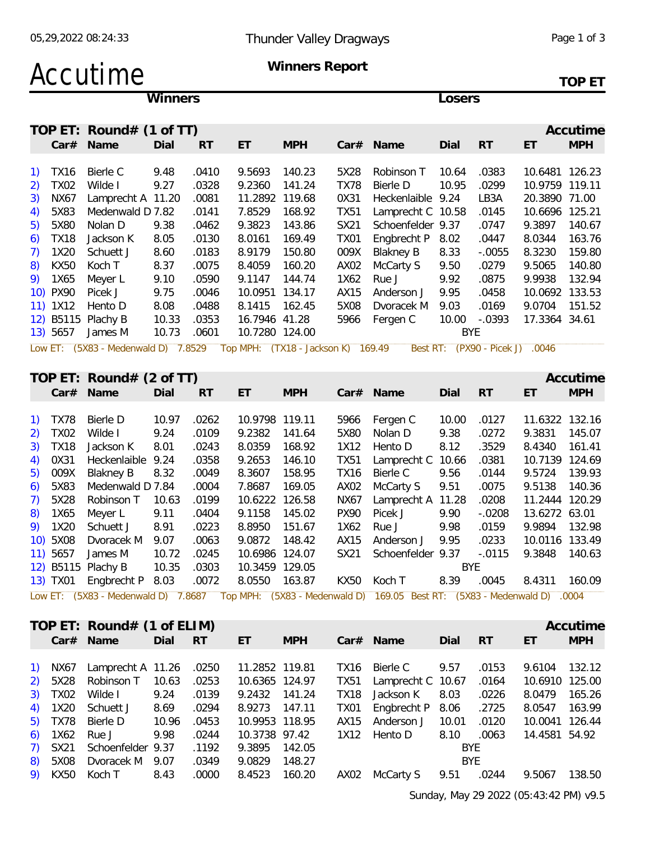# Accutime Winners Report

**TOP ET**

**Winners Losers**

| TOP ET: Round# (1 of TT)                            |                                    |                   |       |                                 |                | Accutime   |
|-----------------------------------------------------|------------------------------------|-------------------|-------|---------------------------------|----------------|------------|
| <b>RT</b><br>Car# Name<br>ET<br>Dial                | <b>MPH</b>                         | $Car#$ Name       | Dial  | <b>RT</b>                       | ET             | <b>MPH</b> |
|                                                     |                                    |                   |       |                                 |                |            |
| 1) TX16<br>Bierle C<br>9.48<br>.0410<br>9.5693      | 140.23<br>5X28                     | Robinson T        | 10.64 | .0383                           | 10.6481 126.23 |            |
| 2) TX02<br>Wilde I<br>9.27<br>.0328<br>9.2360       | 141.24<br><b>TX78</b>              | Bierle D          | 10.95 | .0299                           | 10.9759 119.11 |            |
| 3)<br>NX67<br>Lamprecht A 11.20<br>.0081<br>11.2892 | 119.68<br>0X31                     | Heckenlaible 9.24 |       | LB3A                            | 20.3890 71.00  |            |
| 4) 5X83<br>Medenwald D 7.82<br>7.8529<br>.0141      | 168.92<br><b>TX51</b>              | Lamprecht C 10.58 |       | .0145                           | 10.6696 125.21 |            |
| 5) 5X80<br>9.3823<br>Nolan D<br>9.38<br>.0462       | 143.86<br>SX21                     | Schoenfelder 9.37 |       | .0747                           | 9.3897         | 140.67     |
| $6)$ TX18<br>Jackson K<br>8.05<br>.0130<br>8.0161   | 169.49<br>TX01                     | Engbrecht P       | 8.02  | .0447                           | 8.0344         | 163.76     |
| $7)$ 1X20<br>Schuett J<br>8.60<br>.0183<br>8.9179   | 150.80<br>009X                     | Blakney B         | 8.33  | $-0.0055$                       | 8.3230         | 159.80     |
| 8)<br>KX50<br>8.37<br>.0075<br>8.4059<br>Koch T     | 160.20<br>AX02                     | McCarty S         | 9.50  | .0279                           | 9.5065         | 140.80     |
| 9) 1X65<br>9.10<br>.0590<br>Meyer L<br>9.1147       | 144.74<br>1X62                     | Rue J             | 9.92  | .0875                           | 9.9938         | 132.94     |
| 10) PX90<br>9.75<br>Picek J<br>10.0951<br>.0046     | 134.17<br>AX15                     | Anderson J        | 9.95  | .0458                           | 10.0692 133.53 |            |
| 11) 1X12<br>8.08<br>Hento D<br>.0488<br>8.1415      | 162.45<br>5X08                     | Dvoracek M        | 9.03  | .0169                           | 9.0704         | 151.52     |
| 12) B5115 Plachy B<br>10.33<br>.0353                | 16.7946 41.28<br>5966              | Fergen C          | 10.00 | $-.0393$                        | 17.3364 34.61  |            |
| .0601<br>10.73<br>13) 5657<br>James M               | 10.7280 124.00                     |                   | BYE.  |                                 |                |            |
| Low ET: (5X83 - Medenwald D) 7.8529                 | Top MPH: (TX18 - Jackson K) 169.49 |                   |       | Best RT: (PX90 - Picek J) .0046 |                |            |
|                                                     |                                    |                   |       |                                 |                |            |
| TOP ET: Round# $(2$ of TT)                          |                                    |                   |       |                                 |                | Accutime   |

|          | $Car#$ Name               | Dial  | <b>RT</b> | ET             | <b>MPH</b> | Car# | Name                                                                                                       | Dial  | <b>RT</b> | ET             | <b>MPH</b> |
|----------|---------------------------|-------|-----------|----------------|------------|------|------------------------------------------------------------------------------------------------------------|-------|-----------|----------------|------------|
|          |                           |       |           |                |            |      |                                                                                                            |       |           |                |            |
| 1) TX78  | Bierle D                  | 10.97 | .0262     | 10.9798 119.11 |            | 5966 | Fergen C                                                                                                   | 10.00 | .0127     | 11.6322 132.16 |            |
| 2) TX02  | Wilde I                   | 9.24  | .0109     | 9.2382         | 141.64     | 5X80 | Nolan D                                                                                                    | 9.38  | .0272     | 9.3831         | 145.07     |
| 3) TX18  | Jackson K                 | 8.01  | .0243     | 8.0359         | 168.92     | 1X12 | Hento D                                                                                                    | 8.12  | .3529     | 8.4340         | 161.41     |
| 4) 0X31  | Heckenlaible 9.24         |       | .0358     | 9.2653         | 146.10     | TX51 | Lamprecht C 10.66                                                                                          |       | .0381     | 10.7139 124.69 |            |
| 5) 009X  | <b>Blakney B</b>          | 8.32  | .0049     | 8.3607         | 158.95     | TX16 | Bierle C                                                                                                   | 9.56  | .0144     | 9.5724         | 139.93     |
| 6) 5X83  | Medenwald D 7.84          |       | .0004     | 7.8687         | 169.05     | AX02 | McCarty S                                                                                                  | 9.51  | .0075     | 9.5138         | 140.36     |
| 7) 5X28  | Robinson T                | 10.63 | .0199     | 10.6222 126.58 |            | NX67 | Lamprecht A 11.28                                                                                          |       | .0208     | 11.2444 120.29 |            |
| 8) 1X65  | Meyer L                   | 9.11  | .0404     | 9.1158         | 145.02     | PX90 | Picek J                                                                                                    | 9.90  | $-.0208$  | 13.6272 63.01  |            |
| 9) 1X20  | Schuett J                 | 8.91  | .0223     | 8.8950         | 151.67     | 1X62 | Rue J                                                                                                      | 9.98  | .0159     | 9.9894         | 132.98     |
| 10) 5X08 | Dvoracek M                | 9.07  | .0063     | 9.0872         | 148.42     | AX15 | Anderson J                                                                                                 | 9.95  | .0233     | 10.0116 133.49 |            |
| 11) 5657 | James M                   | 10.72 | .0245     | 10.6986 124.07 |            | SX21 | Schoenfelder 9.37                                                                                          |       | $-.0115$  | 9.3848         | 140.63     |
|          | 12) B5115 Plachy B        | 10.35 | .0303     | 10.3459 129.05 |            |      |                                                                                                            |       | BYE       |                |            |
|          | 13) TX01 Engbrecht P 8.03 |       | .0072     | 8.0550         | 163.87     | KX50 | Koch T                                                                                                     | 8.39  | .0045     | 8.4311         | 160.09     |
|          |                           |       |           |                |            |      | Low ET: (EX83, Moderwald D) 7,8687, Top MDH: (EX83, Moderwald D) 160.05 Rost DT: (EX83, Moderwald D), 0004 |       |           |                |            |

Low ET: (5X83 - Medenwald D) 7.8687 Top MPH: (5X83 - Medenwald D) 169.05 Best RT: (5X83 - Medenwald D) .0004

|  | TOP ET: Round# (1 of ELIM)      |       |                 |                |                            |                               |            |           |                | Accutime   |
|--|---------------------------------|-------|-----------------|----------------|----------------------------|-------------------------------|------------|-----------|----------------|------------|
|  | Car# Name                       | Dial  | RT <sub>R</sub> | ET             | <b>MPH</b>                 | $Car#$ Name                   | Dial       | <b>RT</b> | ET             | <b>MPH</b> |
|  |                                 |       |                 |                |                            |                               |            |           |                |            |
|  | 1) NX67 Lamprecht A 11.26 .0250 |       |                 | 11.2852 119.81 |                            | TX16 Bierle C                 | 9.57       | .0153     | 9.6104         | 132.12     |
|  | 2) 5X28 Robinson T 10.63 .0253  |       |                 | 10.6365 124.97 |                            | 10.67 .0164 .0151 .0161 .0164 |            |           | 10.6910 125.00 |            |
|  | 3) TX02 Wilde I 9.24            |       | .0139           | 9.2432 141.24  |                            | TX18 Jackson K                | 8.03       | .0226     | 8.0479         | 165.26     |
|  | 4) 1X20 Schuett J               | 8.69  | .0294           | 8.9273 147.11  |                            | TX01 Engbrecht P 8.06         |            | .2725     | 8.0547         | 163.99     |
|  | 5) TX78 Bierle D                | 10.96 | .0453           | 10.9953 118.95 |                            | AX15 Anderson J 10.01         |            | .0120     | 10.0041 126.44 |            |
|  | 6) 1X62 Rue J                   | 9.98  | .0244           |                | 10.3738 97.42 1X12 Hento D |                               | 8.10       | .0063     | 14.4581 54.92  |            |
|  | 7) SX21 Schoenfelder 9.37       |       | .1192           | 9.3895 142.05  |                            |                               | <b>BYE</b> |           |                |            |
|  | 8) 5X08 Dvoracek M 9.07         |       | .0349           | 9.0829         | 148.27                     |                               | BYE.       |           |                |            |
|  | 9) KX50 Koch T                  | 8.43  | .0000           | 8.4523 160.20  |                            | AX02 McCarty S                | 9.51       | .0244     | 9.5067         | 138.50     |
|  |                                 |       |                 |                |                            |                               |            |           |                |            |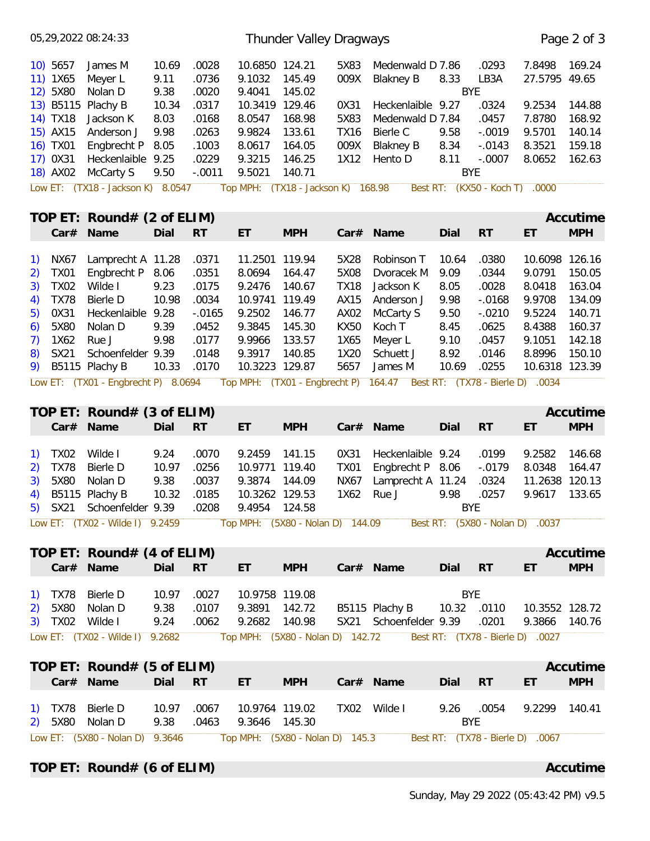|                                                |                                    | 05,29,2022 08:24:33                                               |                       |                         |                                    | Thunder Valley Dragways            |                                 |                                                                       |                    |                                  |                         | Page 2 of 3      |
|------------------------------------------------|------------------------------------|-------------------------------------------------------------------|-----------------------|-------------------------|------------------------------------|------------------------------------|---------------------------------|-----------------------------------------------------------------------|--------------------|----------------------------------|-------------------------|------------------|
|                                                | $10)$ 5657<br>11) 1X65<br>12) 5X80 | James M<br>Meyer L<br>Nolan D                                     | 10.69<br>9.11<br>9.38 | .0028<br>.0736<br>.0020 | 10.6850 124.21<br>9.1032<br>9.4041 | 145.49<br>145.02                   | 5X83<br>009X                    | Medenwald D 7.86<br><b>Blakney B</b>                                  | 8.33<br><b>BYE</b> | .0293<br>LB3A                    | 7.8498<br>27.5795 49.65 | 169.24           |
|                                                | 14) TX18                           | 13) B5115 Plachy B<br>Jackson K                                   | 10.34<br>8.03         | .0317<br>.0168          | 10.3419 129.46<br>8.0547           | 168.98                             | 0X31<br>5X83                    | Heckenlaible 9.27<br>Medenwald D 7.84                                 |                    | .0324<br>.0457                   | 9.2534<br>7.8780        | 144.88<br>168.92 |
|                                                | 15) AX15                           | Anderson J                                                        | 9.98                  | .0263                   | 9.9824                             | 133.61                             | <b>TX16</b>                     | Bierle C                                                              | 9.58               | $-.0019$                         | 9.5701                  | 140.14           |
|                                                | 16) TX01                           | Engbrecht P                                                       | 8.05                  | .1003                   | 8.0617                             | 164.05                             | 009X                            | <b>Blakney B</b>                                                      | 8.34               | $-.0143$                         | 8.3521                  | 159.18           |
|                                                | 17) 0X31                           | Heckenlaible 9.25                                                 |                       | .0229                   | 9.3215                             | 146.25                             | 1X12                            | Hento D                                                               | 8.11               | $-.0007$                         | 8.0652                  | 162.63           |
|                                                | 18) AX02                           | McCarty S                                                         | 9.50                  | $-.0011$                | 9.5021                             | 140.71                             |                                 |                                                                       | <b>BYE</b>         |                                  |                         |                  |
|                                                |                                    | Low ET: (TX18 - Jackson K) 8.0547                                 |                       |                         |                                    | Top MPH: (TX18 - Jackson K) 168.98 |                                 |                                                                       |                    | Best RT: (KX50 - Koch T) .0000   |                         |                  |
|                                                |                                    | TOP ET: Round# $(2 \text{ of ELIM})$                              |                       |                         |                                    |                                    |                                 |                                                                       |                    |                                  |                         | Accutime         |
|                                                | Car#                               | Name                                                              | Dial                  | <b>RT</b>               | ET                                 | <b>MPH</b>                         |                                 | Car# Name                                                             | Dial               | <b>RT</b>                        | ET                      | <b>MPH</b>       |
| <sup>1</sup>                                   | NX67                               | Lamprecht A 11.28                                                 |                       | .0371                   | 11.2501 119.94                     |                                    | 5X28                            | Robinson T                                                            | 10.64              | .0380                            | 10.6098 126.16          |                  |
| 2)                                             | <b>TX01</b>                        | Engbrecht P 8.06                                                  |                       | .0351                   | 8.0694                             | 164.47                             | 5X08                            | Dvoracek M                                                            | 9.09               | .0344                            | 9.0791                  | 150.05           |
| 3)                                             | <b>TX02</b>                        | Wilde I                                                           | 9.23                  | .0175                   | 9.2476                             | 140.67                             | <b>TX18</b>                     | Jackson K                                                             | 8.05               | .0028                            | 8.0418                  | 163.04           |
| 4)                                             | <b>TX78</b>                        | <b>Bierle D</b>                                                   | 10.98                 | .0034                   | 10.9741                            | 119.49                             | AX15                            | Anderson J                                                            | 9.98               | $-.0168$                         | 9.9708                  | 134.09           |
| 5)<br>6)                                       | 0X31<br>5X80                       | Heckenlaible 9.28<br>Nolan D                                      | 9.39                  | $-0.0165$<br>.0452      | 9.2502<br>9.3845                   | 146.77<br>145.30                   | AX <sub>02</sub><br><b>KX50</b> | McCarty S<br>Koch T                                                   | 9.50<br>8.45       | $-.0210$<br>.0625                | 9.5224<br>8.4388        | 140.71<br>160.37 |
| 7)                                             | 1X62                               | Rue J                                                             | 9.98                  | .0177                   | 9.9966                             | 133.57                             | 1X65                            | Meyer L                                                               | 9.10               | .0457                            | 9.1051                  | 142.18           |
| 8)                                             | SX21                               | Schoenfelder 9.39                                                 |                       | .0148                   | 9.3917                             | 140.85                             | 1X20                            | Schuett J                                                             | 8.92               | .0146                            | 8.8996                  | 150.10           |
| 9)                                             |                                    | B5115 Plachy B                                                    | 10.33                 | .0170                   | 10.3223 129.87                     |                                    | 5657                            | James M                                                               | 10.69              | .0255                            | 10.6318 123.39          |                  |
|                                                |                                    | Low ET: (TX01 - Engbrecht P) 8.0694                               |                       |                         |                                    |                                    |                                 | Top MPH: (TX01 - Engbrecht P) 164.47 Best RT: (TX78 - Bierle D) .0034 |                    |                                  |                         |                  |
|                                                |                                    | TOP ET: Round# $(3 \text{ of ELIM})$                              |                       |                         |                                    |                                    |                                 |                                                                       |                    |                                  |                         | Accutime         |
|                                                |                                    | Car# Name                                                         | Dial                  | <b>RT</b>               | ET                                 | <b>MPH</b>                         |                                 | Car# Name                                                             | Dial               | <b>RT</b>                        | ET                      | <b>MPH</b>       |
| $\left( \begin{matrix} 1 \end{matrix} \right)$ | <b>TX02</b>                        | Wilde I                                                           | 9.24                  | .0070                   | 9.2459                             | 141.15                             | 0X31                            | Heckenlaible                                                          | 9.24               | .0199                            | 9.2582                  | 146.68           |
| 2)                                             | <b>TX78</b>                        | <b>Bierle D</b>                                                   | 10.97                 | .0256                   | 10.9771 119.40                     |                                    | <b>TX01</b>                     | Engbrecht P 8.06                                                      |                    | $-.0179$                         | 8.0348                  | 164.47           |
| 3)                                             | 5X80                               | Nolan D                                                           | 9.38                  | .0037                   | 9.3874                             | 144.09                             | <b>NX67</b>                     | Lamprecht A 11.24                                                     |                    | .0324                            | 11.2638 120.13          |                  |
| 4)                                             |                                    | B5115 Plachy B                                                    | 10.32                 | .0185                   | 10.3262 129.53                     |                                    | 1X62                            | Rue J                                                                 | 9.98               | .0257                            | 9.9617 133.65           |                  |
|                                                |                                    | 5) SX21 Schoenfelder 9.39                                         |                       |                         | .0208 9.4954 124.58                |                                    |                                 |                                                                       | <b>BYE</b>         |                                  |                         |                  |
|                                                |                                    | Low ET: (TX02 - Wilde I) 9.2459                                   |                       |                         |                                    | Top MPH: (5X80 - Nolan D) 144.09   |                                 |                                                                       |                    | Best RT: (5X80 - Nolan D) .0037  |                         |                  |
|                                                |                                    | TOP ET: Round# $(4 \text{ of ELIM})$                              |                       |                         |                                    |                                    |                                 |                                                                       |                    |                                  |                         | Accutime         |
|                                                |                                    | Car# Name                                                         | Dial RT               |                         | ET.                                | <b>MPH</b>                         |                                 | Car# Name                                                             | Dial RT            |                                  | ET                      | <b>MPH</b>       |
|                                                | 1) TX78                            | Bierle D                                                          | 10.97                 | .0027                   | 10.9758 119.08                     |                                    |                                 |                                                                       | <b>BYE</b>         |                                  |                         |                  |
| 2)                                             | 5X80                               | Nolan D                                                           | 9.38                  | .0107                   | 9.3891 142.72                      |                                    |                                 | B5115 Plachy B                                                        | 10.32 .0110        |                                  | 10.3552 128.72          |                  |
|                                                |                                    | 3) TX02 Wilde I                                                   | 9.24                  | .0062                   | 9.2682 140.98                      |                                    |                                 | SX21 Schoenfelder 9.39                                                |                    | .0201                            | 9.3866 140.76           |                  |
|                                                |                                    | Low ET: (TX02 - Wilde I) 9.2682                                   |                       |                         |                                    | Top MPH: (5X80 - Nolan D) 142.72   |                                 |                                                                       |                    | Best RT: (TX78 - Bierle D) .0027 |                         |                  |
|                                                |                                    | TOP ET: Round# $(5 \text{ of ELIM})$                              |                       |                         |                                    |                                    |                                 |                                                                       |                    |                                  |                         | Accutime         |
|                                                |                                    | Car# Name                                                         | Dial RT               |                         | ET                                 | <b>MPH</b>                         |                                 | Car# Name                                                             | Dial               | <b>RT</b>                        | ET                      | <b>MPH</b>       |
|                                                |                                    |                                                                   |                       |                         |                                    |                                    |                                 |                                                                       |                    |                                  |                         |                  |
|                                                |                                    | 1) TX78 Bierle D<br>2) 5X80 Nolan D                               | 10.97<br>9.38         | .0067<br>.0463          | 10.9764 119.02<br>9.3646 145.30    |                                    |                                 | TX02 Wilde I                                                          | 9.26 .0054<br>BYE  |                                  | 9.2299 140.41           |                  |
|                                                |                                    | Low ET: (5X80 - Nolan D) 9.3646   Top MPH: (5X80 - Nolan D) 145.3 |                       |                         |                                    |                                    |                                 |                                                                       |                    | Best RT: (TX78 - Bierle D) .0067 |                         |                  |
|                                                |                                    |                                                                   |                       |                         |                                    |                                    |                                 |                                                                       |                    |                                  |                         |                  |
|                                                |                                    |                                                                   |                       |                         |                                    |                                    |                                 |                                                                       |                    |                                  |                         |                  |

**TOP ET:** Round# (6 of ELIM) **Accutime Accutime Accutime**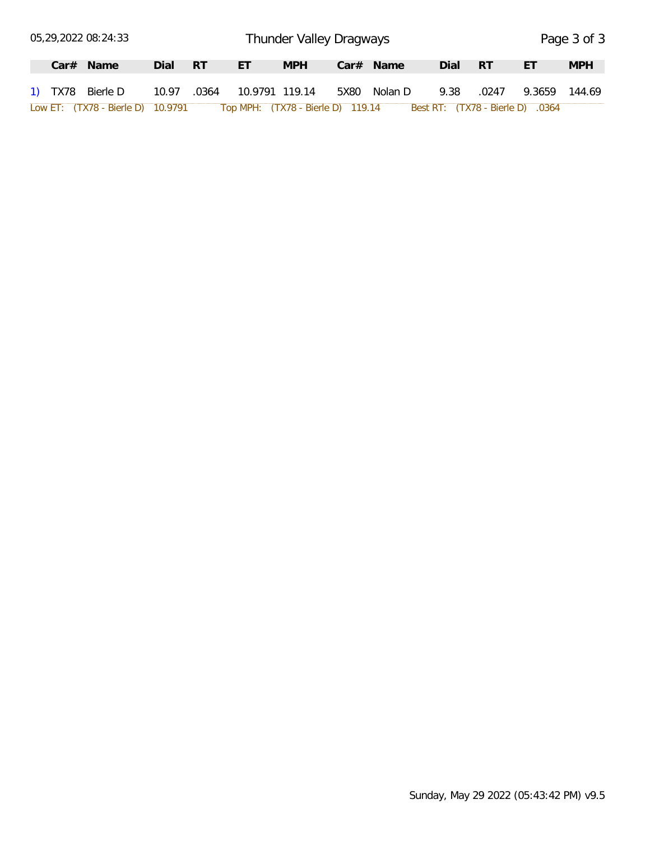|  | 05,29,2022 08:24:33               |             |      |                                   | Thunder Valley Dragways |      |             |      |       |                                  | Page 3 of 3 |
|--|-----------------------------------|-------------|------|-----------------------------------|-------------------------|------|-------------|------|-------|----------------------------------|-------------|
|  | $Car#$ Name                       | Dial        | - RT | .FT                               | <b>MPH</b>              |      | $Car#$ Name | Dial | -RT   | ЕT                               | <b>MPH</b>  |
|  | 1) TX78 Bierle D                  | 10.97 .0364 |      | 10.9791 119.14                    |                         | 5X80 | Nolan D     | 9.38 | .0247 | 9.3659                           | 144.69      |
|  | Low ET: (TX78 - Bierle D) 10.9791 |             |      | Top MPH: (TX78 - Bierle D) 119.14 |                         |      |             |      |       | Best RT: (TX78 - Bierle D) .0364 |             |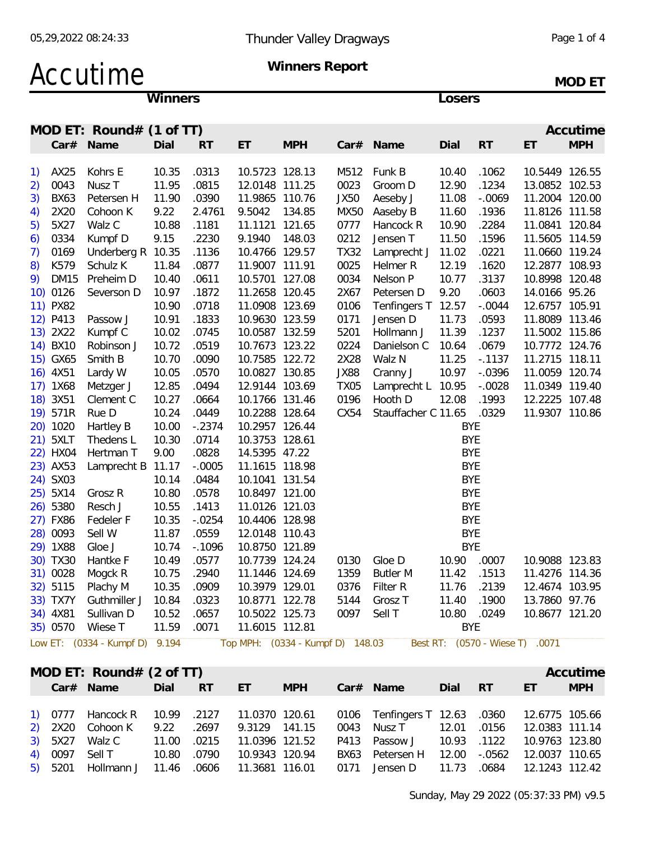### Accutime **Winners Report**

**MOD ET**

**Winners Losers**

|    |             | MOD ET: Round# $(1$ of TT)     |       |           |                |                                  |             |                     |             |          |                                 | Accutime   |
|----|-------------|--------------------------------|-------|-----------|----------------|----------------------------------|-------------|---------------------|-------------|----------|---------------------------------|------------|
|    |             | Car# Name                      | Dial  | RT        | ET             | <b>MPH</b>                       |             | Car# Name           | Dial        | RT       | ET                              | <b>MPH</b> |
|    |             |                                |       |           |                |                                  |             |                     |             |          |                                 |            |
| 1) | AX25        | Kohrs E                        | 10.35 | .0313     | 10.5723 128.13 |                                  | M512        | Funk B              | 10.40       | .1062    | 10.5449 126.55                  |            |
| 2) | 0043        | Nusz <sub>T</sub>              | 11.95 | .0815     | 12.0148 111.25 |                                  | 0023        | Groom D             | 12.90       | .1234    | 13.0852 102.53                  |            |
| 3) | <b>BX63</b> | Petersen H                     | 11.90 | .0390     | 11.9865 110.76 |                                  | JX50        | Aeseby J            | 11.08       | $-.0069$ | 11.2004 120.00                  |            |
| 4) | 2X20        | Cohoon K                       | 9.22  | 2.4761    | 9.5042 134.85  |                                  | MX50        | Aaseby B            | 11.60       | .1936    | 11.8126 111.58                  |            |
| 5) | 5X27        | Walz C                         | 10.88 | .1181     | 11.1121 121.65 |                                  | 0777        | Hancock R           | 10.90       | .2284    | 11.0841 120.84                  |            |
| 6) | 0334        | Kumpf D                        | 9.15  | .2230     | 9.1940 148.03  |                                  | 0212        | Jensen T            | 11.50       | .1596    | 11.5605 114.59                  |            |
| 7) | 0169        | Underberg R 10.35              |       | .1136     | 10.4766 129.57 |                                  | <b>TX32</b> | Lamprecht J 11.02   |             | .0221    | 11.0660 119.24                  |            |
| 8) | K579        | Schulz K                       | 11.84 | .0877     | 11.9007 111.91 |                                  | 0025        | Helmer R            | 12.19       | .1620    | 12.2877 108.93                  |            |
|    | 9) DM15     | Preheim D                      | 10.40 | .0611     | 10.5701 127.08 |                                  | 0034        | Nelson P            | 10.77       | .3137    | 10.8998 120.48                  |            |
|    | 10) 0126    | Severson D                     | 10.97 | .1872     | 11.2658 120.45 |                                  | 2X67        | Petersen D          | 9.20        | .0603    | 14.0166 95.26                   |            |
|    | 11) PX82    |                                | 10.90 | .0718     | 11.0908 123.69 |                                  | 0106        | Tenfingers T 12.57  |             | $-.0044$ | 12.6757 105.91                  |            |
|    | 12) P413    | Passow J                       | 10.91 | .1833     | 10.9630 123.59 |                                  | 0171        | Jensen D            | 11.73       | .0593    | 11.8089 113.46                  |            |
|    | 13) 2X22    | Kumpf C                        | 10.02 | .0745     | 10.0587 132.59 |                                  | 5201        | Hollmann J          | 11.39       | .1237    | 11.5002 115.86                  |            |
|    | 14) BX10    | Robinson J                     | 10.72 | .0519     | 10.7673 123.22 |                                  | 0224        | Danielson C         | 10.64       | .0679    | 10.7772 124.76                  |            |
|    | 15) GX65    | Smith B                        | 10.70 | .0090     | 10.7585 122.72 |                                  | 2X28        | Walz N              | 11.25       | $-.1137$ | 11.2715 118.11                  |            |
|    | 16) 4X51    | Lardy W                        | 10.05 | .0570     | 10.0827 130.85 |                                  | JX88        | Cranny J            | 10.97       | $-.0396$ | 11.0059 120.74                  |            |
|    | 17) 1X68    | Metzger J                      | 12.85 | .0494     | 12.9144 103.69 |                                  | <b>TX05</b> | Lamprecht L 10.95   |             | $-.0028$ | 11.0349 119.40                  |            |
|    | 18) 3X51    | Clement C                      | 10.27 | .0664     | 10.1766 131.46 |                                  | 0196        | Hooth D             | 12.08       | .1993    | 12.2225 107.48                  |            |
|    | 19) 571R    | Rue D                          | 10.24 | .0449     | 10.2288 128.64 |                                  | CX54        | Stauffacher C 11.65 |             | .0329    | 11.9307 110.86                  |            |
|    | 20) 1020    | Hartley B                      | 10.00 | $-.2374$  | 10.2957 126.44 |                                  |             |                     | <b>BYE</b>  |          |                                 |            |
|    | 21) 5XLT    | Thedens L                      | 10.30 | .0714     | 10.3753 128.61 |                                  |             |                     | <b>BYE</b>  |          |                                 |            |
|    | 22) HX04    | Hertman T                      | 9.00  | .0828     | 14.5395 47.22  |                                  |             |                     | <b>BYE</b>  |          |                                 |            |
|    | 23) AX53    | Lamprecht B 11.17              |       | $-.0005$  | 11.1615 118.98 |                                  |             |                     | <b>BYE</b>  |          |                                 |            |
|    | 24) SX03    |                                | 10.14 | .0484     | 10.1041 131.54 |                                  |             |                     | <b>BYE</b>  |          |                                 |            |
|    | 25) 5X14    | Grosz R                        | 10.80 | .0578     | 10.8497 121.00 |                                  |             |                     | BYE         |          |                                 |            |
|    | 26) 5380    | Resch J                        | 10.55 | .1413     | 11.0126 121.03 |                                  |             |                     | <b>BYE</b>  |          |                                 |            |
|    | 27) FX86    | Fedeler F                      | 10.35 | $-.0254$  | 10.4406 128.98 |                                  |             |                     | <b>BYE</b>  |          |                                 |            |
|    | 28) 0093    | Sell W                         | 11.87 | .0559     | 12.0148 110.43 |                                  |             |                     | <b>BYE</b>  |          |                                 |            |
|    | 29) 1X88    | Gloe J                         | 10.74 | $-0.1096$ | 10.8750 121.89 |                                  |             |                     | <b>BYE</b>  |          |                                 |            |
|    | 30) TX30    | Hantke F                       | 10.49 | .0577     | 10.7739 124.24 |                                  | 0130        | Gloe D              | 10.90 .0007 |          | 10.9088 123.83                  |            |
|    | 31) 0028    | Mogck R                        | 10.75 | .2940     | 11.1446 124.69 |                                  | 1359        | <b>Butler M</b>     | 11.42       | .1513    | 11.4276 114.36                  |            |
|    | 32) 5115    | Plachy M                       | 10.35 | .0909     | 10.3979 129.01 |                                  | 0376        | Filter R            | 11.76       | .2139    | 12.4674 103.95                  |            |
|    | 33) TX7Y    | Guthmiller J                   | 10.84 | .0323     | 10.8771 122.78 |                                  | 5144        | Grosz <sub>T</sub>  | 11.40       | .1900    | 13.7860 97.76                   |            |
|    | 34) 4X81    | Sullivan D                     | 10.52 | .0657     | 10.5022 125.73 |                                  | 0097        | Sell T              | 10.80 .0249 |          | 10.8677 121.20                  |            |
|    | 35) 0570    | Wiese T                        | 11.59 | .0071     | 11.6015 112.81 |                                  |             |                     | <b>BYE</b>  |          |                                 |            |
|    |             |                                |       |           |                |                                  |             |                     |             |          |                                 |            |
|    |             | Low ET: (0334 - Kumpf D) 9.194 |       |           |                | Top MPH: (0334 - Kumpf D) 148.03 |             |                     |             |          | Best RT: (0570 - Wiese T) .0071 |            |

|  | MOD ET: $Round# (2 of TT)$  |             |           |                |            |                                                                                           |       |             |                | Accutime   |
|--|-----------------------------|-------------|-----------|----------------|------------|-------------------------------------------------------------------------------------------|-------|-------------|----------------|------------|
|  | Car# Name                   | Dial        | <b>RT</b> | ET.            | <b>MPH</b> | Car# Name                                                                                 | Dial  | RT          | ЕT             | <b>MPH</b> |
|  |                             |             |           |                |            |                                                                                           |       |             |                |            |
|  |                             |             |           |                |            | 1) 0777 Hancock R 10.99 .2127 11.0370 120.61 0106 Tenfingers T 12.63 .0360 12.6775 105.66 |       |             |                |            |
|  | 2) 2X20 Cohoon K 9.22 .2697 |             |           | 9.3129 141.15  |            | 0043 Nusz T                                                                               | 12.01 | .0156       | 12.0383 111.14 |            |
|  | 3) 5X27 Walz C 11.00 .0215  |             |           | 11.0396 121.52 |            | P413 Passow J                                                                             |       | 10.93 .1122 | 10.9763 123.80 |            |
|  | 4) 0097 Sell T              | 10.80 .0790 |           | 10.9343 120.94 |            | BX63 Petersen H                                                                           | 12.00 | -.0562      | 12.0037 110.65 |            |
|  | 5) 5201 Hollmann J          | 11.46 .0606 |           | 11.3681 116.01 |            | 0171 Jensen D                                                                             | 11.73 | .0684       | 12.1243 112.42 |            |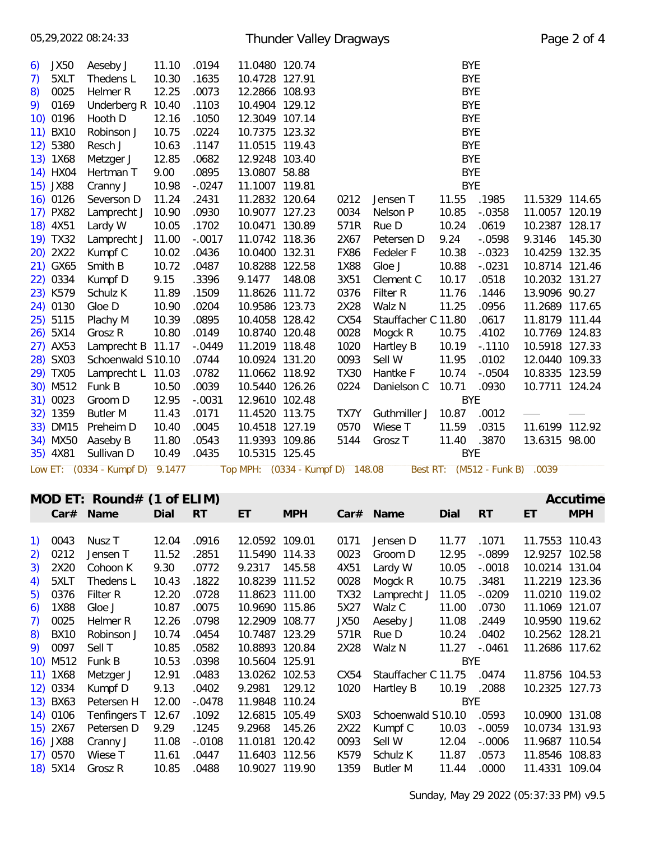Sunday, May 29 2022 (05:37:33 PM) v9.5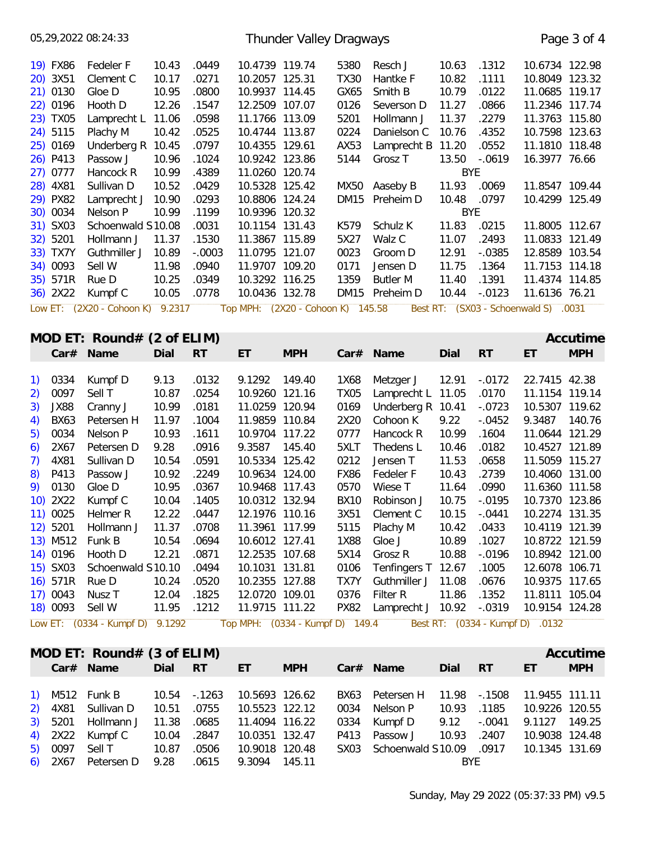| 05,29,2022 08:24:33                                                                                                                                                                                                                                                                                        |                                                                                                                                                                                                                                                            |                                                                                                                                                     |                                                                                                                                                                   |                                                                                                                                                                                                                                                                                                                                  | Thunder Valley Dragways           |                                                                                                                                                                   |                                                                                                                                                                                                                                                                               |                                                                                                                                                                          |                                                                                                                                                             |                                                                                                                                                                                                                                                                                                                                                                   | Page 3 of 4            |
|------------------------------------------------------------------------------------------------------------------------------------------------------------------------------------------------------------------------------------------------------------------------------------------------------------|------------------------------------------------------------------------------------------------------------------------------------------------------------------------------------------------------------------------------------------------------------|-----------------------------------------------------------------------------------------------------------------------------------------------------|-------------------------------------------------------------------------------------------------------------------------------------------------------------------|----------------------------------------------------------------------------------------------------------------------------------------------------------------------------------------------------------------------------------------------------------------------------------------------------------------------------------|-----------------------------------|-------------------------------------------------------------------------------------------------------------------------------------------------------------------|-------------------------------------------------------------------------------------------------------------------------------------------------------------------------------------------------------------------------------------------------------------------------------|--------------------------------------------------------------------------------------------------------------------------------------------------------------------------|-------------------------------------------------------------------------------------------------------------------------------------------------------------|-------------------------------------------------------------------------------------------------------------------------------------------------------------------------------------------------------------------------------------------------------------------------------------------------------------------------------------------------------------------|------------------------|
| 19) FX86<br>20) 3X51<br>21) 0130<br>22) 0196<br>23) TX05<br>24) 5115<br>25) 0169<br>26) P413<br>27) 0777<br>28) 4X81<br>29) PX82<br>30) 0034<br>31) SX03<br>32) 5201<br>33) TX7Y<br>34) 0093<br>35) 571R<br>36) 2X22                                                                                       | Fedeler F<br>Clement C<br>Gloe D<br>Hooth D<br>Lamprecht L 11.06<br>Plachy M<br>Underberg R 10.45<br>Passow J<br>Hancock R<br>Sullivan D<br>Lamprecht J 10.90<br>Nelson P<br>Schoenwald S10.08<br>Hollmann J<br>Guthmiller J<br>Sell W<br>Rue D<br>Kumpf C | 10.43<br>10.17<br>10.95<br>12.26<br>10.42<br>10.96<br>10.99<br>10.52<br>10.99<br>11.37<br>10.89<br>11.98<br>10.25<br>10.05                          | .0449<br>.0271<br>.0800<br>.1547<br>.0598<br>.0525<br>.0797<br>.1024<br>.4389<br>.0429<br>.0293<br>.1199<br>.0031<br>.1530<br>$-.0003$<br>.0940<br>.0349<br>.0778 | 10.4739 119.74<br>10.2057 125.31<br>10.9937 114.45<br>12.2509 107.07<br>11.1766 113.09<br>10.4744 113.87<br>10.4355 129.61<br>10.9242 123.86<br>11.0260 120.74<br>10.5328 125.42<br>10.8806 124.24<br>10.9396 120.32<br>10.1154 131.43<br>11.3867 115.89<br>11.0795 121.07<br>11.9707 109.20<br>10.3292 116.25<br>10.0436 132.78 |                                   | 5380<br><b>TX30</b><br>GX65<br>0126<br>5201<br>0224<br>AX53<br>5144<br>MX50<br>K579<br>5X27<br>0023<br>0171<br>1359                                               | Resch J<br>Hantke F<br>Smith B<br>Severson D<br>Hollmann J<br>Danielson C<br>Lamprecht B<br>Grosz T<br>Aaseby B<br>DM15 Preheim D<br>Schulz K<br>Walz C<br>Groom D<br>Jensen D<br><b>Butler M</b><br>DM15 Preheim D                                                           | 10.63<br>10.82<br>10.79<br>11.27<br>11.37<br>10.76<br>11.20<br>13.50<br><b>BYE</b><br>11.93<br>10.48<br><b>BYE</b><br>11.83<br>11.07<br>12.91<br>11.75<br>11.40<br>10.44 | .1312<br>.1111<br>.0122<br>.0866<br>.2279<br>.4352<br>.0552<br>$-.0619$<br>.0069<br>.0797<br>.0215<br>.2493<br>$-0.0385$<br>.1364<br>.1391<br>$-.0123$      | 10.6734 122.98<br>10.8049 123.32<br>11.0685 119.17<br>11.2346 117.74<br>11.3763 115.80<br>10.7598 123.63<br>11.1810 118.48<br>16.3977 76.66<br>11.8547 109.44<br>10.4299 125.49<br>11.8005 112.67<br>11.0833 121.49<br>12.8589 103.54<br>11.7153 114.18<br>11.4374 114.85<br>11.6136 76.21                                                                        |                        |
|                                                                                                                                                                                                                                                                                                            | Low ET: (2X20 - Cohoon K) 9.2317                                                                                                                                                                                                                           |                                                                                                                                                     |                                                                                                                                                                   |                                                                                                                                                                                                                                                                                                                                  | Top MPH: (2X20 - Cohoon K) 145.58 |                                                                                                                                                                   |                                                                                                                                                                                                                                                                               |                                                                                                                                                                          |                                                                                                                                                             | Best RT: (SX03 - Schoenwald S) .0031                                                                                                                                                                                                                                                                                                                              |                        |
| Car# Name                                                                                                                                                                                                                                                                                                  | MOD ET: Round# $(2 \text{ of ELIM})$                                                                                                                                                                                                                       | Dial                                                                                                                                                | <b>RT</b>                                                                                                                                                         | ET                                                                                                                                                                                                                                                                                                                               | <b>MPH</b>                        |                                                                                                                                                                   | Car# Name                                                                                                                                                                                                                                                                     | Dial                                                                                                                                                                     | <b>RT</b>                                                                                                                                                   | ET                                                                                                                                                                                                                                                                                                                                                                | Accutime<br><b>MPH</b> |
|                                                                                                                                                                                                                                                                                                            |                                                                                                                                                                                                                                                            |                                                                                                                                                     |                                                                                                                                                                   |                                                                                                                                                                                                                                                                                                                                  |                                   |                                                                                                                                                                   |                                                                                                                                                                                                                                                                               |                                                                                                                                                                          |                                                                                                                                                             |                                                                                                                                                                                                                                                                                                                                                                   |                        |
| 0334<br>$\left( \begin{array}{c} 1 \end{array} \right)$<br>0097<br>2)<br><b>JX88</b><br>3)<br><b>BX63</b><br>4)<br>5)<br>0034<br>2X67<br>6)<br>4X81<br>7)<br>P413<br>8)<br>0130<br>9)<br>$10)$ 2X22<br>11) 0025<br>12) 5201<br>13) M512 Funk B<br>14) 0196<br>15) SX03<br>16) 571R<br>17) 0043<br>18) 0093 | Kumpf D<br>Sell T<br>Cranny J<br>Petersen H<br>Nelson P<br>Petersen D<br>Sullivan D<br>Passow J<br>Gloe D<br>Kumpf C<br>Helmer R<br>Hollmann J<br>Hooth D<br>Schoenwald S10.10<br>Rue D<br>Nusz T<br>Sell W<br>Low ET: (0334 - Kumpf D) 9.1292             | 9.13<br>10.87<br>10.99<br>11.97<br>10.93<br>9.28<br>10.54<br>10.92<br>10.95<br>10.04<br>12.22<br>11.37<br>10.54<br>12.21<br>10.24<br>12.04<br>11.95 | .0132<br>.0254<br>.0181<br>.1004<br>.1611<br>.0916<br>.0591<br>.2249<br>.0367<br>.1405<br>.0447<br>.0708<br>.0694<br>.0871<br>.0494<br>.0520<br>.1825<br>.1212    | 9.1292 149.40<br>10.9260 121.16<br>11.0259 120.94<br>11.9859 110.84<br>10.9704 117.22<br>9.3587 145.40<br>10.5334 125.42<br>10.9634 124.00<br>10.9468 117.43<br>10.0312 132.94<br>12.1976 110.16<br>11.3961 117.99<br>10.6012 127.41<br>12.2535 107.68<br>10.1031 131.81<br>10.2355 127.88<br>12.0720 109.01<br>11.9715 111.22   | Top MPH: (0334 - Kumpf D) 149.4   | 1X68<br>TX05<br>0169<br>2X20<br>0777<br>5XLT<br>0212<br><b>FX86</b><br>0570<br><b>BX10</b><br>3X51<br>5115<br>1X88<br>5X14<br>0106<br>TX7Y<br>0376<br><b>PX82</b> | Metzger J<br>Lamprecht L 11.05<br>Underberg R 10.41<br>Cohoon K<br>Hancock R<br>Thedens L<br>Jensen T<br>Fedeler F<br>Wiese T<br>Robinson J<br>Clement C<br>Plachy M<br>Gloe J<br>Grosz R<br>Tenfingers T 12.67<br>Guthmiller J 11.08<br>Filter R<br>Lamprecht J 10.92 -.0319 | 12.91<br>9.22<br>10.99<br>10.46<br>11.53<br>10.43<br>11.64<br>10.75 -.0195<br>10.15<br>10.42<br>10.89<br>10.88<br>11.86                                                  | $-.0172$<br>.0170<br>$-.0723$<br>$-.0452$<br>.1604<br>.0182<br>.0658<br>.2739<br>.0990<br>$-.0441$<br>.0433<br>.1027<br>$-.0196$<br>.1005<br>.0676<br>.1352 | 22.7415 42.38<br>11.1154 119.14<br>10.5307 119.62<br>9.3487 140.76<br>11.0644 121.29<br>10.4527 121.89<br>11.5059 115.27<br>10.4060 131.00<br>11.6360 111.58<br>10.7370 123.86<br>10.2274 131.35<br>10.4119 121.39<br>10.8722 121.59<br>10.8942 121.00<br>12.6078 106.71<br>10.9375 117.65<br>11.8111 105.04<br>10.9154 124.28<br>Best RT: (0334 - Kumpf D) .0132 |                        |
|                                                                                                                                                                                                                                                                                                            |                                                                                                                                                                                                                                                            |                                                                                                                                                     |                                                                                                                                                                   |                                                                                                                                                                                                                                                                                                                                  |                                   |                                                                                                                                                                   |                                                                                                                                                                                                                                                                               |                                                                                                                                                                          |                                                                                                                                                             |                                                                                                                                                                                                                                                                                                                                                                   |                        |
| Car# Name                                                                                                                                                                                                                                                                                                  | MOD ET: Round# $(3 \text{ of ELIM})$                                                                                                                                                                                                                       | Dial RT                                                                                                                                             |                                                                                                                                                                   | ET                                                                                                                                                                                                                                                                                                                               | <b>MPH</b>                        |                                                                                                                                                                   | Car# Name                                                                                                                                                                                                                                                                     | Dial                                                                                                                                                                     | <b>RT</b>                                                                                                                                                   | ET.                                                                                                                                                                                                                                                                                                                                                               | Accutime<br><b>MPH</b> |
| 1) M512 Funk B<br>4X81<br>2)<br>5201<br>3)<br>2X22<br>4)<br>0097<br>5)<br>2X67<br>6)                                                                                                                                                                                                                       | Sullivan D<br>Hollmann J<br>Kumpf C<br>Sell T<br>Petersen D                                                                                                                                                                                                | 10.54<br>10.51<br>11.38<br>10.04<br>10.87<br>9.28                                                                                                   | $-1263$<br>.0755<br>.0685<br>.2847<br>.0506<br>.0615                                                                                                              | 10.5693 126.62<br>10.5523 122.12<br>11.4094 116.22<br>10.0351 132.47<br>10.9018 120.48<br>9.3094 145.11                                                                                                                                                                                                                          |                                   | BX63<br>0034<br>0334<br>P413<br>SX03                                                                                                                              | Petersen H<br>Nelson P<br>Kumpf D<br>Passow J<br>Schoenwald S10.09                                                                                                                                                                                                            | 11.98<br>10.93<br>9.12<br>10.93<br><b>BYE</b>                                                                                                                            | $-1508$<br>.1185<br>$-.0041$<br>.2407<br>.0917                                                                                                              | 11.9455 111.11<br>10.9226 120.55<br>9.1127 149.25<br>10.9038 124.48<br>10.1345 131.69                                                                                                                                                                                                                                                                             |                        |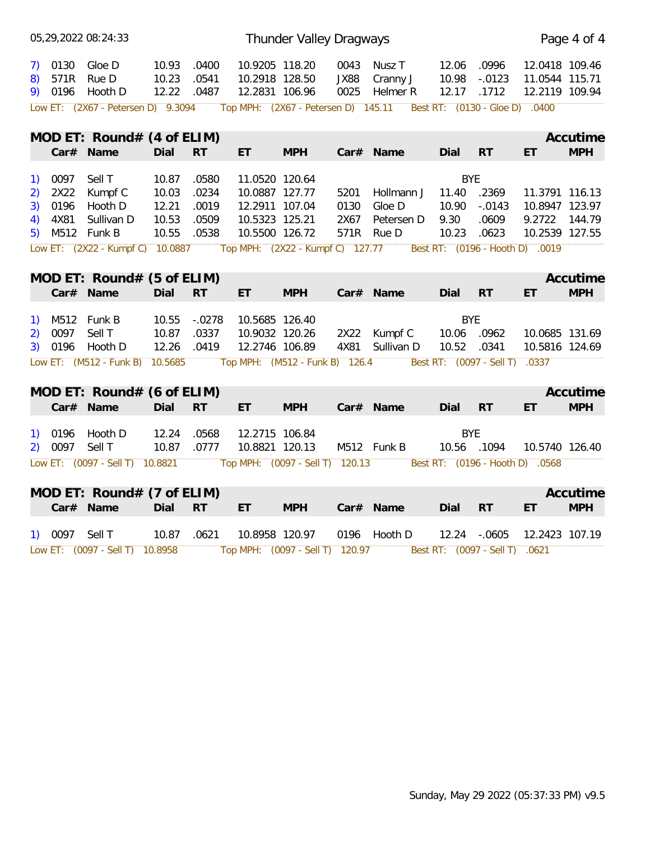|                    |                | 05,29,2022 08:24:33                             |                               |                |                                                    | Thunder Valley Dragways         |              |                                                                          |                         |                                |                                                    | Page 4 of 4 |
|--------------------|----------------|-------------------------------------------------|-------------------------------|----------------|----------------------------------------------------|---------------------------------|--------------|--------------------------------------------------------------------------|-------------------------|--------------------------------|----------------------------------------------------|-------------|
| 8)                 |                | 7) 0130 Gloe D<br>571R Rue D<br>9) 0196 Hooth D | 10.93<br>10.23<br>12.22 .0487 | .0400<br>.0541 | 10.9205 118.20<br>10.2918 128.50<br>12.2831 106.96 |                                 | JX88         | 0043 Nusz T<br>Cranny J<br>0025 Helmer R                                 | 12.06<br>10.98<br>12.17 | .0996<br>$-.0123$<br>.1712     | 12.0418 109.46<br>11.0544 115.71<br>12.2119 109.94 |             |
|                    |                | Low ET: (2X67 - Petersen D) 9.3094              |                               |                |                                                    |                                 |              | Top MPH: (2X67 - Petersen D) 145.11    Best RT: (0130 - Gloe D)    .0400 |                         |                                |                                                    |             |
|                    |                | MOD ET: Round# $(4 \text{ of ELIM})$            |                               |                |                                                    |                                 |              |                                                                          |                         |                                |                                                    | Accutime    |
|                    |                | Car# Name                                       | Dial RT                       |                | ET.                                                | <b>MPH</b>                      |              | Car# Name                                                                | Dial RT                 |                                | ET.                                                | <b>MPH</b>  |
|                    |                |                                                 |                               |                |                                                    |                                 |              |                                                                          |                         |                                |                                                    |             |
| <sup>1</sup>       | 0097           | Sell T                                          | 10.87<br>10.03                | .0580          | 11.0520 120.64                                     |                                 |              |                                                                          | <b>BYE</b>              |                                |                                                    |             |
| 2)<br>3)           | 2X22<br>0196   | Kumpf C<br>Hooth D                              | 12.21                         | .0234<br>.0019 | 10.0887 127.77<br>12.2911 107.04                   |                                 | 5201<br>0130 | Hollmann J<br>Gloe D                                                     | 11.40<br>10.90          | .2369<br>$-.0143$              | 11.3791 116.13<br>10.8947 123.97                   |             |
| 4)                 | 4X81           | Sullivan D                                      | 10.53                         | .0509          | 10.5323 125.21                                     |                                 | 2X67         | Petersen D                                                               | 9.30                    | .0609                          | 9.2722 144.79                                      |             |
| 5)                 |                | M512 Funk B                                     | 10.55                         | .0538          | 10.5500 126.72                                     |                                 |              | 571R Rue D                                                               | 10.23                   | .0623                          | 10.2539 127.55                                     |             |
|                    |                | Low ET: (2X22 - Kumpf C) 10.0887                |                               |                |                                                    |                                 |              | Top MPH: (2X22 - Kumpf C) 127.77 Best RT: (0196 - Hooth D) .0019         |                         |                                |                                                    |             |
|                    |                |                                                 |                               |                |                                                    |                                 |              |                                                                          |                         |                                |                                                    |             |
|                    |                | MOD ET: Round# $(5 \text{ of ELIM})$            |                               |                |                                                    |                                 |              |                                                                          |                         |                                |                                                    | Accutime    |
|                    |                | Car# Name                                       | Dial RT                       |                | ET.                                                | <b>MPH</b>                      |              | Car# Name                                                                | Dial RT                 |                                | ET.                                                | <b>MPH</b>  |
|                    |                | M512 Funk B                                     | 10.55                         | $-.0278$       | 10.5685 126.40                                     |                                 |              |                                                                          | <b>BYE</b>              |                                |                                                    |             |
| <sup>1</sup><br>2) | 0097           | Sell T                                          | 10.87                         | .0337          | 10.9032 120.26                                     |                                 |              | 2X22 Kumpf C                                                             | 10.06 .0962             |                                | 10.0685 131.69                                     |             |
|                    |                | 3) 0196 Hooth D                                 | 12.26                         | .0419          | 12.2746 106.89                                     |                                 |              | 4X81 Sullivan D                                                          | 10.52 .0341             |                                | 10.5816 124.69                                     |             |
|                    |                | Low ET: (M512 - Funk B) 10.5685                 |                               |                |                                                    | Top MPH: (M512 - Funk B) 126.4  |              |                                                                          |                         | Best RT: (0097 - Sell T) .0337 |                                                    |             |
|                    |                |                                                 |                               |                |                                                    |                                 |              |                                                                          |                         |                                |                                                    |             |
|                    |                | MOD ET: Round# $(6 \text{ of ELIM})$            |                               |                |                                                    |                                 |              |                                                                          |                         |                                |                                                    | Accutime    |
|                    |                | Car# Name                                       | Dial RT                       |                | ET.                                                | <b>MPH</b>                      |              | Car# Name                                                                | Dial RT                 |                                | ET.                                                | <b>MPH</b>  |
|                    |                |                                                 |                               |                |                                                    |                                 |              |                                                                          |                         |                                |                                                    |             |
|                    | 1) 0196        | Hooth D                                         | 12.24                         | .0568          | 12.2715 106.84                                     |                                 |              |                                                                          | <b>BYE</b>              |                                |                                                    |             |
| 2)                 | 0097 Sell T    |                                                 | 10.87 .0777                   |                | 10.8821 120.13                                     |                                 |              | M512 Funk B                                                              | 10.56 .1094             |                                | 10.5740 126.40                                     |             |
|                    |                | Low ET: (0097 - Sell T) 10.8821                 |                               |                |                                                    | Top MPH: (0097 - Sell T) 120.13 |              |                                                                          |                         |                                | Best RT: (0196 - Hooth D) .0568                    |             |
|                    |                | MOD ET: Round# $(7 \text{ of ELIM})$            |                               |                |                                                    |                                 |              |                                                                          |                         |                                |                                                    | Accutime    |
|                    |                | Car# Name                                       | Dial RT                       |                | ET.                                                | <b>MPH</b>                      |              | Car# Name                                                                | Dial                    | <b>RT</b>                      | ET.                                                | <b>MPH</b>  |
|                    | 1) 0097 Sell T |                                                 | 10.87 .0621                   |                | 10.8958 120.97                                     |                                 |              | 0196 Hooth D                                                             |                         | 12.24 -.0605                   | 12.2423 107.19                                     |             |
|                    |                | Low ET: (0097 - Sell T) 10.8958                 |                               |                |                                                    | Top MPH: (0097 - Sell T) 120.97 |              |                                                                          |                         | Best RT: (0097 - Sell T) .0621 |                                                    |             |
|                    |                |                                                 |                               |                |                                                    |                                 |              |                                                                          |                         |                                |                                                    |             |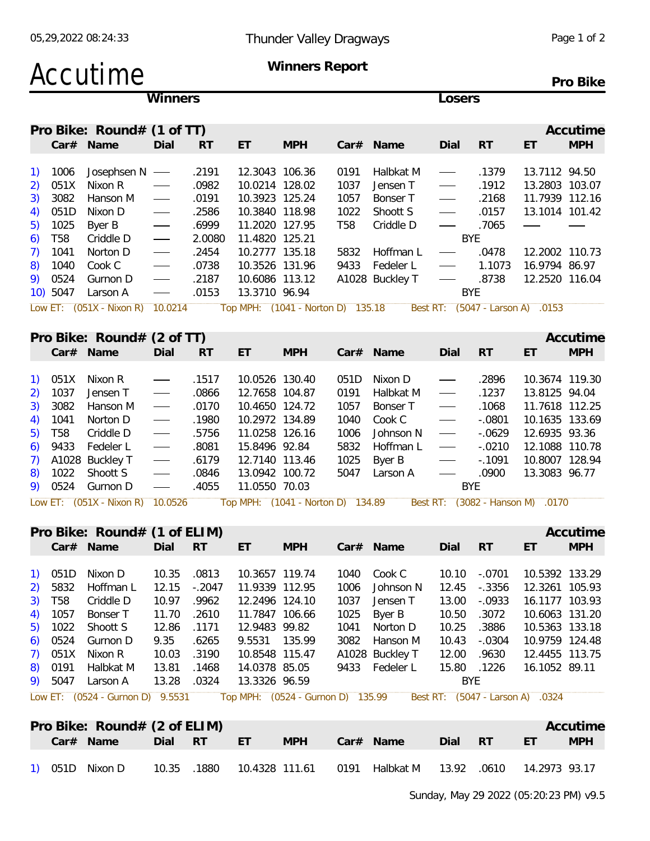| Accutime                           |                                 |           |                                   | Winners Report |                 |                 |                                |                     |                | Pro Bike   |
|------------------------------------|---------------------------------|-----------|-----------------------------------|----------------|-----------------|-----------------|--------------------------------|---------------------|----------------|------------|
|                                    | <b>Winners</b>                  |           |                                   |                |                 |                 | Losers                         |                     |                |            |
| Pro Bike: Round# (1 of TT)         |                                 |           |                                   |                |                 |                 |                                |                     |                | Accutime   |
| Car# Name                          | Dial                            | <b>RT</b> | ET                                | <b>MPH</b>     |                 | Car# Name       | Dial                           | <b>RT</b>           | ET             | <b>MPH</b> |
| 1006<br>Josephsen N<br>1)          | $\overline{\phantom{a}}$        | .2191     | 12.3043 106.36                    |                | 0191            | Halbkat M       | $\overbrace{\hspace{15em}}$    | .1379               | 13.7112 94.50  |            |
| 051X<br>Nixon R<br>2)              |                                 | .0982     | 10.0214 128.02                    |                | 1037            | Jensen T        |                                | .1912               | 13.2803 103.07 |            |
| 3082<br>3)<br>Hanson M             | $\hspace{0.05cm}$               | .0191     | 10.3923 125.24                    |                | 1057            | Bonser T        |                                | .2168               | 11.7939 112.16 |            |
| 051D<br>4)<br>Nixon D              | $\hspace{0.05cm}$               | .2586     | 10.3840 118.98                    |                | 1022            | Shoott S        |                                | .0157               | 13.1014 101.42 |            |
| 1025<br>Byer B<br>5)               |                                 | .6999     | 11.2020 127.95                    |                | T <sub>58</sub> | Criddle D       | $\overbrace{\hspace{27mm}}$    | .7065               |                |            |
| T <sub>58</sub><br>6)<br>Criddle D | $\hspace{0.05cm}$               | 2.0080    | 11.4820 125.21                    |                |                 |                 |                                | <b>BYE</b>          |                |            |
| 1041<br>7)<br>Norton D             | $\hspace{0.1mm}-\hspace{0.1mm}$ | .2454     | 10.2777 135.18                    |                | 5832            | Hoffman L       | $\overbrace{\hspace{27mm}}^{}$ | .0478               | 12.2002 110.73 |            |
| 1040<br>Cook C<br>8)               |                                 | .0738     | 10.3526 131.96                    |                | 9433            | Fedeler L       |                                | 1.1073              | 16.9794 86.97  |            |
| 0524<br>9)<br>Gurnon D             | $\hspace{0.05cm}$               | .2187     | 10.6086 113.12                    |                |                 | A1028 Buckley T |                                | .8738               | 12.2520 116.04 |            |
| 5047<br>10)<br>Larson A            | $\hspace{0.05cm}$               | .0153     | 13.3710 96.94                     |                |                 |                 |                                | <b>BYE</b>          |                |            |
| Low ET: $(051X - Nixon R)$         | 10.0214                         |           | Top MPH: (1041 - Norton D) 135.18 |                |                 |                 | Best RT:                       | $(5047 - Larson A)$ | .0153          |            |
| Pro Bike: Round# (2 of TT)         |                                 |           |                                   |                |                 |                 |                                |                     |                | Accutime   |
| Car# Name                          | Dial                            | <b>RT</b> | ET                                | <b>MPH</b>     |                 | Car# Name       | Dial                           | <b>RT</b>           | ET             | <b>MPH</b> |
|                                    |                                 |           |                                   |                |                 |                 |                                |                     |                |            |
| 051X<br>Nixon R                    |                                 | .1517     | 10.0526 130.40                    |                | 051D            | Nixon D         |                                | .2896               | 10.3674 119.30 |            |
| 1037<br>Jensen T<br>2)             | $\hspace{0.05cm}$               | .0866     | 12.7658 104.87                    |                | 0191            | Halbkat M       | $\overbrace{\hspace{27mm}}^{}$ | .1237               | 13.8125 94.04  |            |
| 3082<br>3)<br>Hanson M             | $\hspace{0.05cm}$               | .0170     | 10.4650 124.72                    |                | 1057            | Bonser T        |                                | .1068               | 11.7618 112.25 |            |
| 1041<br>Norton D<br>4)             | $\hspace{0.05cm}$               | .1980     | 10.2972 134.89                    |                | 1040            | Cook C          | $\overbrace{\hspace{27mm}}^{}$ | $-.0801$            | 10.1635 133.69 |            |
| <b>T58</b><br>5)<br>Criddle D      | $\overline{\phantom{a}}$        | .5756     | 11.0258 126.16                    |                | 1006            | Johnson N       | $\overbrace{\hspace{27mm}}^{}$ | $-0629$             | 12.6935 93.36  |            |
| 9433<br>6)<br>Fedeler L            | $\hspace{0.05cm}$               | .8081     | 15.8496 92.84                     |                | 5832            | Hoffman L       |                                | $-.0210$            | 12.1088 110.78 |            |
| A1028 Buckley T<br>7)              | $\overbrace{\hspace{15em}}$     | .6179     | 12.7140 113.46                    |                | 1025            | Byer B          |                                | $-0.1091$           | 10.8007 128.94 |            |

9) 0524 Gurnon D - .4055 11.0550 70.03 Low ET: (051X - Nixon R) 10.0526 Top MPH: (1041 - Norton D) 134.89 Best RT: (3082 - Hanson M) .0170

8) 1022 Shoott S - .0846 13.0942 100.72 5047 Larson A - .0900 13.3083 96.77

|           | Pro Bike: Round# (1 of ELIM)     |       |           |                                   |            |      |                 |            |           |                                  | Accutime   |
|-----------|----------------------------------|-------|-----------|-----------------------------------|------------|------|-----------------|------------|-----------|----------------------------------|------------|
|           | Car# Name                        | Dial  | <b>RT</b> | ET                                | <b>MPH</b> |      | $Car#$ Name     | Dial       | <b>RT</b> | ET                               | <b>MPH</b> |
|           |                                  |       |           |                                   |            |      |                 |            |           |                                  |            |
| 1) 051D   | Nixon D                          | 10.35 | .0813     | 10.3657 119.74                    |            | 1040 | Cook C          | 10.10      | -.0701    | 10.5392 133.29                   |            |
| 2) 5832   | Hoffman L                        | 12.15 | $-.2047$  | 11.9339 112.95                    |            | 1006 | Johnson N       | 12.45      | -.3356    | 12.3261 105.93                   |            |
| 3) T58    | Criddle D                        | 10.97 | .9962     | 12.2496 124.10                    |            | 1037 | Jensen T        | 13.00      | -.0933    | 16.1177 103.93                   |            |
| 4) 1057   | Bonser T                         | 11.70 | .2610     | 11.7847 106.66                    |            |      | 1025 Byer B     | 10.50      | .3072     | 10.6063 131.20                   |            |
|           | 5) 1022 Shoott S                 | 12.86 | .1171     | 12.9483 99.82                     |            |      | 1041 Norton D   | 10.25      | .3886     | 10.5363 133.18                   |            |
| $6)$ 0524 | Gurnon D                         | 9.35  | .6265     | 9.5531 135.99                     |            |      | 3082 Hanson M   | 10.43      | -.0304    | 10.9759 124.48                   |            |
|           | 7) 051X Nixon R                  | 10.03 | .3190     | 10.8548 115.47                    |            |      | A1028 Buckley T | 12.00      | .9630     | 12.4455 113.75                   |            |
| 8) 0191   | Halbkat M                        | 13.81 | .1468     | 14.0378 85.05                     |            |      | 9433 Fedeler L  | 15.80      | .1226     | 16.1052 89.11                    |            |
| 9) 5047   | Larson A                         | 13.28 | .0324     | 13.3326 96.59                     |            |      |                 | <b>BYE</b> |           |                                  |            |
|           | Low ET: (0524 - Gurnon D) 9.5531 |       |           | Top MPH: (0524 - Gurnon D) 135.99 |            |      |                 |            |           | Best RT: (5047 - Larson A) .0324 |            |

| Pro Bike: Round# (2 of ELIM)<br>Car# Name | Dial  | - RT  | FT.            | MPH |      | Car# Name | Dial  | - RT  | ET            | Accutime<br><b>MPH</b> |
|-------------------------------------------|-------|-------|----------------|-----|------|-----------|-------|-------|---------------|------------------------|
| 051D<br>Nixon D                           | 10.35 | .1880 | 10.4328 111.61 |     | 0191 | Halbkat M | 13.92 | .0610 | 14.2973 93.17 |                        |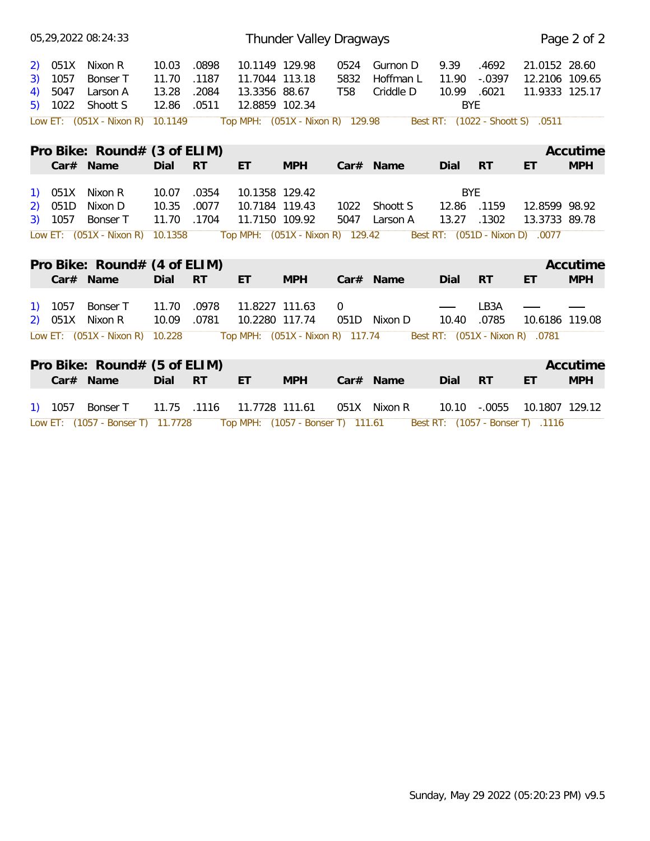|    |                    | 05,29,2022 08:24:33               |                |                |                                   | Thunder Valley Dragways |                |                                |                           |           |                                  | Page 2 of 2 |
|----|--------------------|-----------------------------------|----------------|----------------|-----------------------------------|-------------------------|----------------|--------------------------------|---------------------------|-----------|----------------------------------|-------------|
|    | 2) 051X            | Nixon R                           | 10.03          | .0898          | 10.1149 129.98                    |                         | 0524           | Gurnon D                       | 9.39                      | .4692     | 21.0152 28.60                    |             |
| 3) | 1057               | Bonser T                          | 11.70          | .1187          | 11.7044 113.18                    |                         | 5832           | Hoffman L                      | 11.90                     | $-.0397$  | 12.2106 109.65                   |             |
| 4) | 5047<br>5) 1022    | Larson A<br>Shoott S              | 13.28<br>12.86 | .2084<br>.0511 | 13.3356 88.67<br>12.8859 102.34   |                         | T58            | Criddle D                      | 10.99 .6021<br><b>BYE</b> |           | 11.9333 125.17                   |             |
|    |                    | Low ET: (051X - Nixon R) 10.1149  |                |                | Top MPH: (051X - Nixon R) 129.98  |                         |                |                                |                           |           | Best RT: (1022 - Shoott S) .0511 |             |
|    |                    | Pro Bike: $Round#$ (3 of ELIM)    |                |                |                                   |                         |                |                                |                           |           |                                  | Accutime    |
|    |                    | Car# Name                         | Dial           | <b>RT</b>      | ET                                | <b>MPH</b>              |                | Car# Name                      | Dial                      | <b>RT</b> | ET                               | <b>MPH</b>  |
|    | 1) 051X            | Nixon R                           | 10.07          | .0354          | 10.1358 129.42                    |                         |                |                                | <b>BYE</b>                |           |                                  |             |
|    | 2) 051D<br>3) 1057 | Nixon D<br>Bonser T               | 10.35<br>11.70 | .0077<br>.1704 | 10.7184 119.43<br>11.7150 109.92  |                         |                | 1022 Shoott S<br>5047 Larson A | 12.86 .1159<br>13.27      | .1302     | 12.8599 98.92<br>13.3733 89.78   |             |
|    |                    | Low ET: $(051X - Nixon R)$        | 10.1358        |                | Top MPH: (051X - Nixon R) 129.42  |                         |                |                                |                           |           | Best RT: (051D - Nixon D) .0077  |             |
|    |                    | Pro Bike: Round# (4 of ELIM)      |                |                |                                   |                         |                |                                |                           |           |                                  | Accutime    |
|    |                    | Car# Name                         | Dial           | <b>RT</b>      | ET                                | <b>MPH</b>              |                | Car# Name                      | Dial                      | <b>RT</b> | ET                               | <b>MPH</b>  |
|    | $1)$ 1057          | Bonser T                          | 11.70          | .0978          | 11.8227 111.63                    |                         | $\overline{0}$ |                                |                           | LB3A      |                                  |             |
|    |                    | $2)$ 051X Nixon R                 | 10.09          | .0781          | 10.2280 117.74                    |                         |                | 051D Nixon D                   | 10.40                     | .0785     | 10.6186 119.08                   |             |
|    |                    | Low ET: (051X - Nixon R) 10.228   |                |                | Top MPH: (051X - Nixon R) 117.74  |                         |                |                                |                           |           | Best RT: (051X - Nixon R) .0781  |             |
|    |                    | Pro Bike: Round# (5 of ELIM)      |                |                |                                   |                         |                |                                |                           |           |                                  | Accutime    |
|    |                    | Car# Name                         | Dial           | <b>RT</b>      | ET                                | <b>MPH</b>              |                | Car# Name                      | Dial                      | <b>RT</b> | ET                               | <b>MPH</b>  |
|    | 1) 1057            | Bonser T                          | 11.75          | .1116          | 11.7728 111.61                    |                         |                | 051X Nixon R                   | 10.10                     | $-.0055$  | 10.1807 129.12                   |             |
|    |                    | Low ET: (1057 - Bonser T) 11.7728 |                |                | Top MPH: (1057 - Bonser T) 111.61 |                         |                |                                |                           |           | Best RT: (1057 - Bonser T) .1116 |             |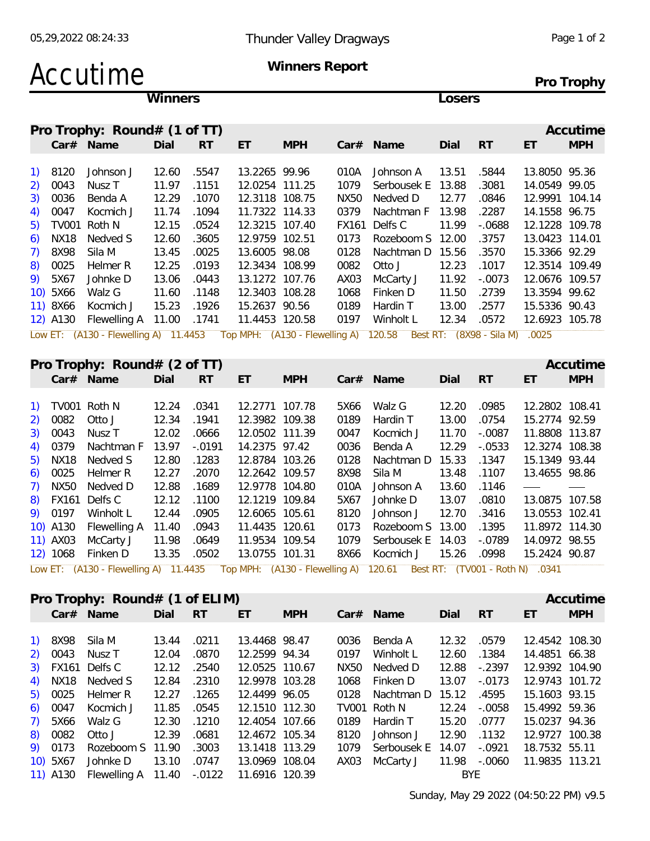**Pro Trophy**

### Accutime **Winners Report**

**Winners Losers**

|          | Pro Trophy: $Round# (1 of TT)$                                              |       |           |                |            |              |             |       |                          |                | Accutime   |
|----------|-----------------------------------------------------------------------------|-------|-----------|----------------|------------|--------------|-------------|-------|--------------------------|----------------|------------|
|          | Car# Name                                                                   | Dial  | <b>RT</b> | ET             | <b>MPH</b> |              | $Car#$ Name | Dial  | <b>RT</b>                | ET             | <b>MPH</b> |
| 1) 8120  |                                                                             | 12.60 |           | 13.2265 99.96  |            | 010A         |             | 13.51 |                          | 13.8050 95.36  |            |
|          | Johnson J                                                                   |       | .5547     |                |            |              | Johnson A   |       | .5844                    |                |            |
| 2) 0043  | Nusz T                                                                      | 11.97 | .1151     | 12.0254 111.25 |            | 1079         | Serbousek E | 13.88 | .3081                    | 14.0549 99.05  |            |
| 3) 0036  | Benda A                                                                     | 12.29 | .1070     | 12.3118 108.75 |            | NX50         | Nedved D    | 12.77 | .0846                    | 12.9991 104.14 |            |
| 4) 0047  | Kocmich J                                                                   | 11.74 | .1094     | 11.7322 114.33 |            | 0379         | Nachtman F  | 13.98 | .2287                    | 14.1558 96.75  |            |
| 5) TV001 | Roth N                                                                      | 12.15 | .0524     | 12.3215 107.40 |            | <b>FX161</b> | Delfs C     | 11.99 | $-0688$                  | 12.1228 109.78 |            |
| 6) NX18  | Nedved S                                                                    | 12.60 | .3605     | 12.9759 102.51 |            | 0173         | Rozeboom S  | 12.00 | .3757                    | 13.0423 114.01 |            |
| 7) 8X98  | Sila M                                                                      | 13.45 | .0025     | 13.6005 98.08  |            | 0128         | Nachtman D  | 15.56 | .3570                    | 15.3366 92.29  |            |
| 8) 0025  | Helmer R                                                                    | 12.25 | .0193     | 12.3434 108.99 |            | 0082         | Otto J      | 12.23 | .1017                    | 12.3514 109.49 |            |
| 9) 5X67  | Johnke D                                                                    | 13.06 | .0443     | 13.1272 107.76 |            | AX03         | McCarty J   | 11.92 | $-.0073$                 | 12.0676 109.57 |            |
| 10) 5X66 | Walz G                                                                      | 11.60 | .1148     | 12.3403 108.28 |            | 1068         | Finken D    | 11.50 | .2739                    | 13.3594 99.62  |            |
| 11) 8X66 | Kocmich J                                                                   | 15.23 | .1926     | 15.2637 90.56  |            | 0189         | Hardin T    | 13.00 | .2577                    | 15.5336 90.43  |            |
| 12) A130 | Flewelling A 11.00                                                          |       | .1741     | 11.4453 120.58 |            | 0197         | Winholt L   | 12.34 | .0572                    | 12.6923 105.78 |            |
|          | Low ET: (A130 - Flewelling A) 11.4453 Top MPH: (A130 - Flewelling A) 120.58 |       |           |                |            |              |             |       | Best RT: (8X98 - Sila M) | .0025          |            |

|                          | Pro Trophy: Round# (2 of TT)<br>Accutime<br>$Car#$ Name |           |                |            |      |                   |       |           |                |            |  |  |  |  |  |
|--------------------------|---------------------------------------------------------|-----------|----------------|------------|------|-------------------|-------|-----------|----------------|------------|--|--|--|--|--|
| Car# Name                | Dial                                                    | <b>RT</b> | ET             | <b>MPH</b> |      |                   | Dial  | <b>RT</b> | ET             | <b>MPH</b> |  |  |  |  |  |
|                          |                                                         |           |                |            |      |                   |       |           |                |            |  |  |  |  |  |
| 1) TV001 Roth N          | 12.24                                                   | .0341     | 12.2771 107.78 |            | 5X66 | Walz G            | 12.20 | .0985     | 12.2802 108.41 |            |  |  |  |  |  |
| 2) 0082<br>Otto J        | 12.34                                                   | .1941     | 12.3982 109.38 |            | 0189 | Hardin T          | 13.00 | .0754     | 15.2774 92.59  |            |  |  |  |  |  |
| 3) 0043<br>Nusz T        | 12.02                                                   | .0666     | 12.0502 111.39 |            | 0047 | Kocmich J         | 11.70 | $-.0087$  | 11.8808 113.87 |            |  |  |  |  |  |
| 4) 0379<br>Nachtman F    | 13.97                                                   | $-.0191$  | 14.2375 97.42  |            | 0036 | Benda A           | 12.29 | $-.0533$  | 12.3274 108.38 |            |  |  |  |  |  |
| 5) NX18<br>Nedved S      | 12.80                                                   | .1283     | 12.8784 103.26 |            | 0128 | Nachtman D        | 15.33 | .1347     | 15.1349 93.44  |            |  |  |  |  |  |
| 6) 0025<br>Helmer R      | 12.27                                                   | .2070     | 12.2642 109.57 |            | 8X98 | Sila M            | 13.48 | .1107     | 13.4655 98.86  |            |  |  |  |  |  |
| 7) NX50<br>Nedved D      | 12.88                                                   | .1689     | 12.9778 104.80 |            | 010A | Johnson A         | 13.60 | .1146     |                |            |  |  |  |  |  |
| 8) FX161 Delfs C         | 12.12                                                   | .1100     | 12.1219 109.84 |            | 5X67 | Johnke D          | 13.07 | .0810     | 13.0875 107.58 |            |  |  |  |  |  |
| 9) 0197<br>Winholt L     | 12.44                                                   | .0905     | 12.6065 105.61 |            | 8120 | Johnson J         | 12.70 | .3416     | 13.0553 102.41 |            |  |  |  |  |  |
| 10) A130<br>Flewelling A | 11.40                                                   | .0943     | 11.4435 120.61 |            | 0173 | Rozeboom S 13.00  |       | .1395     | 11.8972 114.30 |            |  |  |  |  |  |
| 11) AX03<br>McCarty J    | 11.98                                                   | .0649     | 11.9534 109.54 |            | 1079 | Serbousek E 14.03 |       | $-.0789$  | 14.0972 98.55  |            |  |  |  |  |  |
| 12) 1068<br>Finken D     | 13.35                                                   | .0502     | 13.0755 101.31 |            | 8X66 | Kocmich J         | 15.26 | .0998     | 15.2424 90.87  |            |  |  |  |  |  |

|          | Pro Trophy: $Round# (1 of ELIM)$ |       |       |                |            |      |                  |              |           |                | Accutime   |
|----------|----------------------------------|-------|-------|----------------|------------|------|------------------|--------------|-----------|----------------|------------|
|          |                                  |       |       |                |            |      |                  |              |           |                |            |
|          | Car# Name                        | Dial  | RT    | ET             | <b>MPH</b> |      | $Car#$ Name      | Dial         | <b>RT</b> | ET             | <b>MPH</b> |
|          |                                  |       |       |                |            |      |                  |              |           |                |            |
| 1) 8X98  | Sila M                           | 13.44 | .0211 | 13.4468 98.47  |            | 0036 | Benda A          | 12.32        | .0579     | 12.4542 108.30 |            |
| 2) 0043  | Nusz T                           | 12.04 | .0870 | 12.2599 94.34  |            | 0197 | Winholt L        | 12.60        | .1384     | 14.4851 66.38  |            |
|          | 3) FX161 Delfs C                 | 12.12 | .2540 | 12.0525 110.67 |            | NX50 | Nedved D         | 12.88        | -.2397    | 12.9392 104.90 |            |
|          | 4) NX18 Nedved S                 | 12.84 | .2310 | 12.9978 103.28 |            | 1068 | Finken D         | 13.07        | $-.0173$  | 12.9743 101.72 |            |
| 5) 0025  | Helmer R                         | 12.27 | .1265 | 12.4499 96.05  |            | 0128 | Nachtman D 15.12 |              | .4595     | 15.1603 93.15  |            |
| 6) 0047  | Kocmich J                        | 11.85 | .0545 | 12.1510 112.30 |            |      | TV001 Roth N     | 12.24        | -.0058    | 15.4992 59.36  |            |
| 7) 5X66  | Walz G                           | 12.30 | .1210 | 12.4054 107.66 |            | 0189 | Hardin T         | 15.20        | .0777     | 15.0237 94.36  |            |
| 8) 0082  | Otto J                           | 12.39 | .0681 | 12.4672 105.34 |            | 8120 | Johnson J        | 12.90        | .1132     | 12.9727 100.38 |            |
| 9) 0173  | Rozeboom S 11.90                 |       | .3003 | 13.1418 113.29 |            | 1079 | Serbousek E      | 14.07        | -.0921    | 18.7532 55.11  |            |
| 10) 5X67 | Johnke D                         | 13.10 | .0747 | 13.0969 108.04 |            | AX03 | McCarty J        | 11.98 -.0060 |           | 11.9835 113.21 |            |
| 11) A130 | Flewelling A $11.40 - 0122$      |       |       | 11.6916 120.39 |            |      |                  | BYE.         |           |                |            |
|          |                                  |       |       |                |            |      |                  |              |           |                |            |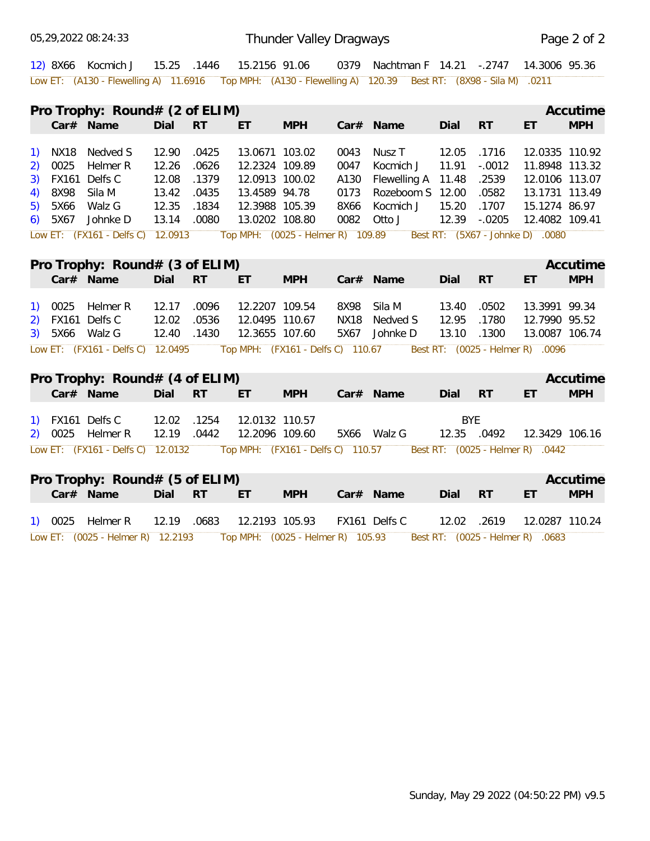05,29,2022 08:24:33

|                                                |      | 12) 8X66 Kocmich J                                                                                         |             |           |                | 15.25 .1446  15.2156  91.06       |      | 0379 Nachtman F 14.21 -.2747 14.3006 95.36 |             |                 |                                  |            |
|------------------------------------------------|------|------------------------------------------------------------------------------------------------------------|-------------|-----------|----------------|-----------------------------------|------|--------------------------------------------|-------------|-----------------|----------------------------------|------------|
|                                                |      | Low ET: (A130 - Flewelling A) 11.6916 Top MPH: (A130 - Flewelling A) 120.39 Best RT: (8X98 - Sila M) .0211 |             |           |                |                                   |      |                                            |             |                 |                                  |            |
|                                                |      | Pro Trophy: $Round# (2 of ELIM)$                                                                           |             |           |                |                                   |      |                                            |             |                 |                                  | Accutime   |
|                                                |      | Car# Name                                                                                                  | Dial        | <b>RT</b> | ET.            | <b>MPH</b>                        |      | Car# Name                                  | Dial        | <b>RT</b>       | ET                               | <b>MPH</b> |
| $\left( \begin{matrix} 1 \end{matrix} \right)$ |      | NX18 Nedved S                                                                                              | 12.90       | .0425     | 13.0671 103.02 |                                   | 0043 | Nusz T                                     | 12.05       | .1716           | 12.0335 110.92                   |            |
| 2)                                             | 0025 | Helmer R                                                                                                   | 12.26       | .0626     | 12.2324 109.89 |                                   | 0047 | Kocmich J                                  | 11.91       | $-.0012$        | 11.8948 113.32                   |            |
| 3)                                             |      | FX161 Delfs C                                                                                              | 12.08       | .1379     | 12.0913 100.02 |                                   | A130 | Flewelling A 11.48                         |             | .2539           | 12.0106 113.07                   |            |
| 4)                                             | 8X98 | Sila M                                                                                                     | 13.42       | .0435     | 13.4589 94.78  |                                   | 0173 | Rozeboom S 12.00                           |             | .0582           | 13.1731 113.49                   |            |
| 5)                                             | 5X66 | Walz G                                                                                                     | 12.35       | .1834     | 12.3988 105.39 |                                   | 8X66 | Kocmich J                                  | 15.20       | .1707           | 15.1274 86.97                    |            |
| 6)                                             | 5X67 | Johnke D                                                                                                   | 13.14       | .0080     | 13.0202 108.80 |                                   | 0082 | Otto J                                     | 12.39       | $-.0205$        | 12.4082 109.41                   |            |
|                                                |      | Low ET: (FX161 - Delfs C) 12.0913                                                                          |             |           |                | Top MPH: (0025 - Helmer R) 109.89 |      |                                            |             |                 | Best RT: (5X67 - Johnke D) .0080 |            |
|                                                |      | Pro Trophy: Round# (3 of ELIM)                                                                             |             |           |                |                                   |      |                                            |             |                 |                                  | Accutime   |
|                                                |      | Car# Name                                                                                                  | Dial RT     |           | ET.            | <b>MPH</b>                        |      | Car# Name                                  | Dial        | <b>RT</b>       | ET                               | <b>MPH</b> |
| <b>1</b>                                       | 0025 | Helmer R                                                                                                   | 12.17       | .0096     | 12.2207 109.54 |                                   |      | 8X98 Sila M                                | 13.40       | .0502           | 13.3991 99.34                    |            |
| 2)                                             |      | FX161 Delfs C                                                                                              | 12.02       | .0536     | 12.0495 110.67 |                                   |      | NX18 Nedved S                              | 12.95       | .1780           | 12.7990 95.52                    |            |
| 3)                                             |      | 5X66 Walz G                                                                                                | 12.40 .1430 |           | 12.3655 107.60 |                                   | 5X67 | Johnke D                                   | 13.10       | .1300           | 13.0087 106.74                   |            |
|                                                |      | Low ET: (FX161 - Delfs C) 12.0495                                                                          |             |           |                | Top MPH: (FX161 - Delfs C) 110.67 |      |                                            |             |                 | Best RT: (0025 - Helmer R) .0096 |            |
|                                                |      | Pro Trophy: Round# (4 of ELIM)                                                                             |             |           |                |                                   |      |                                            |             |                 |                                  | Accutime   |
|                                                |      | Car# Name                                                                                                  | Dial RT     |           | ET.            | <b>MPH</b>                        |      | Car# Name                                  | Dial        | RT <sub>R</sub> | ET                               | <b>MPH</b> |
|                                                |      | FX161 Delfs C                                                                                              | 12.02 .1254 |           | 12.0132 110.57 |                                   |      |                                            | <b>BYE</b>  |                 |                                  |            |
|                                                |      | 2) 0025 Helmer R                                                                                           | 12.19 .0442 |           | 12.2096 109.60 |                                   |      | 5X66 Walz G                                | 12.35 .0492 |                 | 12.3429 106.16                   |            |
|                                                |      | Low ET: (FX161 - Delfs C) 12.0132                                                                          |             |           |                | Top MPH: (FX161 - Delfs C) 110.57 |      |                                            |             |                 | Best RT: (0025 - Helmer R) .0442 |            |
|                                                |      | Pro Trophy: Round# (5 of ELIM)                                                                             |             |           |                |                                   |      |                                            |             |                 |                                  | Accutime   |
|                                                |      | Car# Name                                                                                                  | Dial        | RT        | ET.            | <b>MPH</b>                        |      | Car# Name                                  | Dial        | <b>RT</b>       | ET                               | <b>MPH</b> |
|                                                |      | 1) 0025 Helmer R                                                                                           | 12.19 .0683 |           | 12.2193 105.93 |                                   |      | FX161 Delfs C                              | 12.02 .2619 |                 | 12.0287 110.24                   |            |
|                                                |      |                                                                                                            |             |           |                |                                   |      |                                            |             |                 |                                  |            |

Low ET: (0025 - Helmer R) 12.2193 Top MPH: (0025 - Helmer R) 105.93 Best RT: (0025 - Helmer R) .0683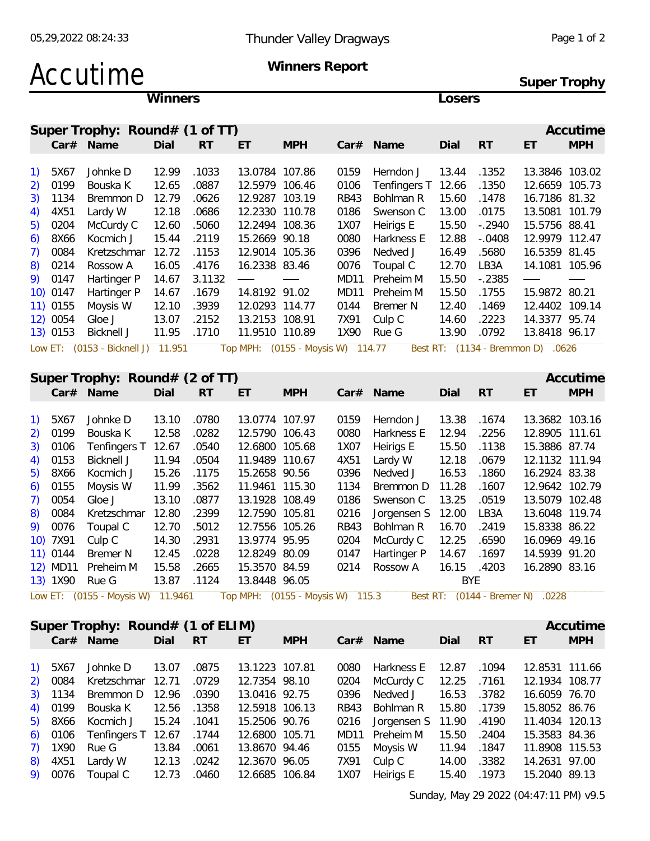**Super Trophy**

### Accutime **Winners Report**

**Winners Losers**

|                                                |          | Super Trophy: Round# (1 of TT) |       |           |                   |            |      |                    |       |           |                | Accutime   |
|------------------------------------------------|----------|--------------------------------|-------|-----------|-------------------|------------|------|--------------------|-------|-----------|----------------|------------|
|                                                |          | Car# Name                      | Dial  | <b>RT</b> | ET                | <b>MPH</b> |      | $Car#$ Name        | Dial  | <b>RT</b> | ET             | <b>MPH</b> |
|                                                |          |                                |       |           |                   |            |      |                    |       |           |                |            |
| $\left( \begin{matrix} 1 \end{matrix} \right)$ | 5X67     | Johnke D                       | 12.99 | .1033     | 13.0784 107.86    |            | 0159 | Herndon J          | 13.44 | .1352     | 13.3846 103.02 |            |
| 2)                                             | 0199     | Bouska K                       | 12.65 | .0887     | 12.5979 106.46    |            | 0106 | Tenfingers T 12.66 |       | .1350     | 12.6659 105.73 |            |
| 3)                                             | 1134     | Bremmon D                      | 12.79 | .0626     | 12.9287 103.19    |            | RB43 | Bohlman R          | 15.60 | .1478     | 16.7186 81.32  |            |
| 4)                                             | 4X51     | Lardy W                        | 12.18 | .0686     | 12.2330 110.78    |            | 0186 | Swenson C          | 13.00 | .0175     | 13.5081 101.79 |            |
| 5).                                            | 0204     | McCurdy C                      | 12.60 | .5060     | 12.2494 108.36    |            | 1X07 | Heirigs E          | 15.50 | $-.2940$  | 15.5756 88.41  |            |
| 6)                                             | 8X66     | Kocmich J                      | 15.44 | .2119     | 15.2669 90.18     |            | 0080 | Harkness E         | 12.88 | $-.0408$  | 12.9979 112.47 |            |
| 7).                                            | 0084     | Kretzschmar                    | 12.72 | .1153     | 12.9014 105.36    |            | 0396 | Nedved J           | 16.49 | .5680     | 16.5359 81.45  |            |
| 8)                                             | 0214     | Rossow A                       | 16.05 | .4176     | 16.2338 83.46     |            | 0076 | Toupal C           | 12.70 | LB3A      | 14.1081 105.96 |            |
|                                                | 9) 0147  | Hartinger P                    | 14.67 | 3.1132    | $\hspace{0.05cm}$ |            | MD11 | Preheim M          | 15.50 | $-.2385$  |                |            |
|                                                | 10) 0147 | Hartinger P                    | 14.67 | .1679     | 14.8192 91.02     |            | MD11 | Preheim M          | 15.50 | .1755     | 15.9872 80.21  |            |
|                                                | 11) 0155 | Moysis W                       | 12.10 | .3939     | 12.0293 114.77    |            | 0144 | Bremer N           | 12.40 | .1469     | 12.4402 109.14 |            |
|                                                | 12) 0054 | Gloe J                         | 13.07 | .2152     | 13.2153 108.91    |            | 7X91 | Culp C             | 14.60 | .2223     | 14.3377 95.74  |            |
|                                                | 13) 0153 | Bicknell J                     | 11.95 | .1710     | 11.9510 110.89    |            | 1X90 | Rue G              | 13.90 | .0792     | 13.8418 96.17  |            |

#### **Super Trophy: Round# (2 of TT) Accutime**

|            | $\sigma$           |       |           |                |            |      |                   |       |           |                | 1111110    |
|------------|--------------------|-------|-----------|----------------|------------|------|-------------------|-------|-----------|----------------|------------|
|            | Car# Name          | Dial  | <b>RT</b> | ET             | <b>MPH</b> |      | $Car#$ Name       | Dial  | <b>RT</b> | ET             | <b>MPH</b> |
|            |                    |       |           |                |            |      |                   |       |           |                |            |
| 1) 5X67    | Johnke D           | 13.10 | .0780     | 13.0774 107.97 |            | 0159 | Herndon J         | 13.38 | .1674     | 13.3682 103.16 |            |
| 2) 0199    | Bouska K           | 12.58 | .0282     | 12.5790 106.43 |            | 0080 | Harkness E        | 12.94 | .2256     | 12.8905 111.61 |            |
| 3) 0106    | Tenfingers T 12.67 |       | .0540     | 12.6800 105.68 |            | 1X07 | Heirigs E         | 15.50 | .1138     | 15.3886 87.74  |            |
| 4) 0153    | Bicknell J         | 11.94 | .0504     | 11.9489 110.67 |            | 4X51 | Lardy W           | 12.18 | .0679     | 12.1132 111.94 |            |
| 5) 8X66    | Kocmich J          | 15.26 | .1175     | 15.2658 90.56  |            | 0396 | Nedved J          | 16.53 | .1860     | 16.2924 83.38  |            |
| $6)$ 0155  | Moysis W           | 11.99 | .3562     | 11.9461 115.30 |            | 1134 | Bremmon D         | 11.28 | .1607     | 12.9642 102.79 |            |
| 7) 0054    | Gloe J             | 13.10 | .0877     | 13.1928 108.49 |            | 0186 | Swenson C         | 13.25 | .0519     | 13.5079 102.48 |            |
| 8) 0084    | Kretzschmar        | 12.80 | .2399     | 12.7590 105.81 |            | 0216 | Jorgensen S 12.00 |       | LB3A      | 13.6048 119.74 |            |
| 9) 0076    | Toupal C           | 12.70 | .5012     | 12.7556 105.26 |            | RB43 | Bohlman R         | 16.70 | .2419     | 15.8338 86.22  |            |
| 10) 7X91   | Culp C             | 14.30 | .2931     | 13.9774 95.95  |            | 0204 | McCurdy C         | 12.25 | .6590     | 16.0969 49.16  |            |
| $11)$ 0144 | Bremer N           | 12.45 | .0228     | 12.8249 80.09  |            | 0147 | Hartinger P       | 14.67 | .1697     | 14.5939 91.20  |            |
|            | 12) MD11 Preheim M | 15.58 | .2665     | 15.3570 84.59  |            | 0214 | Rossow A          | 16.15 | .4203     | 16.2890 83.16  |            |
|            | 13) 1X90 Rue G     | 13.87 | .1124     | 13.8448 96.05  |            |      |                   | BYE.  |           |                |            |

|         | Super Trophy: Round# (1 of ELIM) |             |       |                |            |      |                              |             |           |                | Accutime   |
|---------|----------------------------------|-------------|-------|----------------|------------|------|------------------------------|-------------|-----------|----------------|------------|
|         | Car# Name                        | Dial        | RT.   | ET.            | <b>MPH</b> |      | Car# Name                    | Dial        | <b>RT</b> | ET             | <b>MPH</b> |
|         |                                  |             |       |                |            |      |                              |             |           |                |            |
|         | 1) 5X67 Johnke D                 | 13.07       | .0875 | 13.1223 107.81 |            | 0080 | Harkness E 12.87             |             | .1094     | 12.8531 111.66 |            |
|         | 2) 0084 Kretzschmar 12.71 .0729  |             |       | 12.7354 98.10  |            |      | 0204 McCurdy C 12.25 .7161   |             |           | 12.1934 108.77 |            |
|         | 3) 1134 Bremmon D 12.96 .0390    |             |       | 13.0416 92.75  |            |      | 0396 Nedved J                | 16.53 .3782 |           | 16.6059 76.70  |            |
|         | 4) 0199 Bouska K 12.56 .1358     |             |       | 12.5918 106.13 |            |      | RB43 Bohlman R 15.80 .1739   |             |           | 15.8052 86.76  |            |
|         | 5) 8X66 Kocmich J 15.24 .1041    |             |       | 15.2506 90.76  |            |      | 0216 Jorgensen S 11.90 .4190 |             |           | 11.4034 120.13 |            |
|         | 6) 0106 Tenfingers T 12.67 .1744 |             |       | 12.6800 105.71 |            |      | MD11 Preheim M 15.50         |             | .2404     | 15.3583 84.36  |            |
|         | 7) 1X90 Rue G 13.84              |             | .0061 | 13.8670 94.46  |            |      | 0155 Moysis W                | 11.94 .1847 |           | 11.8908 115.53 |            |
|         | 8) 4X51 Lardy W                  | 12.13 .0242 |       | 12.3670 96.05  |            |      |                              |             |           | 14.2631 97.00  |            |
| 9) 0076 | Toupal C  12.73  .0460           |             |       | 12.6685 106.84 |            |      | 1X07 Heirigs E               | 15.40       | .1973     | 15.2040 89.13  |            |
|         |                                  |             |       |                |            |      |                              |             |           |                |            |

Sunday, May 29 2022 (04:47:11 PM) v9.5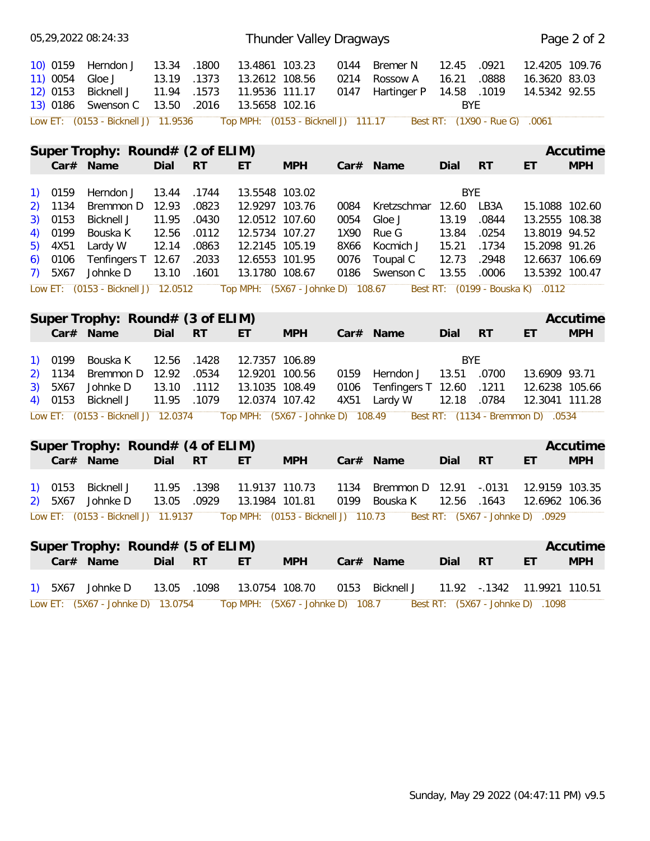|                                                |                                  | 05,29,2022 08:24:33                                     |                                  |                                  |                                                                      | Thunder Valley Dragways             |                      |                                            |                                       |                         |                                                  | Page 2 of 2 |
|------------------------------------------------|----------------------------------|---------------------------------------------------------|----------------------------------|----------------------------------|----------------------------------------------------------------------|-------------------------------------|----------------------|--------------------------------------------|---------------------------------------|-------------------------|--------------------------------------------------|-------------|
|                                                | 10) 0159<br>11) 0054<br>12) 0153 | Herndon J<br>Gloe J<br>Bicknell J<br>13) 0186 Swenson C | 13.34<br>13.19<br>11.94<br>13.50 | .1800<br>.1373<br>.1573<br>.2016 | 13.4861 103.23<br>13.2612 108.56<br>11.9536 111.17<br>13.5658 102.16 |                                     | 0144<br>0214<br>0147 | <b>Bremer N</b><br>Rossow A<br>Hartinger P | 12.45<br>16.21<br>14.58<br><b>BYE</b> | .0921<br>.0888<br>.1019 | 12.4205 109.76<br>16.3620 83.03<br>14.5342 92.55 |             |
|                                                |                                  | Low ET: (0153 - Bicknell J) 11.9536                     |                                  |                                  |                                                                      | Top MPH: (0153 - Bicknell J) 111.17 |                      |                                            |                                       | Best RT: (1X90 - Rue G) | .0061                                            |             |
|                                                |                                  | Super Trophy: Round# (2 of ELIM)                        |                                  |                                  |                                                                      |                                     |                      |                                            |                                       |                         |                                                  | Accutime    |
|                                                |                                  | Car# Name                                               | Dial                             | <b>RT</b>                        | ET                                                                   | <b>MPH</b>                          |                      | Car# Name                                  | Dial                                  | RT                      | ET                                               | <b>MPH</b>  |
| 1)                                             | 0159                             | Herndon J                                               | 13.44                            | .1744                            | 13.5548 103.02                                                       |                                     |                      |                                            | <b>BYE</b>                            |                         |                                                  |             |
| 2)                                             | 1134                             | Bremmon D                                               | 12.93                            | .0823                            | 12.9297 103.76                                                       |                                     | 0084                 | Kretzschmar                                | 12.60                                 | LB3A                    | 15.1088 102.60                                   |             |
| 3)                                             | 0153                             | Bicknell J                                              | 11.95                            | .0430                            | 12.0512 107.60                                                       |                                     | 0054                 | Gloe J                                     | 13.19                                 | .0844                   | 13.2555 108.38                                   |             |
| 4)                                             | 0199                             | Bouska K                                                | 12.56                            | .0112                            | 12.5734 107.27                                                       |                                     | 1X90                 | Rue G                                      | 13.84                                 | .0254                   | 13.8019 94.52                                    |             |
| 5)                                             | 4X51                             | Lardy W                                                 | 12.14                            | .0863                            | 12.2145 105.19                                                       |                                     | 8X66                 | Kocmich J                                  | 15.21                                 | .1734                   | 15.2098 91.26                                    |             |
| 6)                                             | 0106                             | Tenfingers T 12.67                                      |                                  | .2033                            | 12.6553 101.95                                                       |                                     | 0076                 | Toupal C                                   | 12.73                                 | .2948                   | 12.6637 106.69                                   |             |
| 7)                                             | 5X67                             | Johnke D                                                | 13.10                            | .1601                            | 13.1780 108.67                                                       |                                     | 0186                 | Swenson C                                  | 13.55                                 | .0006                   | 13.5392 100.47                                   |             |
|                                                |                                  | Low ET: (0153 - Bicknell J) 12.0512                     |                                  |                                  |                                                                      | Top MPH: (5X67 - Johnke D) 108.67   |                      |                                            |                                       |                         | Best RT: (0199 - Bouska K) .0112                 |             |
|                                                |                                  |                                                         |                                  |                                  |                                                                      |                                     |                      |                                            |                                       |                         |                                                  |             |
|                                                |                                  | Super Trophy: Round# (3 of ELIM)                        |                                  |                                  |                                                                      |                                     |                      |                                            |                                       |                         |                                                  | Accutime    |
|                                                |                                  | Car# Name                                               | Dial                             | <b>RT</b>                        | ET.                                                                  | <b>MPH</b>                          |                      | Car# Name                                  | Dial                                  | RT                      | ET                                               | <b>MPH</b>  |
|                                                |                                  |                                                         |                                  |                                  |                                                                      |                                     |                      |                                            |                                       |                         |                                                  |             |
| $\left( \begin{matrix} 1 \end{matrix} \right)$ | 0199                             | Bouska K                                                | 12.56                            | .1428                            | 12.7357 106.89                                                       |                                     |                      |                                            | <b>BYE</b>                            |                         |                                                  |             |
|                                                | 1134                             | Bremmon D                                               | 12.92                            | .0534                            | 12.9201 100.56                                                       |                                     | 0159                 | Herndon J                                  | 13.51 .0700                           |                         | 13.6909 93.71                                    |             |
| 2)<br>3)                                       | 5X67                             | Johnke D                                                | 13.10                            | .1112                            | 13.1035 108.49                                                       |                                     | 0106                 | Tenfingers T 12.60                         |                                       | .1211                   | 12.6238 105.66                                   |             |
| 4)                                             | 0153                             | <b>Bicknell J</b>                                       | 11.95                            | .1079                            | 12.0374 107.42                                                       |                                     | 4X51                 | Lardy W                                    | 12.18                                 | .0784                   | 12.3041 111.28                                   |             |
|                                                |                                  |                                                         |                                  |                                  |                                                                      |                                     |                      |                                            |                                       |                         |                                                  |             |
|                                                |                                  | Low ET: (0153 - Bicknell J) 12.0374                     |                                  |                                  |                                                                      | Top MPH: (5X67 - Johnke D) 108.49   |                      |                                            |                                       |                         | Best RT: (1134 - Bremmon D) .0534                |             |
|                                                |                                  | Super Trophy: Round# (4 of ELIM)                        |                                  |                                  |                                                                      |                                     |                      |                                            |                                       |                         |                                                  | Accutime    |
|                                                |                                  | Car# Name                                               | Dial                             | <b>RT</b>                        | ET                                                                   | <b>MPH</b>                          |                      | Car# Name                                  | Dial                                  | <b>RT</b>               | ET                                               | <b>MPH</b>  |
|                                                |                                  |                                                         |                                  |                                  |                                                                      |                                     |                      |                                            |                                       |                         |                                                  |             |
| $\left( \begin{matrix} 1 \end{matrix} \right)$ | 0153                             | Bicknell J                                              | 11.95                            | .1398                            | 11.9137 110.73                                                       |                                     | 1134                 | Bremmon D                                  | 12.91                                 | $-.0131$                | 12.9159 103.35                                   |             |
| 2)                                             | 5X67                             | Johnke D                                                | 13.05                            | .0929                            | 13.1984 101.81                                                       |                                     | 0199                 | Bouska K                                   | 12.56                                 | .1643                   | 12.6962 106.36                                   |             |
|                                                |                                  | Low ET: (0153 - Bicknell J) 11.9137                     |                                  |                                  |                                                                      | Top MPH: (0153 - Bicknell J) 110.73 |                      |                                            |                                       |                         | Best RT: (5X67 - Johnke D) .0929                 |             |
|                                                |                                  |                                                         |                                  |                                  |                                                                      |                                     |                      |                                            |                                       |                         |                                                  |             |
|                                                |                                  | Super Trophy: Round# (5 of ELIM)                        |                                  |                                  |                                                                      |                                     |                      |                                            |                                       |                         |                                                  | Accutime    |
|                                                |                                  | Car# Name                                               | Dial                             | RT                               | ET.                                                                  | <b>MPH</b>                          |                      | Car# Name                                  | Dial                                  | <b>RT</b>               | ET                                               | <b>MPH</b>  |
|                                                |                                  |                                                         |                                  |                                  |                                                                      |                                     |                      |                                            |                                       |                         |                                                  |             |
|                                                |                                  | 1) 5X67 Johnke D                                        | 13.05 .1098                      |                                  | 13.0754 108.70                                                       |                                     |                      | 0153 Bicknell J                            |                                       |                         | 11.92 - 1342 11.9921 110.51                      |             |
|                                                |                                  | Low ET: (5X67 - Johnke D) 13.0754                       |                                  |                                  |                                                                      | Top MPH: (5X67 - Johnke D) 108.7    |                      |                                            |                                       |                         | Best RT: (5X67 - Johnke D) .1098                 |             |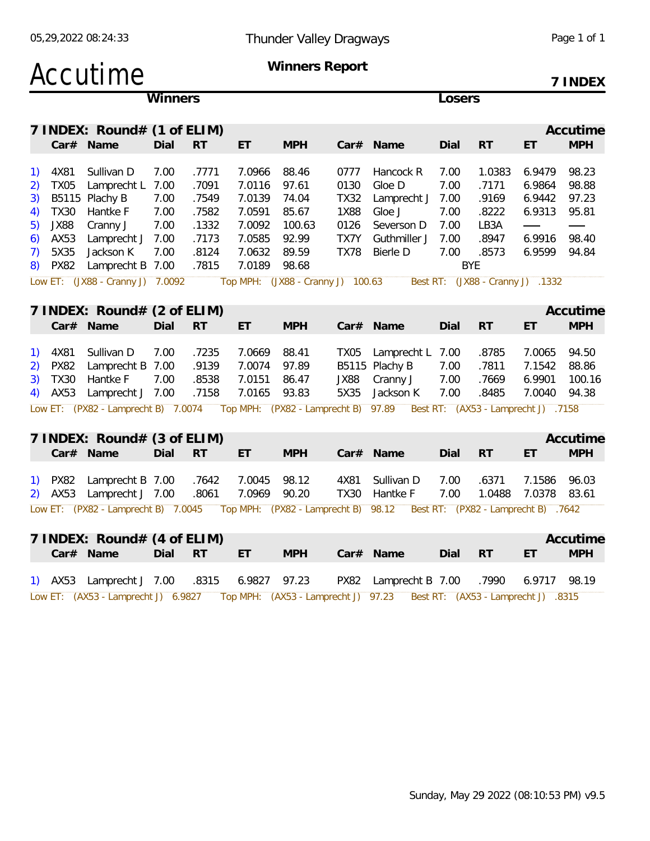### Accutime **Winners Report**

**7 INDEX**

| Accutime<br>7 INDEX: Round# (1 of ELIM)<br><b>MPH</b><br><b>MPH</b><br>Car# Name<br>Dial<br>RT<br>ET<br>Car# Name<br>Dial<br><b>RT</b><br>ET<br>7.0966<br>98.23<br>Sullivan D<br>7.00<br>.7771<br>88.46<br>Hancock R<br>7.00<br>1.0383<br>6.9479<br>4X81<br>0777<br>7.00<br>.7171<br>6.9864<br>98.88<br><b>TX05</b><br>Lamprecht L<br>7.00<br>.7091<br>7.0116<br>97.61<br>0130<br>Gloe D<br>B5115 Plachy B<br>74.04<br>7.00<br>7.00<br>.7549<br>7.0139<br><b>TX32</b><br>Lamprecht J<br>.9169<br>6.9442<br>97.23<br>7.00<br><b>TX30</b><br>Hantke F<br>.7582<br>7.0591<br>85.67<br><b>1X88</b><br>Gloe J<br>7.00<br>.8222<br>6.9313<br>95.81<br>4)<br><b>JX88</b><br>Cranny J<br>7.00<br>.1332<br>7.0092<br>100.63<br>7.00<br>LB3A<br>5)<br>0126<br>Severson D<br>7.0585<br>7.00<br>.8947<br>6.9916<br>98.40<br>AX53<br>Lamprecht J 7.00<br>.7173<br>92.99<br>TX7Y<br>Guthmiller J<br>6)<br>6.9599<br>5X35<br>Jackson K<br>7.00<br>.8124<br>7.0632<br>89.59<br><b>TX78</b><br>Bierle D<br>7.00<br>.8573<br>94.84<br>Lamprecht B 7.00<br>7.0189<br><b>BYE</b><br><b>PX82</b><br>.7815<br>98.68<br>Low ET: (JX88 - Cranny J) 7.0092<br>Top MPH: (JX88 - Cranny J) 100.63<br>Best RT: (JX88 - Cranny J) .1332<br>7 INDEX: Round# (2 of ELIM)<br>Dial<br><b>RT</b><br><b>MPH</b><br>RT<br><b>MPH</b><br>Car# Name<br>ET<br>Car# Name<br>ET.<br>Dial<br>94.50<br>4X81<br>Sullivan D<br>7.00<br>.7235<br>7.0669<br>88.41<br>Lamprecht L<br>7.00<br>.8785<br>7.0065<br>TX05<br><b>PX82</b><br>Lamprecht B 7.00<br>.9139<br>7.0074<br>97.89<br>B5115 Plachy B<br>7.00<br>.7811<br>7.1542<br>88.86<br>.7669<br>6.9901<br>100.16<br><b>TX30</b><br>Hantke F<br>7.00<br>.8538<br>7.0151<br>86.47<br>JX88<br>Cranny J<br>7.00<br>7.00<br>.8485<br>AX53<br>Lamprecht J 7.00<br>.7158<br>7.0165<br>93.83<br>5X35<br>7.0040<br>94.38<br>Jackson K<br>4)<br>Low ET: (PX82 - Lamprecht B) 7.0074 Top MPH: (PX82 - Lamprecht B) 97.89<br>Best RT: (AX53 - Lamprecht J) .7158<br>7 INDEX: Round# (3 of ELIM)<br><b>RT</b><br><b>MPH</b><br>Car# Name<br>Dial<br><b>RT</b><br>ET<br><b>MPH</b><br>Car# Name<br>ET<br>Dial<br>7.1586<br>1) PX82<br>Lamprecht B 7.00<br>.7642<br>7.0045<br>98.12<br>4X81<br>Sullivan D<br>7.00<br>.6371<br>96.03<br>7.0378<br>Lamprecht J 7.00<br>7.0969<br>90.20<br><b>TX30</b><br>7.00<br>1.0488<br>2) AX53<br>.8061<br>Hantke F<br>83.61<br>Low ET: (PX82 - Lamprecht B) 7.0045  Top MPH: (PX82 - Lamprecht B) 98.12<br>Best RT: (PX82 - Lamprecht B) .7642<br>7 INDEX: Round# (4 of ELIM)<br>Dial<br><b>RT</b><br><b>RT</b><br><b>MPH</b><br>Car# Name<br>ET<br><b>MPH</b><br>Dial<br>ET<br>Car# Name<br>Lamprecht J 7.00<br>.8315<br>6.9827<br>97.23<br>PX82 Lamprecht B 7.00<br>.7990<br>6.9717<br>98.19<br>1) AX53<br>Low ET: (AX53 - Lamprecht J) 6.9827 Top MPH: (AX53 - Lamprecht J) 97.23 Best RT: (AX53 - Lamprecht J) .8315 |                                                |  | Winners |  |  |  |  |  | Losers |  |  |  |
|----------------------------------------------------------------------------------------------------------------------------------------------------------------------------------------------------------------------------------------------------------------------------------------------------------------------------------------------------------------------------------------------------------------------------------------------------------------------------------------------------------------------------------------------------------------------------------------------------------------------------------------------------------------------------------------------------------------------------------------------------------------------------------------------------------------------------------------------------------------------------------------------------------------------------------------------------------------------------------------------------------------------------------------------------------------------------------------------------------------------------------------------------------------------------------------------------------------------------------------------------------------------------------------------------------------------------------------------------------------------------------------------------------------------------------------------------------------------------------------------------------------------------------------------------------------------------------------------------------------------------------------------------------------------------------------------------------------------------------------------------------------------------------------------------------------------------------------------------------------------------------------------------------------------------------------------------------------------------------------------------------------------------------------------------------------------------------------------------------------------------------------------------------------------------------------------------------------------------------------------------------------------------------------------------------------------------------------------------------------------------------------------------------------------------------------------------------------------------------------------------------------------------------------------------------------------------------------------------------------------------------------------------------------------------------------------------------------------------------------------------------------------------------------------------------------------------------------------------|------------------------------------------------|--|---------|--|--|--|--|--|--------|--|--|--|
|                                                                                                                                                                                                                                                                                                                                                                                                                                                                                                                                                                                                                                                                                                                                                                                                                                                                                                                                                                                                                                                                                                                                                                                                                                                                                                                                                                                                                                                                                                                                                                                                                                                                                                                                                                                                                                                                                                                                                                                                                                                                                                                                                                                                                                                                                                                                                                                                                                                                                                                                                                                                                                                                                                                                                                                                                                                    |                                                |  |         |  |  |  |  |  |        |  |  |  |
|                                                                                                                                                                                                                                                                                                                                                                                                                                                                                                                                                                                                                                                                                                                                                                                                                                                                                                                                                                                                                                                                                                                                                                                                                                                                                                                                                                                                                                                                                                                                                                                                                                                                                                                                                                                                                                                                                                                                                                                                                                                                                                                                                                                                                                                                                                                                                                                                                                                                                                                                                                                                                                                                                                                                                                                                                                                    |                                                |  |         |  |  |  |  |  |        |  |  |  |
| Accutime<br>Accutime<br>Accutime                                                                                                                                                                                                                                                                                                                                                                                                                                                                                                                                                                                                                                                                                                                                                                                                                                                                                                                                                                                                                                                                                                                                                                                                                                                                                                                                                                                                                                                                                                                                                                                                                                                                                                                                                                                                                                                                                                                                                                                                                                                                                                                                                                                                                                                                                                                                                                                                                                                                                                                                                                                                                                                                                                                                                                                                                   | $\left( \begin{matrix} 1 \end{matrix} \right)$ |  |         |  |  |  |  |  |        |  |  |  |
|                                                                                                                                                                                                                                                                                                                                                                                                                                                                                                                                                                                                                                                                                                                                                                                                                                                                                                                                                                                                                                                                                                                                                                                                                                                                                                                                                                                                                                                                                                                                                                                                                                                                                                                                                                                                                                                                                                                                                                                                                                                                                                                                                                                                                                                                                                                                                                                                                                                                                                                                                                                                                                                                                                                                                                                                                                                    | 2)                                             |  |         |  |  |  |  |  |        |  |  |  |
|                                                                                                                                                                                                                                                                                                                                                                                                                                                                                                                                                                                                                                                                                                                                                                                                                                                                                                                                                                                                                                                                                                                                                                                                                                                                                                                                                                                                                                                                                                                                                                                                                                                                                                                                                                                                                                                                                                                                                                                                                                                                                                                                                                                                                                                                                                                                                                                                                                                                                                                                                                                                                                                                                                                                                                                                                                                    | 3)                                             |  |         |  |  |  |  |  |        |  |  |  |
|                                                                                                                                                                                                                                                                                                                                                                                                                                                                                                                                                                                                                                                                                                                                                                                                                                                                                                                                                                                                                                                                                                                                                                                                                                                                                                                                                                                                                                                                                                                                                                                                                                                                                                                                                                                                                                                                                                                                                                                                                                                                                                                                                                                                                                                                                                                                                                                                                                                                                                                                                                                                                                                                                                                                                                                                                                                    |                                                |  |         |  |  |  |  |  |        |  |  |  |
|                                                                                                                                                                                                                                                                                                                                                                                                                                                                                                                                                                                                                                                                                                                                                                                                                                                                                                                                                                                                                                                                                                                                                                                                                                                                                                                                                                                                                                                                                                                                                                                                                                                                                                                                                                                                                                                                                                                                                                                                                                                                                                                                                                                                                                                                                                                                                                                                                                                                                                                                                                                                                                                                                                                                                                                                                                                    |                                                |  |         |  |  |  |  |  |        |  |  |  |
|                                                                                                                                                                                                                                                                                                                                                                                                                                                                                                                                                                                                                                                                                                                                                                                                                                                                                                                                                                                                                                                                                                                                                                                                                                                                                                                                                                                                                                                                                                                                                                                                                                                                                                                                                                                                                                                                                                                                                                                                                                                                                                                                                                                                                                                                                                                                                                                                                                                                                                                                                                                                                                                                                                                                                                                                                                                    |                                                |  |         |  |  |  |  |  |        |  |  |  |
|                                                                                                                                                                                                                                                                                                                                                                                                                                                                                                                                                                                                                                                                                                                                                                                                                                                                                                                                                                                                                                                                                                                                                                                                                                                                                                                                                                                                                                                                                                                                                                                                                                                                                                                                                                                                                                                                                                                                                                                                                                                                                                                                                                                                                                                                                                                                                                                                                                                                                                                                                                                                                                                                                                                                                                                                                                                    | 7)                                             |  |         |  |  |  |  |  |        |  |  |  |
|                                                                                                                                                                                                                                                                                                                                                                                                                                                                                                                                                                                                                                                                                                                                                                                                                                                                                                                                                                                                                                                                                                                                                                                                                                                                                                                                                                                                                                                                                                                                                                                                                                                                                                                                                                                                                                                                                                                                                                                                                                                                                                                                                                                                                                                                                                                                                                                                                                                                                                                                                                                                                                                                                                                                                                                                                                                    | 8)                                             |  |         |  |  |  |  |  |        |  |  |  |
|                                                                                                                                                                                                                                                                                                                                                                                                                                                                                                                                                                                                                                                                                                                                                                                                                                                                                                                                                                                                                                                                                                                                                                                                                                                                                                                                                                                                                                                                                                                                                                                                                                                                                                                                                                                                                                                                                                                                                                                                                                                                                                                                                                                                                                                                                                                                                                                                                                                                                                                                                                                                                                                                                                                                                                                                                                                    |                                                |  |         |  |  |  |  |  |        |  |  |  |
|                                                                                                                                                                                                                                                                                                                                                                                                                                                                                                                                                                                                                                                                                                                                                                                                                                                                                                                                                                                                                                                                                                                                                                                                                                                                                                                                                                                                                                                                                                                                                                                                                                                                                                                                                                                                                                                                                                                                                                                                                                                                                                                                                                                                                                                                                                                                                                                                                                                                                                                                                                                                                                                                                                                                                                                                                                                    |                                                |  |         |  |  |  |  |  |        |  |  |  |
|                                                                                                                                                                                                                                                                                                                                                                                                                                                                                                                                                                                                                                                                                                                                                                                                                                                                                                                                                                                                                                                                                                                                                                                                                                                                                                                                                                                                                                                                                                                                                                                                                                                                                                                                                                                                                                                                                                                                                                                                                                                                                                                                                                                                                                                                                                                                                                                                                                                                                                                                                                                                                                                                                                                                                                                                                                                    |                                                |  |         |  |  |  |  |  |        |  |  |  |
|                                                                                                                                                                                                                                                                                                                                                                                                                                                                                                                                                                                                                                                                                                                                                                                                                                                                                                                                                                                                                                                                                                                                                                                                                                                                                                                                                                                                                                                                                                                                                                                                                                                                                                                                                                                                                                                                                                                                                                                                                                                                                                                                                                                                                                                                                                                                                                                                                                                                                                                                                                                                                                                                                                                                                                                                                                                    |                                                |  |         |  |  |  |  |  |        |  |  |  |
|                                                                                                                                                                                                                                                                                                                                                                                                                                                                                                                                                                                                                                                                                                                                                                                                                                                                                                                                                                                                                                                                                                                                                                                                                                                                                                                                                                                                                                                                                                                                                                                                                                                                                                                                                                                                                                                                                                                                                                                                                                                                                                                                                                                                                                                                                                                                                                                                                                                                                                                                                                                                                                                                                                                                                                                                                                                    | $\left( \begin{matrix} 1 \end{matrix} \right)$ |  |         |  |  |  |  |  |        |  |  |  |
|                                                                                                                                                                                                                                                                                                                                                                                                                                                                                                                                                                                                                                                                                                                                                                                                                                                                                                                                                                                                                                                                                                                                                                                                                                                                                                                                                                                                                                                                                                                                                                                                                                                                                                                                                                                                                                                                                                                                                                                                                                                                                                                                                                                                                                                                                                                                                                                                                                                                                                                                                                                                                                                                                                                                                                                                                                                    | 2)                                             |  |         |  |  |  |  |  |        |  |  |  |
|                                                                                                                                                                                                                                                                                                                                                                                                                                                                                                                                                                                                                                                                                                                                                                                                                                                                                                                                                                                                                                                                                                                                                                                                                                                                                                                                                                                                                                                                                                                                                                                                                                                                                                                                                                                                                                                                                                                                                                                                                                                                                                                                                                                                                                                                                                                                                                                                                                                                                                                                                                                                                                                                                                                                                                                                                                                    | 3)                                             |  |         |  |  |  |  |  |        |  |  |  |
|                                                                                                                                                                                                                                                                                                                                                                                                                                                                                                                                                                                                                                                                                                                                                                                                                                                                                                                                                                                                                                                                                                                                                                                                                                                                                                                                                                                                                                                                                                                                                                                                                                                                                                                                                                                                                                                                                                                                                                                                                                                                                                                                                                                                                                                                                                                                                                                                                                                                                                                                                                                                                                                                                                                                                                                                                                                    |                                                |  |         |  |  |  |  |  |        |  |  |  |
|                                                                                                                                                                                                                                                                                                                                                                                                                                                                                                                                                                                                                                                                                                                                                                                                                                                                                                                                                                                                                                                                                                                                                                                                                                                                                                                                                                                                                                                                                                                                                                                                                                                                                                                                                                                                                                                                                                                                                                                                                                                                                                                                                                                                                                                                                                                                                                                                                                                                                                                                                                                                                                                                                                                                                                                                                                                    |                                                |  |         |  |  |  |  |  |        |  |  |  |
|                                                                                                                                                                                                                                                                                                                                                                                                                                                                                                                                                                                                                                                                                                                                                                                                                                                                                                                                                                                                                                                                                                                                                                                                                                                                                                                                                                                                                                                                                                                                                                                                                                                                                                                                                                                                                                                                                                                                                                                                                                                                                                                                                                                                                                                                                                                                                                                                                                                                                                                                                                                                                                                                                                                                                                                                                                                    |                                                |  |         |  |  |  |  |  |        |  |  |  |
|                                                                                                                                                                                                                                                                                                                                                                                                                                                                                                                                                                                                                                                                                                                                                                                                                                                                                                                                                                                                                                                                                                                                                                                                                                                                                                                                                                                                                                                                                                                                                                                                                                                                                                                                                                                                                                                                                                                                                                                                                                                                                                                                                                                                                                                                                                                                                                                                                                                                                                                                                                                                                                                                                                                                                                                                                                                    |                                                |  |         |  |  |  |  |  |        |  |  |  |
|                                                                                                                                                                                                                                                                                                                                                                                                                                                                                                                                                                                                                                                                                                                                                                                                                                                                                                                                                                                                                                                                                                                                                                                                                                                                                                                                                                                                                                                                                                                                                                                                                                                                                                                                                                                                                                                                                                                                                                                                                                                                                                                                                                                                                                                                                                                                                                                                                                                                                                                                                                                                                                                                                                                                                                                                                                                    |                                                |  |         |  |  |  |  |  |        |  |  |  |
|                                                                                                                                                                                                                                                                                                                                                                                                                                                                                                                                                                                                                                                                                                                                                                                                                                                                                                                                                                                                                                                                                                                                                                                                                                                                                                                                                                                                                                                                                                                                                                                                                                                                                                                                                                                                                                                                                                                                                                                                                                                                                                                                                                                                                                                                                                                                                                                                                                                                                                                                                                                                                                                                                                                                                                                                                                                    |                                                |  |         |  |  |  |  |  |        |  |  |  |
|                                                                                                                                                                                                                                                                                                                                                                                                                                                                                                                                                                                                                                                                                                                                                                                                                                                                                                                                                                                                                                                                                                                                                                                                                                                                                                                                                                                                                                                                                                                                                                                                                                                                                                                                                                                                                                                                                                                                                                                                                                                                                                                                                                                                                                                                                                                                                                                                                                                                                                                                                                                                                                                                                                                                                                                                                                                    |                                                |  |         |  |  |  |  |  |        |  |  |  |
|                                                                                                                                                                                                                                                                                                                                                                                                                                                                                                                                                                                                                                                                                                                                                                                                                                                                                                                                                                                                                                                                                                                                                                                                                                                                                                                                                                                                                                                                                                                                                                                                                                                                                                                                                                                                                                                                                                                                                                                                                                                                                                                                                                                                                                                                                                                                                                                                                                                                                                                                                                                                                                                                                                                                                                                                                                                    |                                                |  |         |  |  |  |  |  |        |  |  |  |
|                                                                                                                                                                                                                                                                                                                                                                                                                                                                                                                                                                                                                                                                                                                                                                                                                                                                                                                                                                                                                                                                                                                                                                                                                                                                                                                                                                                                                                                                                                                                                                                                                                                                                                                                                                                                                                                                                                                                                                                                                                                                                                                                                                                                                                                                                                                                                                                                                                                                                                                                                                                                                                                                                                                                                                                                                                                    |                                                |  |         |  |  |  |  |  |        |  |  |  |
|                                                                                                                                                                                                                                                                                                                                                                                                                                                                                                                                                                                                                                                                                                                                                                                                                                                                                                                                                                                                                                                                                                                                                                                                                                                                                                                                                                                                                                                                                                                                                                                                                                                                                                                                                                                                                                                                                                                                                                                                                                                                                                                                                                                                                                                                                                                                                                                                                                                                                                                                                                                                                                                                                                                                                                                                                                                    |                                                |  |         |  |  |  |  |  |        |  |  |  |
|                                                                                                                                                                                                                                                                                                                                                                                                                                                                                                                                                                                                                                                                                                                                                                                                                                                                                                                                                                                                                                                                                                                                                                                                                                                                                                                                                                                                                                                                                                                                                                                                                                                                                                                                                                                                                                                                                                                                                                                                                                                                                                                                                                                                                                                                                                                                                                                                                                                                                                                                                                                                                                                                                                                                                                                                                                                    |                                                |  |         |  |  |  |  |  |        |  |  |  |
|                                                                                                                                                                                                                                                                                                                                                                                                                                                                                                                                                                                                                                                                                                                                                                                                                                                                                                                                                                                                                                                                                                                                                                                                                                                                                                                                                                                                                                                                                                                                                                                                                                                                                                                                                                                                                                                                                                                                                                                                                                                                                                                                                                                                                                                                                                                                                                                                                                                                                                                                                                                                                                                                                                                                                                                                                                                    |                                                |  |         |  |  |  |  |  |        |  |  |  |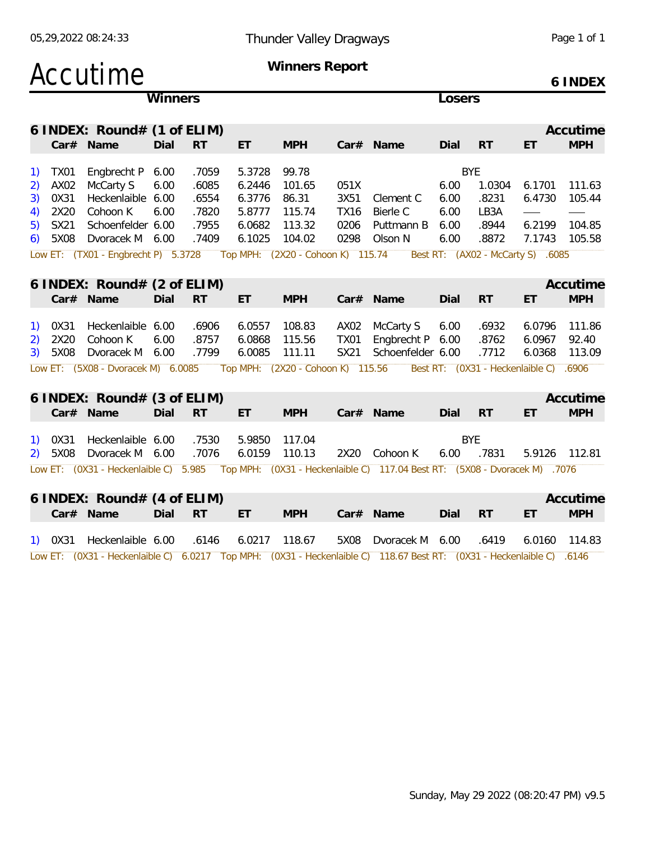|    |                  | 05,29,2022 08:24:33                   |         |           |        | Page 1 of 1                       |             |                                                                                                                  |            |                                        |        |               |  |  |
|----|------------------|---------------------------------------|---------|-----------|--------|-----------------------------------|-------------|------------------------------------------------------------------------------------------------------------------|------------|----------------------------------------|--------|---------------|--|--|
|    |                  | Accutime                              |         |           |        | Winners Report                    |             |                                                                                                                  |            |                                        |        | 6 INDEX       |  |  |
|    |                  |                                       | Winners |           |        |                                   |             |                                                                                                                  | Losers     |                                        |        |               |  |  |
|    |                  | 6 INDEX: Round# $(1 \text{ of ELIM})$ |         |           |        |                                   | Accutime    |                                                                                                                  |            |                                        |        |               |  |  |
|    |                  | Car# Name                             | Dial    | <b>RT</b> | ET     | <b>MPH</b>                        |             | Car# Name                                                                                                        | Dial       | <b>RT</b>                              | ET     | <b>MPH</b>    |  |  |
| 1) | <b>TX01</b>      | Engbrecht P 6.00                      |         | .7059     | 5.3728 | 99.78                             |             |                                                                                                                  |            | <b>BYE</b>                             |        |               |  |  |
| 2) | AX <sub>02</sub> | McCarty S                             | 6.00    | .6085     | 6.2446 | 101.65                            | 051X        |                                                                                                                  | 6.00       | 1.0304                                 | 6.1701 | 111.63        |  |  |
| 3) | 0X31             | Heckenlaible 6.00                     |         | .6554     | 6.3776 | 86.31                             | 3X51        | Clement C                                                                                                        | 6.00       | .8231                                  | 6.4730 | 105.44        |  |  |
| 4) | 2X20             | Cohoon K                              | 6.00    | .7820     | 5.8777 | 115.74                            | <b>TX16</b> | Bierle C                                                                                                         | 6.00       | LB3A                                   |        |               |  |  |
| 5) | SX21             | Schoenfelder 6.00                     |         | .7955     | 6.0682 | 113.32                            | 0206        | Puttmann B                                                                                                       | 6.00       | .8944                                  | 6.2199 | 104.85        |  |  |
| 6) | 5X08             | Dvoracek M 6.00                       |         | .7409     | 6.1025 | 104.02                            | 0298        | Olson N                                                                                                          | 6.00       | .8872                                  |        | 7.1743 105.58 |  |  |
|    |                  | Low ET: (TX01 - Engbrecht P) 5.3728   |         |           |        | Top MPH: (2X20 - Cohoon K) 115.74 |             |                                                                                                                  |            | Best RT: (AX02 - McCarty S) .6085      |        |               |  |  |
|    |                  | 6 INDEX: Round# $(2 \text{ of ELIM})$ |         |           |        |                                   |             |                                                                                                                  |            |                                        |        | Accutime      |  |  |
|    |                  | Car# Name                             | Dial    | <b>RT</b> | ET.    | <b>MPH</b>                        |             | Car# Name                                                                                                        | Dial       | <b>RT</b>                              | ET     | <b>MPH</b>    |  |  |
|    |                  |                                       |         |           |        |                                   |             |                                                                                                                  |            |                                        |        |               |  |  |
| 1) | OX31             | Heckenlaible 6.00                     |         | .6906     | 6.0557 | 108.83                            | AX02        | McCarty S                                                                                                        | 6.00       | .6932                                  | 6.0796 | 111.86        |  |  |
| 2) | 2X20             | Cohoon K                              | 6.00    | .8757     | 6.0868 | 115.56                            | <b>TX01</b> | Engbrecht P 6.00                                                                                                 |            | .8762                                  | 6.0967 | 92.40         |  |  |
| 3) | 5X08             | Dvoracek M 6.00                       |         | .7799     | 6.0085 | 111.11                            | SX21        | Schoenfelder 6.00                                                                                                |            | .7712                                  | 6.0368 | 113.09        |  |  |
|    |                  | Low ET: (5X08 - Dvoracek M) 6.0085    |         |           |        | Top MPH: (2X20 - Cohoon K) 115.56 |             |                                                                                                                  |            | Best RT: (0X31 - Heckenlaible C) .6906 |        |               |  |  |
|    |                  |                                       |         |           |        |                                   |             |                                                                                                                  |            |                                        |        |               |  |  |
|    |                  | 6 INDEX: Round# $(3 \text{ of ELIM})$ |         |           |        |                                   |             |                                                                                                                  |            | Accutime                               |        |               |  |  |
|    |                  | Car# Name                             | Dial    | <b>RT</b> | ET.    | <b>MPH</b>                        |             | Car# Name                                                                                                        | Dial       | <b>RT</b>                              | ET     | <b>MPH</b>    |  |  |
|    |                  |                                       |         |           |        |                                   |             |                                                                                                                  |            |                                        |        |               |  |  |
|    | OX31             | Heckenlaible 6.00                     |         | .7530     | 5.9850 | 117.04                            |             |                                                                                                                  | <b>BYE</b> |                                        |        |               |  |  |
| 2) | 5X08             | Dvoracek M 6.00                       |         | .7076     | 6.0159 | 110.13                            | 2X20        | Cohoon K                                                                                                         | 6.00       | .7831                                  |        | 5.9126 112.81 |  |  |
|    |                  |                                       |         |           |        |                                   |             | Low ET: (0X31 - Heckenlaible C) 5.985 Top MPH: (0X31 - Heckenlaible C) 117.04 Best RT: (5X08 - Dvoracek M) .7076 |            |                                        |        |               |  |  |
|    |                  | 6 INDEX: Round# (4 of ELIM)           |         |           |        |                                   |             |                                                                                                                  |            |                                        |        | Accutime      |  |  |
|    |                  | Car# Name                             | Dial    | <b>RT</b> | ET.    | <b>MPH</b>                        |             | Car# Name                                                                                                        | Dial       | <b>RT</b>                              | ET     | <b>MPH</b>    |  |  |
|    |                  |                                       |         |           |        |                                   |             |                                                                                                                  |            |                                        |        |               |  |  |
|    |                  | 1) 0X31 Heckenlaible 6.00             |         | .6146     | 6.0217 | 118.67                            | 5X08        | Dvoracek M 6.00                                                                                                  |            | .6419                                  |        | 6.0160 114.83 |  |  |

Low ET: (0X31 - Heckenlaible C) 6.0217 Top MPH: (0X31 - Heckenlaible C) 118.67 Best RT: (0X31 - Heckenlaible C) .6146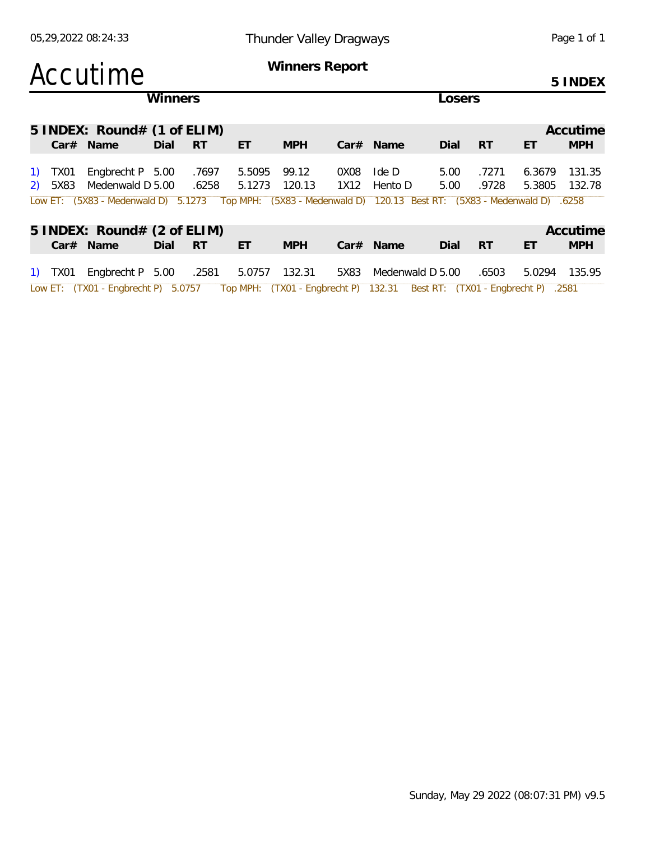### Accutime **Winners Report**

**5 INDEX**

|         |                                     | <b>Winners</b> |           |        |            |      |                                                                          |          | _osers    |        |            |  |  |  |
|---------|-------------------------------------|----------------|-----------|--------|------------|------|--------------------------------------------------------------------------|----------|-----------|--------|------------|--|--|--|
|         | $5$ INDEX: Round# (1 of ELIM)       |                |           |        |            |      |                                                                          | Accutime |           |        |            |  |  |  |
|         | $Car#$ Name                         | Dial           | <b>RT</b> | ET     | <b>MPH</b> |      | $Car#$ Name                                                              | Dial     | -RT       | ET     | <b>MPH</b> |  |  |  |
| 1) TX01 | Engbrecht P $5.00$                  |                | .7697     | 5.5095 | 99.12      | 0X08 | Ide D                                                                    | 5.00     | .7271     | 6.3679 | 131.35     |  |  |  |
| 2) 5X83 | Medenwald D 5.00                    |                | .6258     | 5.1273 | 120.13     | 1X12 | Hento D                                                                  | 5.00     | .9728     | 5.3805 | 132.78     |  |  |  |
|         | Low ET: (5X83 - Medenwald D) 5.1273 |                |           |        |            |      | Top MPH: (5X83 - Medenwald D) 120.13 Best RT: (5X83 - Medenwald D) .6258 |          |           |        |            |  |  |  |
|         | 5 INDEX: Round# (2 of ELIM)         |                |           |        |            |      |                                                                          |          |           |        | Accutime   |  |  |  |
|         | Car# Name                           | Dial           | <b>RT</b> | ET     | <b>MPH</b> |      | $Car#$ Name                                                              | Dial     | <b>RT</b> | ET     | <b>MPH</b> |  |  |  |
| 1) TX01 | Engbrecht $P$ 5.00                  |                | .2581     | 5.0757 | 132.31     | 5X83 | Medenwald D 5.00                                                         |          | .6503     | 5.0294 | 135.95     |  |  |  |

Low ET: (TX01 - Engbrecht P) 5.0757 Top MPH: (TX01 - Engbrecht P) 132.31 Best RT: (TX01 - Engbrecht P) .2581